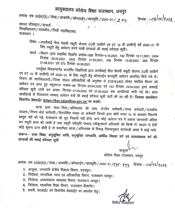## आयुक्तालय कॉलेज शिक्षा राजस्थान, जयपुर

क्रमांकः एफ 23(80)(3) / लेखा / आकाशि / ऑनलाईन / छात्रवृत्ति / 2020–21 / *. २ . १.* ५ दिनांक:-08/06/१*०११* समस्त रजिस्ट्रार / प्राचार्य विश्वविद्यालय / राजकीय / निजी महाविद्यालय,  $\mathbf{u}$ राजस्थान ।

- विषय :- कालीबाई भील मेधावी स्कूटी योजना (12वीं उत्तीर्ण एवं ST 10 वीं उत्तीर्ण) वर्ष 2020-21 के लिए स्कूटी हेतु आवेदन करने वाली छात्राओं की स्थाई वरीयता सूची।
- संदर्भ :--विभाग द्वारा प्रसारित विज्ञप्ति क्रमांक-595 दिनांक-6.10.2021, 742 दिनांक 10.11.2021, 2454 दिनांक 26.02.2021, 2542 दिनांक 21.03.2021, 358 दिनांक 13.08.2021, 389 दिनांक 31.08.2021 एवं 573 दिनांक 30.09.2021

उपर्युक्त विषयान्तर्गत सन्दर्भित विज्ञप्तियों द्वारा कालीबाई भील मेधावी स्कूटी योजना (12वीं उत्तीर्ण एवं ST 10 वीं उत्तीर्ण) वर्ष 2020–21 के लिए स्कूटी हेतु ऑनलाईन छात्रवृति आवेदन आमत्रित किये गये थे। विभाग को महाविद्यालयों / जिला नोडल अधिकारियों की अनुशंषा से FORWARD होकर संबंधित विभाग को आवेदन पत्र प्राप्त हुए तदुपरान्त पत्रांक–68 दिनांक–20.04.2022 एवं 143 दिनांक 29.04.2022 द्वारा अस्थाई वरीयता सूची जारी कर क्रमशः दिनांक–27.04.2022 एवं 07.05.2022 तक आपत्तियां मांगी गई थी। प्राप्त आपत्तियों के निराकरण पश्चात् आवेदन पत्रों की स्थाई वरीयता सूची जारी की जा रही है। जिसका अवलोकन विभागीय वेबसाईट https://hte.rajasthan.gov.in/ पर करावें।

छात्रा द्वारा माता–पिता/अभिभावक की आय, केन्द्रीय कर्मचारी/राज्य कर्मचारी/राजकीय उपक्रम/निगम बोर्ड कर्मचारी/वित्तपोषित संस्था का कर्मचारी जिनके द्वारा फॉर्म नम्बर 16 या आयकर विवरणी प्रस्तुत नहीं की गई, राजस्थान की मूल निवासी नहीं होना, अन्य कोई आवेदन पत्र में असत्य जानकारी अंकित कर स्कूटी प्राप्त की जाती है तथा स्कूटी स्वीकृति पश्चात् स्वीकृतकर्ता अधिकारी को किसी भी माध्यम से ऐसी कोई सूचना प्राप्त होती है तो सम्बन्धित छात्रा/अभिभावक के विरूद्ध नियमानुसार कार्यवाही अमल मे लाई जावे संलग्नः-- उच्च शिक्षा, अनुसूचित जाति, अनुसूचित जनजाति, आर्थिक पिछडा वर्ग एवं अल्पसंख्यक वर्ग की छात्राओं की स्थाई वरीयता सची

> आयुक्त कॉलेज शिक्षा राजस्थान, जयपुर

क्रमांकः एफ 23(80)(3) / लेखा / आकाशि / ऑनलाईन / छात्रवृत्ति / 2020–21 /१९८- २११ किनांक :-०८/०६/१०५२

- 1. आयुक्त, जनजाति क्षेत्रीय विकास विभाग, उदयपुर।
- 2. निदेशक, सामाजिक न्याय एवं अधिकारिता विभाग, राजस्थान जयपुर।
- 3. निदेशक, अल्पसंख्यक मामलात विभाग, राजस्थान जयपुर।
- 4. निदेशक, माध्यमिक शिक्षा विभाग, राजस्थान बीकानेर।
- 5. प्रभारी, वेबसाईट को विभागीय वेबसाईट पर अपलोड हेतु।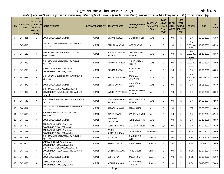vk; qDrky; dk Wy st f'k{kk jktLFkku] t;i qj ifjf'k"V&n

कालीबाई भील मेधावी छात्रा स्कूटी वितरण योजना स्थाई वरीयता सूची वर्ष 2020—21 (माध्यमिक शिक्षा विभाग) (सामान्य वर्ग का आर्थिक पिछड़ वर्ग (EBC) वर्ग की छात्राओं हेतु)

| S.No.          | <b>ONID</b> | <b>Merit</b><br><b>No.(DISTRIC</b><br><b>APPLICATI   T/FACULTY/</b><br><b>SCHOOL</b><br>TYPE/(R/C)<br>WISE) | <b>INSTITUTE NAME</b>                                                             | DISTRICT (INSTITUTE) STUDENT NAME |                            | Father's/Guardia<br>n's Name          | <b>LAST YEAR</b><br>Faculty/STR<br><b>EAM</b> | <b>LAST</b><br><b>YEAR</b><br><b>School</b><br><b>Type</b><br>(G/P) | IS_SPE<br><b>CILLY</b><br><b>ABLED</b> | <b>LAST</b><br><b>YEAR</b><br><b>SCHOOL</b><br>(RBSE/C<br>BSE) | <b>COURSE</b>                       | <b>DOB</b> | <b>LAST</b><br><b>YEAR%</b> |
|----------------|-------------|-------------------------------------------------------------------------------------------------------------|-----------------------------------------------------------------------------------|-----------------------------------|----------------------------|---------------------------------------|-----------------------------------------------|---------------------------------------------------------------------|----------------------------------------|----------------------------------------------------------------|-------------------------------------|------------|-----------------------------|
| 1              | 3475411     | $\mathbf{1}$                                                                                                | <b>GOVT GIRLS COLLEGE AJMER</b>                                                   | <b>AJMER</b>                      | DIMPAL PAREEK              | <b>MUKESH PAREEK</b>                  | Arts                                          | G                                                                   | <b>NO</b>                              | R                                                              | B.A.                                | 09-05-2003 | 86.80                       |
| $\overline{2}$ | 3474618     | $\overline{2}$                                                                                              | SHRI RATANLAL KANWARLAL PATNI GIRLS<br><b>COLLEGE</b>                             | AJMER                             | TANUPRIYA VYAS             | JAGDISH VYAS                          | Arts                                          | G                                                                   | <b>NO</b>                              | R                                                              | <b>B.A-</b><br>B.ED.(B.A.<br>B.ED.) | 16-10-2002 | 86.20                       |
| 3              | 3476129     | 3                                                                                                           | TAGORE TEACHERS TRAINING COLLEGE<br>KEKRI (AJMER)                                 | <b>AJMER</b>                      | RUCHIKA KANWAR<br>RATHORE  | <b>LAXMAN SINGH</b><br><b>RATHORE</b> | Arts                                          | G                                                                   | <b>NO</b>                              | R                                                              | $B.A-$<br>B.ED.(B.A.<br>B.ED.       | 01-10-2002 | 84.60                       |
| $\overline{4}$ | 3474716     | 4                                                                                                           | SHRI RATANLAL KANWARLAL PATNI GIRLS<br>COLLEGE                                    | <b>AJMER</b>                      | <b>HIMANSHI PAREEK</b>     | PURUSHOTTAM<br>PAREEK                 | Arts                                          | G                                                                   | <b>NO</b>                              | R                                                              | $B.A-$<br>B.ED.(B.A.<br>B.ED.       | 11-07-2004 | 84.00                       |
| 5              | 3475258     | 5                                                                                                           | SAMRAT PRIRHVIRAJ CHAUHAN<br>GOVERNMENT COLLEGE, AJMER                            | <b>AJMER</b>                      | <b>GUNJAN GUPTA</b>        | VISHNU KANT<br><b>GUPTA</b>           | Arts                                          | G                                                                   | NO.                                    | R                                                              | B.A.                                | 12-06-2003 | 83.80                       |
| 6              | 3475439     | 6                                                                                                           | SHRI ONKAR SINGH MEMORIAL WOMEN T T<br>COLLEGE                                    | <b>AJMER</b>                      | NIKITA LAKHWANI            | RAJKUMAR<br>LAKHWANI                  | Arts                                          | G                                                                   | <b>NO</b>                              | R                                                              | $B.A-$<br>B.ED.(B.A.<br>B.ED.)      | 19-04-2003 | 83.60                       |
| $\overline{7}$ | 3476473     | $\overline{7}$                                                                                              | <b>GOVT GIRLS COLLEGE AJMER</b>                                                   | <b>AJMER</b>                      | DEEPU KANWAR               | MAHENDRA<br>SINGH                     | Arts                                          | G                                                                   | <b>NO</b>                              | R                                                              | B.A.                                | 01-01-2003 | 83.40                       |
| 8              | 3474917     | 8                                                                                                           | SHRI RATAN LAL KANWAR LAL PATNI<br>GOVERNMENT P.G. COLLEGE, KISHANGARH<br>(AJMER) | <b>AJMER</b>                      | <b>JAISHIKHA RATHORE</b>   | <b>GAJENDRA SINGH</b><br>RATHORE      | Arts                                          | G                                                                   | <b>NO</b>                              | R                                                              | B.A.                                | 03-05-2003 | 83.00                       |
| 9              | 3475542     | 9                                                                                                           | SHRI PRAGYA MAHAVIDYALAYA, BIJAINAGAR<br>(AJMER)                                  | <b>AJMER</b>                      | POONAM KANWAR<br>RATHORE   | RAJENDRA SINGH<br>RATHORE             | Arts                                          | G                                                                   | <b>NO</b>                              | R                                                              | B.A.                                | 24-06-2004 | 82.00                       |
| 10             | 3480614     | $\mathbf{1}$                                                                                                | SHRI ONKAR SINGH MEMORIAL WOMEN T T<br><b>COLLEGE</b>                             | <b>AJMER</b>                      | <b>SAROOP KANWAR</b>       | <b>KARAN SINGH</b>                    | Arts                                          | P                                                                   | <b>NO</b>                              | R                                                              | <b>BED</b>                          | 09-08-2003 | 93.00                       |
| 11             | 3476613     | $\overline{2}$                                                                                              | SANATAN DHARAM GOVT. COLLEGE<br><b>BEAWAR</b>                                     | AJMER                             | DIPIKA KAWAR               | SANGRAM SINGH                         | Arts                                          | P                                                                   | NO                                     | R                                                              | B.A.                                | 06-08-2004 | 87.40                       |
| 12             | 3475563     | 3                                                                                                           | <b>GOVT GIRLS COLLEGE AJMER</b>                                                   | <b>AJMER</b>                      | ARCHANA<br><b>UPADHYAY</b> | <b>SUNIL UPADHYAY</b>                 | Arts                                          | P                                                                   | <b>NO</b>                              | R                                                              | B.A.                                | 06-10-2001 | 80.60                       |
| 13             | 3475498     | 1                                                                                                           | SAMRAT PRIRHVIRAJ CHAUHAN<br>GOVERNMENT COLLEGE, AJMER                            | <b>AJMER</b>                      | SONIYA RATHORE             | CHANDAN SINGH                         | Arts                                          | G/P                                                                 | <b>NO</b>                              | C                                                              | <b>B.A.</b>                         | 27-07-2003 | 89.20                       |
| 14             | 3474545     | 1                                                                                                           | SAMRAT PRIRHVIRAJ CHAUHAN<br>GOVERNMENT COLLEGE, AJMER                            | <b>AJMER</b>                      | POOJA<br>KHUBHCHANDANI     | DHARMANDRA                            | Commerce                                      | G                                                                   | <b>NO</b>                              | R                                                              | <b>BCOM</b>                         | 18-09-2001 | 89.00                       |
| 15             | 3475218     | 1                                                                                                           | SHRI RATANLAL KANWARLAL PATNI GIRLS<br><b>COLLEGE</b>                             | <b>AJMER</b>                      | ANSHU JAIN                 | <b>BHAIRU SINGH</b><br>JAIN           | Science                                       | G                                                                   | NO.                                    | R                                                              | B.SC.                               | 24-03-2004 | 92.00                       |
| 16             | 3476500     | 2                                                                                                           | SAMRAT PRIRHVIRAJ CHAUHAN<br><b>GOVERNMENT COLLEGE, AJMER</b>                     | AJMER                             | PRINCE MEHTA               | <b>SUDHIR MEHTA</b>                   | Science                                       | G                                                                   | NO.                                    | R                                                              | B.SC.                               | 04-01-2002 | 86.40                       |
| 17             | 3474658     | 3                                                                                                           | SHRI RATAN LAL KANWAR LAL PATNI<br>GOVERNMENT P.G. COLLEGE, KISHANGARH<br>(AJMER) | AJMER                             | <b>GARIMA KANWAR</b>       | <b>NAND SINGH</b>                     | Science                                       | G                                                                   | <b>NO</b>                              | R                                                              | B.SC.                               | 25-07-2004 | 85.60                       |
| 18             | 3474429     | 4                                                                                                           | <b>GOVT GIRLS COLLEGE AJMER</b>                                                   | <b>AJMER</b>                      | <b>SUMAN SONI</b>          | RAJESH KUMAR                          | Science                                       | G                                                                   | <b>NO</b>                              | $\mathsf{R}$                                                   | B.SC.                               | 06-03-2003 | 85.00                       |
| 19             | 3475036     | 5                                                                                                           | SAMRAT PRIRHVIRAJ CHAUHAN<br>GOVERNMENT COLLEGE, AJMER                            | AJMER                             | <b>MOLIKA SHARMA</b>       | <b>VISHNU PRAKASH</b><br>SHARMA       | Science                                       | G                                                                   | ΝO                                     | R                                                              | B.SC.                               | 04-10-2002 | 78.80                       |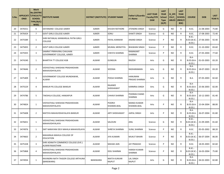| S.No. | ONID    | <b>Merit</b><br><b>No.(DISTRIC</b><br>APPLICATI  T/FACULTY/<br><b>SCHOOL</b><br>TYPE/(R/C)<br>WISE) | <b>INSTITUTE NAME</b>                                     | DISTRICT (INSTITUTE) STUDENT NAME |                             | Father's/Guardia<br>n's Name     | <b>LAST YEAR</b><br><b>Faculty/STR</b><br><b>EAM</b> | <b>LAST</b><br><b>YEAR</b><br><b>School</b><br><b>Type</b><br>(G/P) | IS_SPE<br><b>CILLY</b><br><b>ABLED</b> | <b>LAST</b><br><b>YEAR</b><br><b>SCHOOL</b><br>(RBSE/C<br>BSE) | <b>COURSE</b>                                | <b>DOB</b>              | <b>LAST</b><br>YEAR % |
|-------|---------|-----------------------------------------------------------------------------------------------------|-----------------------------------------------------------|-----------------------------------|-----------------------------|----------------------------------|------------------------------------------------------|---------------------------------------------------------------------|----------------------------------------|----------------------------------------------------------------|----------------------------------------------|-------------------------|-----------------------|
| 20    | 3476551 | 6                                                                                                   | DAYANAND COLLEGE AJMER                                    | <b>AJMER</b>                      | KHUSHI RATHORE              | JITENDRA SINGH                   | Science                                              | G                                                                   | NO.                                    | $\mathsf{R}$                                                   | B.SC.                                        | 21-08-2003              | 75.80                 |
| 21    | 3476424 | $7^{\circ}$                                                                                         | <b>GOVT GIRLS COLLEGE AJMER</b>                           | <b>AJMER</b>                      | SONU                        | <b>SHAKTI SINGH</b>              | Science                                              | G                                                                   | NO.                                    | $\mathsf{R}$                                                   | B.SC.                                        | 17-08-2003              | 72.40                 |
| 22    | 3475589 | $\mathbf{1}$                                                                                        | SHRI RATANLAL KANWARLAL PATNI GIRLS<br><b>COLLEGE</b>     | AJMER                             | PAYAL KANWAR                | ANAND SINGH                      | Science                                              | P                                                                   | NO.                                    | R                                                              | <b>B.SC.-</b><br>B.ED.                       | B.ED.(B.SC.- 27-06-2003 | 92.40                 |
| 23    | 3475835 | $\overline{2}$                                                                                      | <b>GOVT GIRLS COLLEGE AJMER</b>                           | <b>AJMER</b>                      | MUMAL MERATIYA              | <b>BHAWANI SINGH</b>             | Science                                              | P                                                                   | NO.                                    | $\mathsf{R}$                                                   | B.SC.                                        | 21-10-2002              | 83.60                 |
| 24    | 3475925 | 3                                                                                                   | SAMRAT PRIRHVIRAJ CHAUHAN<br>GOVERNMENT COLLEGE, AJMER    | AJMER                             | <b>CHESTA SHARMA</b>        | RAMAKANT<br>SHARMA               | Science                                              | P                                                                   | NO.                                    | $\mathsf{R}$                                                   | B.SC.                                        | 27-05-2004              | 77.60                 |
| 25    | 3474240 | $\mathbf{1}$                                                                                        | <b>BHARTIYA TT COLLEGE KGB</b>                            | ALWAR                             | <b>GUNGUN</b>               | <b>RAJESH</b>                    | Arts                                                 | G                                                                   | NO.                                    | R                                                              | $B.A-$<br>$B.ED.(B.A-$<br>B.ED.              | 01-03-2003              | 83.20                 |
| 26    | 3474646 | $\overline{2}$                                                                                      | VIDYASTHALI SHIKSHAK PRASHIKSHAN<br>MAHAVIDHYALAYA        | ALWAR                             | SEEEMA                      | RADHARAMAN                       | Arts                                                 | G                                                                   | NO.                                    | R                                                              | <b>B.A-</b><br>$B.ED.(B.A-$<br>B.ED.)        | 18-07-2003              | 83.20                 |
| 27    | 3475409 | 3                                                                                                   | GOVERNMENT COLLEGE MUNDAWAR,<br>ALWAR                     | ALWAR                             | POOJA SHARMA                | <b>HANUMAN</b><br>PRASAD SHARMA  | Arts                                                 | G                                                                   | NO.                                    | $\mathsf{R}$                                                   | B.A.                                         | 07-05-2003              | 82.60                 |
| 28    | 3475529 | 4                                                                                                   | <b>BANSUR PG COLLEGE BANSUR</b>                           | ALWAR                             | RAJANEE<br>SHEKHAWAT        | KARMRAJ SINGH                    | Arts                                                 | G                                                                   | <b>NO</b>                              | R                                                              | $B.A-$<br>$B.ED.(B.A-$<br>B.ED.              | 25-06-2003              | 82.00                 |
| 29    | 3474786 | 5                                                                                                   | TAKSHILA COLLEGE, HAMJAPUR                                | ALWAR                             | CHHAVI SHARMA               | POORAN CHAND<br>SHARMA           | Arts                                                 | G                                                                   | NO.                                    | R                                                              | B.A-<br>$B.ED.(B.A-$<br>B.ED.)               | 10-12-2003              | 81.40                 |
| 30    | 3474824 | $\mathbf{1}$                                                                                        | VIDYASTHALI SHIKSHAK PRASHIKSHAN<br>MAHAVIDHYALAYA        | ALWAR                             | <b>POORVI</b><br>KHANDELWAL | <b>MANOJ KUMAR</b><br>KHANDELWAL | Arts                                                 | P                                                                   | NO.                                    | R                                                              | $B.A-$<br><b>B.ED.(B.A-</b><br><b>B.ED.)</b> | 15-04-2004              | 88.00                 |
| 31    | 3475608 | $\overline{2}$                                                                                      | MATSYA MAHAVIDHAYALAYA BANSUR                             | ALWAR                             | <b>ARTI SHEKHAWAT</b>       | <b>JAIPAL SINGH</b>              | Arts                                                 | P                                                                   | NO.                                    | $\mathsf{R}$                                                   | $B.A-$<br><b>B.ED.(B.A-</b><br>B.ED.         | 26-07-2004              | 81.80                 |
| 32    | 3476651 | 1                                                                                                   | <b>VIDYASTHALI SHIKSHAK PRASHIKSHAN</b><br>MAHAVIDHYALAYA | ALWAR                             | SALOUNI                     | ANIL                             | Science                                              | G                                                                   | <b>NO</b>                              | R                                                              | <b>B.SC.-</b><br>$B.ED.(B.SC.-)$<br>B.ED.)   | 21-09-2005              | 81.60                 |
| 33    | 3474976 | 1                                                                                                   | SMT NARAYANI DEVI MAHILA MAHAVIDLAYA                      | ALWAR                             | SHREYA SHARMA               | SUNIL SHARMA                     | Science                                              | P                                                                   | NO.                                    | $\mathsf{R}$                                                   | B.SC.                                        | 05-05-2002              | 88.20                 |
| 34    | 3474663 | $\overline{2}$                                                                                      | MAHARAJA MAHILA COLLEGE OF<br><b>EDUCATION</b>            | ALWAR                             | <b>JIYA KUMARI</b>          | <b>MUKUT BIHARI</b>              | Science                                              | P                                                                   | NO                                     | R                                                              | <b>B.SC.-</b><br>B.ED.)                      | B.ED.(B.SC.- 06-07-2004 | 86.00                 |
| 35    | 3475328 | 3                                                                                                   | SHRI ADINATH COMMERCE COLLEGE (EVE.)<br>ALWAR RAJASTHAN   | ALWAR                             | <b>MAHAK JAIN</b>           | <b>JAY PRAKASH</b>               | Science                                              | P                                                                   | <b>NO</b>                              | R                                                              | B.SC.                                        | 18-05-2003              | 82.60                 |
| 36    | 3475868 | 4                                                                                                   | VIDYASTHALI SHIKSHAK PRASHIKSHAN<br>MAHAVIDHYALAYA        | ALWAR                             | DOLI SHARMA                 | <b>HARISH KUMAR</b><br>SHARMA    | Science                                              | P                                                                   | NO.                                    | R                                                              | <b>B.SC.-</b><br><b>B.ED.)</b>               | B.ED.(B.SC.- 16-03-2004 | 75.80                 |
| 37    | 3474934 | $\mathbf{1}$                                                                                        | RAVINDRA NATH TAIGOR COLLEGE ARTHUNA<br>(BANSWARA)        | <b>BANSWARA</b>                   | NIKITA KUNVAR<br>RAJPUT     | <b>LAL SINGH</b><br>RAJPUT       | Arts                                                 | G                                                                   | NO                                     | R                                                              | $B.A-$<br><b>B.ED.(B.A-</b><br><b>B.ED.)</b> | 04-02-2003              | 82.80                 |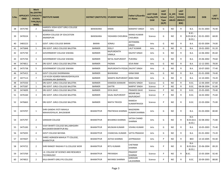| S.No. | <b>ONID</b> | <b>Merit</b><br><b>No.(DISTRIC</b><br>APPLICATI  T/FACULTY/<br><b>SCHOOL</b><br>TYPE/(R/C)<br>WISE) | <b>INSTITUTE NAME</b>                                                   | DISTRICT (INSTITUTE) STUDENT NAME |                                  | Father's/Guardia<br>n's Name    | <b>LAST YEAR</b><br>Faculty/STR<br><b>EAM</b> | <b>LAST</b><br><b>YEAR</b><br><b>School</b><br><b>Type</b><br>(G/P) | IS SPE<br><b>CILLY</b><br><b>ABLED</b> | <b>LAST</b><br><b>YEAR</b><br><b>SCHOOL</b><br>(RBSE/C<br>BSE) | <b>COURSE</b>                             | <b>DOB</b> | <b>LAST</b><br><b>YEAR</b> % |
|-------|-------------|-----------------------------------------------------------------------------------------------------|-------------------------------------------------------------------------|-----------------------------------|----------------------------------|---------------------------------|-----------------------------------------------|---------------------------------------------------------------------|----------------------------------------|----------------------------------------------------------------|-------------------------------------------|------------|------------------------------|
| 38    | 3475740     | $\overline{2}$                                                                                      | HARIDEV JOSHI GOVT GIRLS COLLEGE<br><b>BANSWARA</b>                     | <b>BANSWARA</b>                   | KIRAN                            | <b>NARAPAT SINGH</b>            | Arts                                          | G                                                                   | NO.                                    | $\mathsf{R}$                                                   | B.A.                                      | 01-01-2003 | 76.40                        |
| 39    | 3476524     | 1                                                                                                   | ADARSH COLLEGE OF EDUCATION<br>ANANDPURI                                | <b>BANSWARA</b>                   | YASHANSI CHOUBISA                | MANOJ KUMAR<br><b>CHOUBISA</b>  | Science                                       | G                                                                   | NO.                                    | R                                                              | $B.SC. -$<br><b>B.ED.(B.SC.-</b><br>B.ED. | 02-01-2003 | 68.00                        |
| 40    | 3483223     | 1                                                                                                   | GOVT. GIRLS COLLEGE BARAN                                               | BARAN                             | SONALI                           | <b>JEETENDRA</b><br>SINGH       | Arts                                          | G                                                                   | NO.                                    | R.                                                             | B.A.                                      | 02-05-2004 | 74.00                        |
| 41    | 3475848     | 1                                                                                                   | DRJ GOVT. GIRLS COLLEGE BALOTRA                                         | <b>BARMER</b>                     | <b>DOLLY</b>                     | <b>LALIT KUMAR</b>              | Arts                                          | G                                                                   | <b>NO</b>                              | R                                                              | B.A.                                      | 19-01-2003 | 91.20                        |
| 42    | 3475730     | $\overline{2}$                                                                                      | <b>GOVERNMENT COLLEGE SIWANA</b>                                        | <b>BARMER</b>                     | RAJPUROHITH<br>VIMALA            | <b>DALPAT SINGH</b>             | Arts                                          | G                                                                   | NO.                                    | R                                                              | B.A.                                      | 12-06-2002 | 85.60                        |
| 43    | 3475744     | 3                                                                                                   | <b>GOVERNMENT COLLEGE SIWANA</b>                                        | <b>BARMER</b>                     | NETAL RAJPUROHIT                 | <b>PUKHRAJ</b>                  | Arts                                          | G                                                                   | NO.                                    | R.                                                             | B.A.                                      | 25-06-2002 | 79.60                        |
| 44    | 3474811     | 4                                                                                                   | DRJ GOVT. GIRLS COLLEGE BALOTRA                                         | <b>BARMER</b>                     | PADMA                            | <b>SEVA RAM</b>                 | Arts                                          | G                                                                   | NO.                                    | R                                                              | B.A.                                      | 12-12-2001 | 78.00                        |
| 45    | 3475738     | 5                                                                                                   | GOVERNMENT COLLEGE SIWANA                                               | <b>BARMER</b>                     | RAJPUROHITH POOJA DALPAT SINGH   |                                 | Arts                                          | G                                                                   | NO.                                    | R                                                              | B.A.                                      | 10-07-2003 | 77.40                        |
| 46    | 3475415     | 6                                                                                                   | <b>GOVT COLLEGE DHORIMANA</b>                                           | <b>BARMER</b>                     | <b>BHAWANA</b>                   | KANA RAM                        | Arts                                          | G                                                                   | NO.                                    | R                                                              | <b>B.A.</b>                               | 01-01-2000 | 74.40                        |
| 47    | 3477113     | $\overline{7}$                                                                                      | LUV-KUSH ADARSH MAHAVIDHYALAYA<br>GUDAMALANI (BARMER)                   | <b>BARMER</b>                     | <b>MAMTA RAJPUROHIT BABU RAM</b> |                                 | Arts                                          | G                                                                   | NO.                                    | R                                                              | B.A.                                      | 12-10-2001 | 74.20                        |
| 48    | 3475550     | $\mathbf{1}$                                                                                        | DRJ GOVT. GIRLS COLLEGE BALOTRA                                         | <b>BARMER</b>                     | KAMODA KANWAR                    | <b>MADHU SINGH</b>              | Science                                       | G                                                                   | NO.                                    | R                                                              | B.SC.                                     | 12-06-2004 | 67.60                        |
| 49    | 3475587     | $\mathbf{1}$                                                                                        | DRJ GOVT. GIRLS COLLEGE BALOTRA                                         | <b>BARMER</b>                     | <b>GAYTRI</b>                    | NARPAT SINGH                    | Science                                       | P                                                                   | NO.                                    | R                                                              | B.SC.                                     | 08-08-2004 | 91.80                        |
| 50    | 3474699     | $\overline{2}$                                                                                      | DRJ GOVT. GIRLS COLLEGE BALOTRA                                         | <b>BARMER</b>                     | DIYA DAVE                        | PRAMOD DAVE                     | Science                                       | P                                                                   | NO.                                    | R                                                              | B.SC.                                     | 25-05-2005 | 79.40                        |
| 51    | 3476160     | 3                                                                                                   | DRJ GOVT. GIRLS COLLEGE BALOTRA                                         | <b>BARMER</b>                     | KAJAL RAJPUROHIT                 | <b>MISHRI MAL</b><br>RAJPUROHIT | Science                                       | P                                                                   | NO.                                    | $\mathsf{R}$                                                   | B.SC.                                     | 16-02-2002 | 75.60                        |
| 52    | 3476663     | 4                                                                                                   | DRJ GOVT. GIRLS COLLEGE BALOTRA                                         | <b>BARMER</b>                     | NIKITA TRIVEDI                   | RAMESH<br>KUMARTRIVEDI          | Science                                       | P                                                                   | NO.                                    | R                                                              | B.SC.                                     | 22-03-2004 | 75.00                        |
| 53    | 3474707     | $\mathbf{1}$                                                                                        | SHRI GANDHI JYOTI MAHILA<br>MAHAVIDYALAY, BHUSAWAR                      | <b>BHARATPUR</b>                  | PRATIKSHA SHARMA                 | NAGENDRA<br>KUMAR SHARMA        | Arts                                          | G                                                                   | NO.                                    | R                                                              | B.A.                                      | 01-03-2004 | 80.80                        |
| 54    | 3475797     | $\overline{2}$                                                                                      | <b>SANSKAR COLLEGE</b>                                                  | <b>BHARATPUR</b>                  | <b>BHUMIKA SHARMA</b>            | SATISH CHAND<br><b>SHARMA</b>   | Arts                                          | G                                                                   | NO.                                    | R                                                              | $B.A-$<br>$B.ED.(B.A-$<br>B.ED.           | 02-08-2002 | 75.80                        |
| 55    | 3475183     | 3                                                                                                   | <b>VIJAY BHARTI COLLEGE BALLABHGARH</b><br><b>BHUSAWER BHARTPUR RAJ</b> | <b>BHARATPUR</b>                  | MUSKAN KUMARI                    | VISHNU KUMAR                    | Arts                                          | G                                                                   | NO.                                    | R                                                              | B.A.                                      | 10-05-2003 | 75.40                        |
| 56    | 3475035     | 4                                                                                                   | <b>GOVT COLLEGE BAYANA</b>                                              | <b>BHARATPUR</b>                  | CHANCHAL KUMARI                  | <b>SATYA PRAKASH</b>            | Arts                                          | G                                                                   | NO                                     | R                                                              | B.A.                                      | 01-01-2002 | 73.20                        |
| 57    | 3474507     | 1                                                                                                   | SHREE AGRASEN MAHILA TT COLLEGE,<br><b>BHARATPUR</b>                    | <b>BHARATPUR</b>                  | <b>ASTHA SHARMA</b>              | <b>JAYPRAKASH</b>               | Arts                                          | P                                                                   | NO                                     | R                                                              | <b>BED</b>                                | 13-10-2005 | 93.40                        |
| 58    | 3474722     | $\overline{2}$                                                                                      | SHRI RANGEY RAGHAV P.G.COLLEGE WEIR                                     | <b>BHARATPUR</b>                  | <b>RITU KUMARI</b>               | CHETRAM<br>SHARMA               | Arts                                          | P                                                                   | NO.                                    | R                                                              | B.A-<br>$B.ED.(B.A-$<br>B.ED.)            | 25-06-2004 | 89.20                        |
| 59    | 3473769     | 1                                                                                                   | J.K. COLLEGE OF SCIENCE AND RESEARCH<br><b>TECHNOLOGY</b>               | <b>BHARATPUR</b>                  | PRIYANSHI                        | PRADEEP<br>SHARMA               | Science                                       | P                                                                   | NO.                                    | R                                                              | B.SC.                                     | 15-05-2004 | 92.40                        |
| 60    | 3474815     | $\overline{2}$                                                                                      | KALA BHARTI GIRLS PG COLLEGE                                            | <b>BHARATPUR</b>                  | NAYANSI SHARMA                   | GIRDHARI<br>LALSHARMA           | Science                                       | P                                                                   | NO                                     | R                                                              | B.SC.                                     | 20-09-2003 | 88.80                        |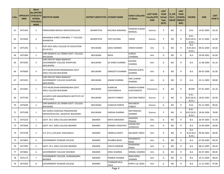| S.No. | <b>ONID</b> | <b>Merit</b><br><b>No.(DISTRIC</b><br>APPLICATI  T/FACULTY/<br><b>SCHOOL</b><br>TYPE/(R/C)<br>WISE) | <b>INSTITUTE NAME</b>                                                         | DISTRICT (INSTITUTE) STUDENT NAME |                               | Father's/Guardia<br>n's Name        | <b>LAST YEAR</b><br><b>Faculty/STR</b><br><b>EAM</b> | <b>LAST</b><br><b>YEAR</b><br><b>School</b><br><b>Type</b><br>(G/P) | IS SPE<br><b>CILLY</b><br><b>ABLED</b> | <b>LAST</b><br><b>YEAR</b><br><b>SCHOOL</b><br>(RBSE/C<br>BSE) | <b>COURSE</b>                                  | <b>DOB</b>              | <b>LAST</b><br><b>YEAR</b> % |
|-------|-------------|-----------------------------------------------------------------------------------------------------|-------------------------------------------------------------------------------|-----------------------------------|-------------------------------|-------------------------------------|------------------------------------------------------|---------------------------------------------------------------------|----------------------------------------|----------------------------------------------------------------|------------------------------------------------|-------------------------|------------------------------|
| 61    | 3475342     | 3                                                                                                   | PARSHURAM MAHILA MAHAVIDHALAYA                                                | <b>BHARATPUR</b>                  | RUCHIKA AGRAWAL               | PRAMOD KUMAR<br>MANGAL              | Science                                              | P                                                                   | NO.                                    | R                                                              | B.SC.                                          | 14-05-2003              | 83.20                        |
| 62    | 3474439     | 4                                                                                                   | MAHARAJA SHREE SURAJMAL T T COLLEGE<br><b>RAHIMPUR</b>                        | <b>BHARATPUR</b>                  | <b>JYOTI KATARA</b>           | <b>VINOD</b>                        | Science                                              | P                                                                   | NO.                                    | R                                                              | <b>B.SC.-</b><br>B.ED.                         | B.ED.(B.SC.- 02-11-2002 | 81.00                        |
| 63    | 3475292     | $\mathbf{1}$                                                                                        | RUPI DEVI GIRLS COLLEGE OF EDUCATION<br>(B.A.B.ED.)                           | <b>BHILWARA</b>                   | SAKSI SHARMA                  | <b>VINOD KUMAR</b>                  | Arts                                                 | G                                                                   | NO.                                    | R                                                              | B.A-<br>$B.ED.(B.A-$<br>B.ED.                  | 09-01-2004              | 83.60                        |
| 64    | 3475369     | $\overline{2}$                                                                                      | SHRI MANIKYA LAL VERMA GOVT. COLLEGE<br><b>BHILWARA</b>                       | <b>BHILWARA</b>                   | <b>NEHA</b>                   | <b>SURESH</b><br>CHANDRA            | Arts                                                 | G                                                                   | NO.                                    | R                                                              | B.A.                                           | 29-04-2001              | 82.60                        |
| 65    | 3474295     | 3                                                                                                   | SHRI PRATAP SINGH BARAHAT<br><b>GOVERNMENT COLLEGE SHAHPURA</b><br>(BHILWARA) | <b>BHILWARA</b>                   | <b>JAI SHREE SHARMA</b>       | <b>GOVIND</b><br><b>SHARMA</b>      | Arts                                                 | G                                                                   | NO.                                    | R                                                              | B.A.                                           | 11-08-2004              | 81.20                        |
| 66    | 3476609     | 4                                                                                                   | SETH MURLIDHAR MANSINGHKA GOVT.<br><b>GIRLS COLLEGE BHILWARA</b>              | <b>BHILWARA</b>                   | SANGEETA SHARMA               | KRISHAN GOPAL<br>SHARMA             | Arts                                                 | G                                                                   | NO.                                    | R                                                              | B.A.                                           | 09-02-2000              | 81.00                        |
| 67    | 3474252     | 5                                                                                                   | SHRI PRATAP SINGH BARAHAT<br><b>GOVERNMENT COLLEGE SHAHPURA</b><br>(BHILWARA) | <b>BHILWARA</b>                   | ANJANI SHARMA                 | <b>ANIL KUMAR</b><br><b>SHARMA</b>  | Arts                                                 | G                                                                   | <b>NO</b>                              | R                                                              | B.A.                                           | 23-11-2002              | 80.80                        |
| 68    | 3474587     | $\mathbf{1}$                                                                                        | SETH MURLIDHAR MANSINGHKA GOVT.<br><b>GIRLS COLLEGE BHILWARA</b>              | <b>BHILWARA</b>                   | <b>KUMKUM</b><br>VIJAYVARGIYA | <b>RAMESH KUMAR</b><br>VIJAYVARGIYA | Commerce                                             | G                                                                   | NO.                                    | R                                                              | <b>BCOM</b>                                    | 07-01-2003              | 81.20                        |
| 69    | 3475749     | $\mathbf{1}$                                                                                        | ACHARYA SHRI MAHAPRAGYA INSTITUTE OF<br><b>EXCELLENCE</b>                     | BHILWARA                          | <b>AKSHITA PAREEK</b>         | <b>GAUTAM PAREEK</b>                | Science                                              | G                                                                   | NO.                                    | R                                                              | <b>B.SC.-</b><br>B.ED.(B.SC.-<br><b>B.ED.)</b> | 18-05-2003              | 82.00                        |
| 70    | 3475649     | $\overline{2}$                                                                                      | SHRI MANIKYA LAL VERMA GOVT. COLLEGE<br><b>BHILWARA</b>                       | <b>BHILWARA</b>                   | <b>GUNGUN PAREEK</b>          | <b>BHUVNESH</b><br><b>PAREEK</b>    | Science                                              | G                                                                   | NO.                                    | R                                                              | B.SC.                                          | 05-12-2003              | 80.60                        |
| 71    | 3475298     | $\mathbf{1}$                                                                                        | DEV KANYA SHIKSHAK PRASHIKSHAN<br>MAHAVIDYALAYA, JAHAJPUR, BHILWARA           | <b>BHILWARA</b>                   | VARSHA SHARMA                 | <b>OM PRAKSAH</b><br>SHARMA         | Science                                              | P                                                                   | NO.                                    | R                                                              | $B.SC.-$<br>B.ED.                              | B.ED.(B.SC.- 18-06-2004 | 78.80                        |
| 72    | 3475263     | $\mathbf{1}$                                                                                        | <b>GOVT. M.S. GIRLS COLLEGE BIKANER</b>                                       | <b>BIKANER</b>                    | <b>MAYA SARASWAT</b>          | <b>JAGADISH</b><br>PRASAD           | Arts                                                 | G                                                                   | NO.                                    | R                                                              | B.A.                                           | 26-07-2003              | 91.40                        |
| 73    | 3475838     | $\overline{2}$                                                                                      | GOVT. M.S. GIRLS COLLEGE BIKANER                                              | <b>BIKANER</b>                    | <b>MONIKA UPADHYAY</b>        | KISHAN DEV<br><b>UPADHYAY</b>       | Arts                                                 | G                                                                   | NO.                                    | R                                                              | B.A.                                           | 13-09-2004              | 90.80                        |
| 74    | 3474738     | 3                                                                                                   | S.D. (P.G.) COLLEGE, KHAJUWALA                                                | <b>BIKANER</b>                    | URMEELA BHATI                 | <b>BALWANT SINGH</b>                | Arts                                                 | G                                                                   | NO.                                    | R                                                              | $B.A-$<br>$B.ED.(B.A-)$<br>B.ED.               | 09-06-2002              | 89.60                        |
| 75    | 3474902     | 4                                                                                                   | <b>GOVERNMENT DUNGAR COLLEGE</b>                                              | <b>BIKANER</b>                    | <b>SHURBHI BISSA</b>          | KEDARNATH<br><b>BISSA</b>           | Arts                                                 | G                                                                   | <b>NO</b>                              | R                                                              | B.A.                                           | 07-04-2003              | 89.20                        |
| 76    | 3477995     | 5                                                                                                   | GOVT. M.S. GIRLS COLLEGE BIKANER                                              | <b>BIKANER</b>                    | <b>VINITA KANWAR</b>          | <b>HEMENDRA</b><br><b>SINGH</b>     | Arts                                                 | G                                                                   | NO.                                    | R                                                              | B.A.                                           | 08-12-2003              | 89.20                        |
| 77    | 3474842     | 6                                                                                                   | <b>GOVERNMENT COLLEGE DESHNOK</b>                                             | <b>BIKANER</b>                    | <b>SONU SHARMA</b>            | <b>NIRMAL SHARMA</b>                | Arts                                                 | G                                                                   | NO.                                    | R                                                              | B.A.                                           | 03-07-2002              | 89.00                        |
| 78    | 3475174     | $\overline{7}$                                                                                      | GOVERNMENT COLLEGE, DUNGARGARH,<br><b>BIKANER</b>                             | <b>BIKANER</b>                    | PRABHA SHARMA                 | <b>RAM GOPAL</b><br>SHARMA          | Arts                                                 | G                                                                   | NO                                     | R                                                              | <b>B.A.</b>                                    | 10-11-2004              | 88.60                        |
| 79    | 3475504     | 8                                                                                                   | <b>GOVERNMENT DUNGAR COLLEGE</b>                                              | BIKANER                           | <b>CHANDAR KALA</b><br>JOSHI  | PAPPU LAL JOSHI                     | Arts                                                 | G                                                                   | <b>NO</b>                              | R                                                              | <b>B.A.</b>                                    | 11-12-2003              | 87.80                        |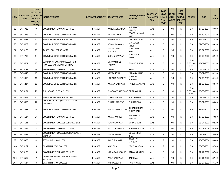| S.No. | <b>ONID</b> | <b>Merit</b><br><b>No.(DISTRIC</b><br>APPLICATI  T/FACULTY/<br><b>SCHOOL</b><br>TYPE/(R/C)<br>WISE) | <b>INSTITUTE NAME</b>                                       | <b>DISTRICT (INSTITUTE) STUDENT NAME</b> |                                       | Father's/Guardia<br>n's Name       | <b>LAST YEAR</b><br><b>Faculty/STR</b><br><b>EAM</b> | <b>LAST</b><br><b>YEAR</b><br><b>School</b><br><b>Type</b><br>(G/P) | IS_SPE<br><b>CILLY</b><br><b>ABLED</b> | <b>LAST</b><br><b>YEAR</b><br><b>SCHOOL</b><br>(RBSE/C<br>BSE) | <b>COURSE</b>                                | <b>DOB</b> | <b>LAST</b><br><b>YEAR</b> % |
|-------|-------------|-----------------------------------------------------------------------------------------------------|-------------------------------------------------------------|------------------------------------------|---------------------------------------|------------------------------------|------------------------------------------------------|---------------------------------------------------------------------|----------------------------------------|----------------------------------------------------------------|----------------------------------------------|------------|------------------------------|
| 80    | 3475713     | 9                                                                                                   | <b>GOVERNMENT DUNGAR COLLEGE</b>                            | <b>BIKANER</b>                           | AANCHAL PANDEY                        | <b>SHESHNATH</b><br>PANDEY         | Arts                                                 | G                                                                   | <b>NO</b>                              | R                                                              | B.A.                                         | 17-08-2004 | 87.60                        |
| 81    | 3475723     | 10                                                                                                  | <b>GOVT. M.S. GIRLS COLLEGE BIKANER</b>                     | <b>BIKANER</b>                           | <b>NANDINI VYAS</b>                   | YOGESH KUMAR<br><b>VYAS</b>        | Arts                                                 | G                                                                   | <b>NO</b>                              | R                                                              | B.A.                                         | 15-10-2003 | 85.20                        |
| 82    | 3476031     | 11                                                                                                  | BINANI KANYA MAHAVIDYALAYA                                  | <b>BIKANER</b>                           | <b>MEGHA VYAS</b>                     | DEVKINANDAN                        | Arts                                                 | G                                                                   | <b>NO</b>                              | R                                                              | B.A.                                         | 25-07-2002 | 83.20                        |
| 83    | 3475009     | 12                                                                                                  | GOVT. M.S. GIRLS COLLEGE BIKANER                            | <b>BIKANER</b>                           | KOMAL KANWAR                          | <b>MAHAVEER</b><br><b>SINGH</b>    | Arts                                                 | G                                                                   | <b>NO</b>                              | R                                                              | B.A.                                         | 01-03-2004 | 83.20                        |
| 84    | 3475125     | 13                                                                                                  | AADESH COLLEGE KOLAYAT                                      | <b>BIKANER</b>                           | <b>VIJAYA SHREE</b><br><b>PUROHIT</b> | <b>MAHAVEER</b><br>PRASAD          | Arts                                                 | G                                                                   | NO.                                    | R                                                              | B.A.                                         | 15-04-2003 | 82.40                        |
| 85    | 3474715     | 14                                                                                                  | GOVT. M.S. GIRLS COLLEGE BIKANER                            | <b>BIKANER</b>                           | SUMAN KANWAR                          | SURENDRA<br><b>SINGH</b>           | Arts                                                 | G                                                                   | <b>NO</b>                              | R                                                              | B.A.                                         | 15-05-2003 | 82.40                        |
| 86    | 3475607     | 15                                                                                                  | SWAMI VIVEKANAND COLLEGE FOR<br>PROFESSONAL STUDIES SINTHAL | <b>BIKANER</b>                           | <b>DHANU SHREE</b><br><b>TANWAR</b>   | <b>GOVIND SINGH</b>                | Arts                                                 | G                                                                   | <b>NO</b>                              | R                                                              | <b>B.A-</b><br>$B.ED.(B.A-$<br><b>B.ED.)</b> | 23-07-2002 | 82.20                        |
| 87    | 3476121     | 16                                                                                                  | <b>GOVERNMENT DUNGAR COLLEGE</b>                            | <b>BIKANER</b>                           | <b>DROPATI</b>                        | <b>BRIJLAL</b>                     | Arts                                                 | G                                                                   | <b>NO</b>                              | R                                                              | B.A.                                         | 06-02-2003 | 82.20                        |
| 88    | 3474843     | 17                                                                                                  | <b>GOVT. M.S. GIRLS COLLEGE BIKANER</b>                     | <b>BIKANER</b>                           | <b>KAVITA JOSHI</b>                   | PADAM CHAND                        | Arts                                                 | G                                                                   | <b>NO</b>                              | R                                                              | <b>B.A.</b>                                  | 05-07-2005 | 82.20                        |
| 89    | 3474415     | 18                                                                                                  | GOVT. M.S. GIRLS COLLEGE BIKANER                            | <b>BIKANER</b>                           | HEMSHRI ACHARYA                       | <b>SUKHDEV</b><br>ACHARYA          | Arts                                                 | G                                                                   | NO.                                    | R                                                              | B.A.                                         | 27-05-2001 | 81.40                        |
| 90    | 3476234     | 19                                                                                                  | GOVT. M.S. GIRLS COLLEGE BIKANER                            | <b>BIKANER</b>                           | ANJANA SARSWAT                        | <b>HANUMANARAM</b>                 | Arts                                                 | G                                                                   | NO.                                    | R                                                              | B.A.                                         | 11-09-2003 | 80.40                        |
| 91    | 3476174     | 20                                                                                                  | SHRI ADARSH B.ED. COLLEGE                                   | <b>BIKANER</b>                           | <b>BHAGWATI SARSWAT OMPRAKASH</b>     |                                    | Arts                                                 | G                                                                   | <b>NO</b>                              | R                                                              | <b>B.A-</b><br>$B.ED.(B.A-$<br>B.ED.)        | 25-05-2003 | 80.20                        |
| 92    | 3474819     | 21                                                                                                  | BINANI KANYA MAHAVIDYALAYA                                  | <b>BIKANER</b>                           | YOGYATA BISSA                         | <b>VIJAY KUMAR</b>                 | Arts                                                 | G                                                                   | NO.                                    | R                                                              | B.A.                                         | 09-08-2003 | 80.20                        |
| 93    | 3475533     | 22                                                                                                  | GOVT. M.L.B. (P.G.) COLLEGE, NOKHA<br>(BIKANER)             | <b>BIKANER</b>                           | PUNAM KANWAR                          | <b>CHIMAN SINGH</b>                | Arts                                                 | G                                                                   | <b>NO</b>                              | R                                                              | B.A.                                         | 08-02-2003 | 80.00                        |
| 94    | 3474588     | 23                                                                                                  | GOVT. M.S. GIRLS COLLEGE BIKANER                            | <b>BIKANER</b>                           | <b>SALONI CHHANGANI</b>               | KISHAN KUMAR<br>CHHANGANI          | Arts                                                 | G                                                                   | NO.                                    | R                                                              | <b>B.A.</b>                                  | 31-12-2001 | 79.80                        |
| 95    | 3476134     | 24                                                                                                  | GOVERNMENT DUNGAR COLLEGE                                   | <b>BIKANER</b>                           | ANJALI PANDEY                         | SHESHNATH<br>PANDEY                | Arts                                                 | G                                                                   | <b>NO</b>                              | R                                                              | B.A.                                         | 17-06-2003 | 79.80                        |
| 96    | 3475131     | $\mathbf{1}$                                                                                        | GOVERNMENT COLLEGE LUNKARANSAR                              | <b>BIKANER</b>                           | POOJA KANWAR                          | <b>KISHN SINGH</b>                 | Arts                                                 | P                                                                   | NO.                                    | R                                                              | <b>B.A.</b>                                  | 05-04-2003 | 92.20                        |
| 97    | 3475357     | $\overline{2}$                                                                                      | <b>GOVERNMENT DUNGAR COLLEGE</b>                            | <b>BIKANER</b>                           | ANKITA KANWAR                         | <b>RANVEER SINGH</b>               | Arts                                                 | P                                                                   | NO.                                    | R                                                              | <b>B.A.</b>                                  | 14-05-2005 | 91.60                        |
| 98    | 3475097     | 3                                                                                                   | GOVERNMENT COLLEGE, DUNGARGARH,<br><b>BIKANER</b>           | <b>BIKANER</b>                           | <b>KAVITA BHATI</b>                   | <b>GULAB SINGH</b><br><b>BHATI</b> | Arts                                                 | P                                                                   | NO.                                    | R                                                              | B.A.                                         | 01-09-2002 | 90.60                        |
| 99    | 3475358     | 4                                                                                                   | SESOMU GIRLS COLLEGE                                        | BIKANER                                  | AARTI SHARMA                          | <b>INDER PAL</b><br>SHARMA         | Arts                                                 | P                                                                   | <b>NO</b>                              | R                                                              | B.A.                                         | 13-08-2004 | 89.60                        |
| 100   | 3475152     | 5                                                                                                   | <b>BHARTI NIKETAN COLLEGE</b>                               | <b>BIKANER</b>                           | <b>MANISHA</b>                        | <b>DEVKI NANDAN</b>                | Arts                                                 | P                                                                   | <b>NO</b>                              | R                                                              | B.A.                                         | 08-08-2001 | 87.80                        |
| 101   | 3476109     | 6                                                                                                   | <b>GOVERNMENT DUNGAR COLLEGE</b>                            | <b>BIKANER</b>                           | <b>NISHA RAJPUROHIT</b>               | <b>BALWANT SINGH</b>               | Arts                                                 | P                                                                   | <b>NO</b>                              | R                                                              | <b>B.A.</b>                                  | 31-12-2002 | 87.40                        |
| 102   | 3476587     | $7^{\circ}$                                                                                         | JAGDAMBA PG COLLEGE KHAJUWALA<br><b>BIKANER</b>             | <b>BIKANER</b>                           | AARTI SARSWAT                         | <b>BABU LAL</b>                    | Arts                                                 | P                                                                   | NO                                     | R                                                              | <b>B.A.</b>                                  | 18-11-2003 | 87.40                        |
| 103   | 3474534     | 8                                                                                                   | <b>BHARTI NIKETAN COLLEGE</b>                               | <b>BIKANER</b>                           | <b>KARUNA JOSHI</b>                   | <b>HARI PRASAD</b>                 | Arts                                                 | P                                                                   | <b>NO</b>                              | R                                                              | B.A.                                         | 08-07-2002 | 85.20                        |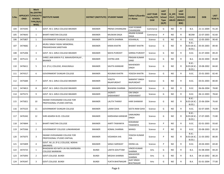| S.No. | <b>ONID</b> | <b>Merit</b><br><b>No.(DISTRIC</b><br><b>APPLICATI   T/FACULTY/</b><br><b>SCHOOL</b><br>TYPE/(R/C)<br>WISE) | <b>INSTITUTE NAME</b>                                       | DISTRICT (INSTITUTE) STUDENT NAME |                              | Father's/Guardia<br>n's Name          | <b>LAST YEAR</b><br><b>Faculty/STR</b><br><b>EAM</b> | <b>LAST</b><br><b>YEAR</b><br><b>School</b><br><b>Type</b><br>(G/P) | IS_SPE<br><b>CILLY</b><br><b>ABLED</b> | <b>LAST</b><br><b>YEAR</b><br><b>SCHOOL</b><br>(RBSE/C<br>BSE) | <b>COURSE</b>                           | <b>DOB</b>              | <b>LAST</b><br>YEAR % |
|-------|-------------|-------------------------------------------------------------------------------------------------------------|-------------------------------------------------------------|-----------------------------------|------------------------------|---------------------------------------|------------------------------------------------------|---------------------------------------------------------------------|----------------------------------------|----------------------------------------------------------------|-----------------------------------------|-------------------------|-----------------------|
| 104   | 3474345     | 1                                                                                                           | GOVT. M.S. GIRLS COLLEGE BIKANER                            | <b>BIKANER</b>                    | PRENA CHHANGANI              | VIJAY KUMAR<br>CHHANGANI              | Commerce                                             | G                                                                   | NO.                                    | R                                                              | <b>B.A.</b>                             | 21-11-2004              | 91.20                 |
| 105   | 3474643     | 1                                                                                                           | <b>BHARTI NIKETAN COLLEGE</b>                               | <b>BIKANER</b>                    | MUSKAN DAGA                  | ANJANI KUMAR<br>DAGA                  | Commerce                                             | P                                                                   | NO.                                    | R                                                              | <b>BCOM</b>                             | 22-07-2003              | 92.60                 |
| 106   | 3475807     | 1                                                                                                           | GOVERNMENT DUNGAR COLLEGE                                   | <b>BIKANER</b>                    | SARITA SHARMA                | KISHANLAL                             | Science                                              | G                                                                   | NO.                                    | R                                                              | B.SC.                                   | 12-05-2003              | 90.40                 |
| 107   | 3474682     | $\overline{2}$                                                                                              | MURLI SINGH YADAV MEMORIAL<br>PRASHIKSHAN SANSTHAN          | <b>BIKANER</b>                    | KIRAN KHATRI                 | <b>BHARAT KHATRI</b>                  | Science                                              | G                                                                   | NO.                                    | R                                                              | <b>B.SC.-</b><br>B.ED.(B.SC.-<br>B.ED.  | 05-05-2003              | 89.40                 |
| 108   | 3475206     | 3                                                                                                           | GOVT. M.S. GIRLS COLLEGE BIKANER                            | <b>BIKANER</b>                    | <b>MAYA PUROHIT</b>          | GIRIRAJ PUROHIT                       | Science                                              | G                                                                   | NO.                                    | R                                                              | B.SC.                                   | 31-07-2004              | 89.20                 |
| 109   | 3475121     | $\overline{4}$                                                                                              | SHREE JAIN KANYA P.G. MAHAVIDHYALAY,<br><b>BIKANER</b>      | <b>BIKANER</b>                    | CHITRA JAIN                  | PRASAN KUMAR<br>SAND                  | Science                                              | G                                                                   | NO.                                    | $\mathsf{R}$                                                   | B.A.                                    | 26-02-2004              | 85.80                 |
| 110   | 3476611     | 5                                                                                                           | S.D. (P.G.) COLLEGE, KHAJUWALA                              | <b>BIKANER</b>                    | SAVITA KANWAR                | <b>MAHENDER</b><br>SINGH              | Science                                              | G                                                                   | NO.                                    | R                                                              | $B.SC. -$<br>$B.ED.(B.SC.-)$<br>B.ED.   | 19-08-2002              | 84.60                 |
| 111   | 3474317     | 6                                                                                                           | GOVERNMENT DUNGAR COLLEGE                                   | <b>BIKANER</b>                    | ROUNAK KHATRI                | YOGESH KHATRI                         | Science                                              | G                                                                   | NO                                     | R                                                              | B.SC.                                   | 25-01-2003              | 82.40                 |
| 112   | 3475684     | $\overline{7}$                                                                                              | GOVT. M.S. GIRLS COLLEGE BIKANER                            | <b>BIKANER</b>                    | YOGITA<br><b>RAJAPUROHIT</b> | NARAPAT SINGH<br><b>RAJPUROHIT</b>    | Science                                              | G                                                                   | NO.                                    | R                                                              | B.SC.                                   | 03-01-2003              | 80.00                 |
| 113   | 3474813     | 8                                                                                                           | GOVT. M.S. GIRLS COLLEGE BIKANER                            | <b>BIKANER</b>                    | <b>BHAWNA SHARMA</b>         | RADHESHYAM                            | Science                                              | G                                                                   | NO.                                    | R                                                              | B.SC.                                   | 06-06-2004              | 78.80                 |
| 114   | 3475572     | 9                                                                                                           | GOVT. M.S. GIRLS COLLEGE BIKANER                            | <b>BIKANER</b>                    | JAGRATI<br>SHEKHAWAT         | OM SINGH<br>SHEKHAWAT                 | Science                                              | G                                                                   | NO                                     | R                                                              | B.SC.                                   | 06-12-2003              | 78.60                 |
| 115   | 3475821     | 10                                                                                                          | SWAMI VIVEKANAND COLLEGE FOR<br>PROFESSONAL STUDIES SINTHAL | <b>BIKANER</b>                    | <b>LALITA THANVI</b>         | <b>HARI SHANKAR</b>                   | Science                                              | G                                                                   | NO.                                    | R                                                              | <b>B.SC.-</b><br>B.ED.(B.SC.-<br>B.ED.) | 25-06-2004              | 76.60                 |
| 116   | 3475525     | 11                                                                                                          | GOVERNMENT DUNGAR COLLEGE                                   | <b>BIKANER</b>                    | LAXMI OJHA                   | SEETA RAM OJHA                        | Science                                              | G                                                                   | NO.                                    | R                                                              | B.SC.                                   | 02-07-2005              | 76.00                 |
| 117   | 3476342     | 12                                                                                                          | SHRI ADARSH B.ED. COLLEGE                                   | <b>BIKANER</b>                    | KARSHANA KANWAR              | SAMUNDRA<br>SINGH                     | Science                                              | G                                                                   | NO.                                    | R                                                              | $B.SC.-$<br>B.ED.                       | B.ED.(B.SC.- 17-07-2005 | 72.80                 |
| 118   | 3474844     | 1                                                                                                           | <b>BHARTI NIKETAN COLLEGE</b>                               | <b>BIKANER</b>                    | AARTI TAWANIYA               | KODARAM<br>TAWANIYA                   | Science                                              | P                                                                   | NO.                                    | R                                                              | B.SC.                                   | 02-01-2003              | 93.60                 |
| 119   | 3475566     | $\overline{2}$                                                                                              | GOVERNMENT COLLEGE LUNKARANSAR                              | <b>BIKANER</b>                    | KOMAL SHARMA                 | MANOJ                                 | Science                                              | P                                                                   | NO                                     | R                                                              | B.SC.                                   | 03-08-2003              | 85.20                 |
| 120   | 3475075     | 3                                                                                                           | SWAMI VIVEKANAND COLLEGE FOR<br>PROFESSONAL STUDIES SINTHAL | <b>BIKANER</b>                    | <b>VEDANSHI JHA</b>          | YOGESH KUMAR<br><b>JHA</b>            | Science                                              | P                                                                   | NO.                                    | R                                                              | <b>B.SC.-</b><br>B.ED.)                 | B.ED.(B.SC.- 21-03-2002 | 80.00                 |
| 121   | 3474409     | $\overline{4}$                                                                                              | GOVT. M.L.B. (P.G.) COLLEGE, NOKHA<br>(BIKANER)             | <b>BIKANER</b>                    | SANJU SARSWAT                | <b>HEERA LAL</b>                      | Science                                              | P                                                                   | NO                                     | R                                                              | B.SC.                                   | 20-04-2003              | 69.40                 |
| 122   | 3474725     | 1                                                                                                           | BHAGWAN ADI NATH JAI-RAJ MARWARA<br><b>COLLEGE NAINWAN</b>  | <b>BUNDI</b>                      | LAXITA GOUTTAM               | <b>VINOD KUMAR</b><br>SHARMA          | Arts                                                 | G                                                                   | NO.                                    | R                                                              | B.A.                                    | 01-08-2004              | 84.20                 |
| 123   | 3475093     | $\overline{2}$                                                                                              | <b>GOVT.COLLEGE .BUNDI</b>                                  | <b>BUNDI</b>                      | <b>MEGHA SHARMA</b>          | MAHAVEER<br>SHARMA                    | Arts                                                 | G                                                                   | NO.                                    | R                                                              | B.A.                                    | 04-10-2002              | 80.20                 |
| 124   | 3476347     | 3                                                                                                           | GOVT.COLLEGE .BUNDI                                         | <b>BUNDI</b>                      | YUKTA BHATNAGAR              | <b>AJAY SINGH</b><br><b>BHATNAGAR</b> | Arts                                                 | G                                                                   | NO                                     | R                                                              | <b>B.A.</b>                             | 01-01-2004              | 77.00                 |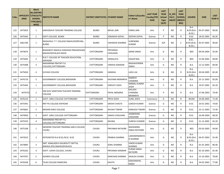| S.No. | <b>ONID</b> | <b>Merit</b><br><b>No.(DISTRIC</b><br>APPLICATI  T/FACULTY/<br><b>SCHOOL</b><br>TYPE/(R/C)<br>WISE) | <b>INSTITUTE NAME</b>                                        | DISTRICT (INSTITUTE) STUDENT NAME |                      | Father's/Guardia<br>n's Name     | <b>LAST YEAR</b><br><b>Faculty/STR</b><br><b>EAM</b> | <b>LAST</b><br><b>YEAR</b><br><b>School</b><br><b>Type</b><br>(G/P) | IS SPE<br><b>CILLY</b><br><b>ABLED</b> | <b>LAST</b><br><b>YEAR</b><br><b>SCHOOL</b><br>(RBSE/C<br>BSE) | <b>COURSE</b>                                 | <b>DOB</b>            | <b>LAST</b><br>YEAR % |
|-------|-------------|-----------------------------------------------------------------------------------------------------|--------------------------------------------------------------|-----------------------------------|----------------------|----------------------------------|------------------------------------------------------|---------------------------------------------------------------------|----------------------------------------|----------------------------------------------------------------|-----------------------------------------------|-----------------------|-----------------------|
| 125   | 3475819     | 1                                                                                                   | SARVODAYA TEACHER TRAINING COLLEGE                           | <b>BUNDI</b>                      | <b>NEHAL JAIN</b>    | PARAS JAIN                       | Arts                                                 | P                                                                   | NO.                                    | R                                                              | $B.A-$<br>$B.ED.(B.A-$<br>B.ED.               | 05-07-2003            | 90.00                 |
| 126   | 3475443     | $\mathbf{1}$                                                                                        | <b>GOVT.COLLEGE .BUNDI</b>                                   | <b>BUNDI</b>                      | SONAKSHI GOYAL       | <b>DEEPAK GOYAL</b>              | Science                                              | P                                                                   | <b>NO</b>                              | $\mathsf{R}$                                                   | B.SC.                                         | 18-02-2003            | 66.20                 |
| 127   | 3461760     | $\mathbf{1}$                                                                                        | RAGHUKUL T.T. COLLEGE RAGHUVEERPURA,<br><b>BUNDI</b>         | <b>BUNDI</b>                      | VISHAKHA SHARMA      | SURENDRA<br><b>KUMAR</b>         | Science                                              | G/P                                                                 | NO.                                    | C                                                              | <b>B.SC.-</b><br><b>B.ED.(B.SC.-</b><br>B.ED. | 05-07-2003            | 90.60                 |
| 128   | 3474674     | 1                                                                                                   | BHAGWATI MAHILA SHIKSHAK PRASHIKSHAN<br>MAHAVIDHYALAYA BASSI | CHITTORGARH                       | PRIYANSHI<br>CHOUHAN | <b>AMAR SINGH</b>                | Arts                                                 | G                                                                   | NO.                                    | R                                                              | <b>BED</b>                                    | 09-04-2004            | 92.00                 |
| 129   | 3475645     | $\overline{2}$                                                                                      | R.N.T. COLLEGE OF TEACHER EDUCATION,<br><b>KAPASAN</b>       | <b>CHITTORGARH</b>                | <b>HEMALATA</b>      | <b>SAGAR MAL</b>                 | Arts                                                 | G                                                                   | NO.                                    | $\mathsf{R}$                                                   | <b>BED</b>                                    | 15-06-2002            | 84.80                 |
| 130   | 3475408     | 3                                                                                                   | MAHARANA PRATAP P.G.<br>COLLEGE, CHITTORGARH                 | CHITTORGARH                       | VARSHA KANWAR        | RAGHAVENDRA<br><b>SINGH</b>      | Arts                                                 | G                                                                   | NO.                                    | R.                                                             | B.A.                                          | 12-12-2003            | 84.00                 |
| 131   | 3475650     | 4                                                                                                   | <b>SUYASH COLLEGE</b>                                        | CHITTORGARH                       | <b>HANSHA</b>        | <b>LADU LAL</b>                  | Arts                                                 | G                                                                   | NO.                                    | R                                                              | $B.A-$<br>$B.ED.(B.A-$<br>B.ED.)              | 30-04-2005            | 82.40                 |
| 132   | 3476719     | 5                                                                                                   | GOVERNMENT COLLEGE, BADISADRI                                | <b>CHITTORGARH</b>                | KALPANA MENARIYA     | RAMESH<br>CHANDRA                | Arts                                                 | G                                                                   | NO.                                    | $\mathsf{R}$                                                   | B.A.                                          | 25-11-2003            | 82.00                 |
| 133   | 3475445     | 1                                                                                                   | GOVERNMENT COLLEGE, BADISADRI                                | CHITTORGARH                       | PARVATI JOSHI        | NIRMAL KUMAR<br><b>JOSHI</b>     | Arts                                                 | P                                                                   | NO.                                    | R                                                              | B.A.                                          | 19-07-2002            | 82.20                 |
| 134   | 3476753     | $\overline{2}$                                                                                      | OM SHIV SANSTHAN TEACHER TRAINING<br><b>COLLEGE</b>          | CHITTORGARH                       | PAYAL MENARIA        | KAILASH<br>CHANDRA<br>MENARIYA   | Arts                                                 | P                                                                   | NO.                                    | R                                                              | B.A.                                          | 27-06-2003            | 79.40                 |
| 135   | 3476124     | 1                                                                                                   | <b>GOVT. GIRLS COLLEGE CHITTORGARH</b>                       | CHITTORGARH                       | PRIYA JOSHI          | <b>SUNIL JOSHI</b>               | Commerce                                             | G                                                                   | NO.                                    | $\mathsf{R}$                                                   | <b>BCOM</b>                                   | 10-06-2003            | 71.40                 |
| 136   | 3475441     | 1                                                                                                   | RNT PG COLLEGE KAPASAN                                       | CHITTORGARH                       | SAKSHI CHASTA        | LOKESH KUMAR                     | Science                                              | G                                                                   | NO.                                    | $\mathsf{R}$                                                   | B.SC.                                         | 16-01-2002            | 74.60                 |
| 137   | 3476061     | $\overline{2}$                                                                                      | MEWAR GIRLS COLLEGE                                          | CHITTORGARH                       | <b>KHUSHI TIWARI</b> | <b>KAMLESH TIWARI</b>            | Science                                              | G                                                                   | NO.                                    | R                                                              | B.SC.                                         | 23-11-2003            | 72.40                 |
| 138   | 3474950     | $\overline{3}$                                                                                      | GOVT. GIRLS COLLEGE CHITTORGARH                              | CHITTORGARH                       | JANHVI CHOUHAN       | <b>JAGMOHAN</b><br>CHOUHAN       | Science                                              | G                                                                   | NO.                                    | $\mathsf{R}$                                                   | B.SC.                                         | 16-09-2004            | 68.20                 |
| 139   | 3475555     | $\overline{4}$                                                                                      | MAHARANA PRATAP P.G.<br>COLLEGE, CHITTORGARH                 | <b>CHITTORGARH</b>                | <b>RAVINA</b>        | <b>SURESH CHANDR</b>             | Science                                              | G                                                                   | NO.                                    | $\mathsf{R}$                                                   | B.SC.                                         | 21-12-2002            | 65.20                 |
| 140   | 3475198     | $\mathbf{1}$                                                                                        | MODERN TEACHER TRAINING GIRLS COLLEGE<br>CHURU               | <b>CHURU</b>                      | PRIYANKA RATHORE     | MAHENDRA<br><b>SINGH RATHORE</b> | Arts                                                 | G                                                                   | NO.                                    | R.                                                             | <b>BED</b>                                    | 03-03-2003            | 94.00                 |
| 141   | 3474523     | $\overline{2}$                                                                                      | INTEGRATED B.A B.ED./B.SC. B.ED                              | CHURU                             | PRABHA SHARMA        | LAKSHMINARAYA<br>N SHARMA        | Arts                                                 | G                                                                   | <b>NO</b>                              | $\mathsf{R}$                                                   | <b>B.A-</b><br>B.ED.)                         | B.ED.(B.A- 04-07-2003 | 91.40                 |
| 142   | 3474895     | 3                                                                                                   | SMT. KAMLADEVI GAURIDUTT MITTAL<br>MAHILA (PG) MAHAVIDYALAYA | CHURU                             | <b>SONU SHARMA</b>   | <b>VINOD KUMAR</b><br>SHARMA     | Arts                                                 | G                                                                   | NO                                     | R                                                              | B.A.                                          | 01-01-2003            | 86.40                 |
| 143   | 3476102     | $\overline{4}$                                                                                      | GOVT. LOHIA COLLEGE, CHURU                                   | <b>CHURU</b>                      | PRIYANKA KANWAR      | PURAN SINGH<br>RATHORE           | Arts                                                 | G                                                                   | NO                                     | $\mathsf{R}$                                                   | <b>B.A.</b>                                   | 02-10-2003            | 81.40                 |
| 144   | 3474767     | 5                                                                                                   | <b>ADARSH COLLEGE</b>                                        | <b>CHURU</b>                      | KANCHAN SHARMA       | KAIALSH CHAND                    | Arts                                                 | G                                                                   | NO.                                    | R                                                              | B.A.                                          | 15-10-2002            | 78.00                 |
| 145   | 3476358     | 6                                                                                                   | TILAK COLLEGE RAMPURA                                        | CHURU                             | KAVITA               | KANVARAPAL<br>SINGH              | Arts                                                 | G                                                                   | <b>NO</b>                              | R                                                              | <b>B.A.</b>                                   | 24-02-2003            | 77.80                 |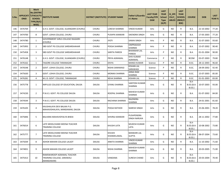| S.No. | <b>ONID</b> | <b>Merit</b><br><b>No.(DISTRIC</b><br>APPLICATI  T/FACULTY/<br><b>SCHOOL</b><br>TYPE/(R/C)<br>WISE) | <b>INSTITUTE NAME</b>                                                  | DISTRICT (INSTITUTE) STUDENT NAME |                       | Father's/Guardia<br>n's Name       | <b>LAST YEAR</b><br><b>Faculty/STR</b><br><b>EAM</b> | <b>LAST</b><br><b>YEAR</b><br><b>School</b><br><b>Type</b><br>(G/P) | IS_SPE<br><b>CILLY</b><br><b>ABLED</b> | <b>LAST</b><br><b>YEAR</b><br><b>SCHOOL</b><br>(RBSE/C<br>BSE) | <b>COURSE</b>                           | <b>DOB</b>            | <b>LAST</b><br>YEAR % |
|-------|-------------|-----------------------------------------------------------------------------------------------------|------------------------------------------------------------------------|-----------------------------------|-----------------------|------------------------------------|------------------------------------------------------|---------------------------------------------------------------------|----------------------------------------|----------------------------------------------------------------|-----------------------------------------|-----------------------|-----------------------|
| 146   | 3476769     | $\overline{7}$                                                                                      | G.H.S. GOVT. COLLEGE, SUJANGARH (CHURU)                                | <b>CHURU</b>                      | LOKESH SHARMA         | VINOD KUMAR                        | Arts                                                 | G                                                                   | NO.                                    | R                                                              | B.A.                                    | 22-10-2002            | 77.20                 |
| 147   | 3474700     | 8                                                                                                   | GOVT. LOHIA COLLEGE, CHURU                                             | <b>CHURU</b>                      | PUSHPA KANWAR         | SIKENDRA SINGH                     | Arts                                                 | G                                                                   | NO.                                    | R                                                              | B.A.                                    | 17-05-2003            | 77.20                 |
| 148   | 3474780     | 1                                                                                                   | GOVERNMENT GIRLS COLLEGE RAJGARH<br>(CHURU)                            | <b>CHURU</b>                      | <b>JYOTI</b>          | SAWAI SINGH                        | Arts                                                 | P                                                                   | NO.                                    | R                                                              | B.A.                                    | 31-07-2003            | 93.60                 |
| 149   | 3475993     | $\overline{2}$                                                                                      | SBD GOVT PG COLLEGE SARDARSHAHAR                                       | <b>CHURU</b>                      | POOJA SHARMA          | OMPRAKASH<br>SHARMA                | Arts                                                 | P                                                                   | NO.                                    | R                                                              | B.A.                                    | 15-07-2002            | 90.40                 |
| 150   | 3475458     | 3                                                                                                   | SBD GOVT PG COLLEGE SARDARSHAHAR                                       | <b>CHURU</b>                      | SARITA PAREEK         | <b>BHANWAR LAL</b><br>PAREEK       | Arts                                                 | P                                                                   | NO.                                    | $\mathsf{R}$                                                   | B.A.                                    | 01-01-2004            | 90.00                 |
| 151   | 3476148     | 1                                                                                                   | G.H.S. GOVT. COLLEGE, SUJANGARH (CHURU)                                | <b>CHURU</b>                      | PRIYA AGRAWAL         | <b>SHIV KUMAR</b><br>AGRAWAL       | Commerce                                             | P                                                                   | NO.                                    | R                                                              | <b>BCOM</b>                             | 03-07-2003            | 79.80                 |
| 152   | 3476162     | $\mathbf{1}$                                                                                        | TAGORE COLLEGE TARANAGAR                                               | <b>CHURU</b>                      | <b>DIVYA</b>          | MANOJ KUMAR                        | Science                                              | P                                                                   | NO.                                    | $\mathsf{R}$                                                   | B.SC.                                   | 28-12-2003            | 96.60                 |
| 153   | 3476548     | $\overline{2}$                                                                                      | GOVT. LOHIA COLLEGE, CHURU                                             | <b>CHURU</b>                      | NISHA SARAWAGI        | KISHAN LAL<br>SARAWAGI             | Science                                              | P                                                                   | NO.                                    | R                                                              | B.SC.                                   | 28-09-2002            | 92.40                 |
| 154   | 3475630     | 3                                                                                                   | GOVT. LOHIA COLLEGE, CHURU                                             | <b>CHURU</b>                      | <b>MONIKA SHARMA</b>  | <b>ANNA RAM</b><br>SHARMA          | Science                                              | P                                                                   | NO.                                    | R                                                              | B.SC.                                   | 15-07-2003            | 85.00                 |
| 155   | 3476281     | $\overline{4}$                                                                                      | M.J.D. GOVT. COLLEGE, TARANAGAR                                        | <b>CHURU</b>                      | <b>NEHA SHARMA</b>    | KISHAN LAL                         | Science                                              | P                                                                   | <b>NO</b>                              | R                                                              | B.SC.                                   | 01-01-2003            | 83.00                 |
| 156   | 3475778     | 1                                                                                                   | IMPULSE COLLEGE OF EDUCATION, DAUSA                                    | DAUSA                             | GYANU SHARMA          | SANTOSH KUMAR<br>SHARMA            | Arts                                                 | G                                                                   | NO                                     | R                                                              | B.A-<br><b>B.ED.(B.A-</b><br>B.ED.      | 10-07-2003            | 93.00                 |
| 157   | 3474230     | $\overline{2}$                                                                                      | P.N.K.S. GOVT. PG COLLEGE DAUSA                                        | <b>DAUSA</b>                      | ROOPAL SHARMA         | MAHESH KUMAR<br>SHARMA             | Arts                                                 | G                                                                   | NO.                                    | R                                                              | B.A.                                    | 01-07-2002            | 84.00                 |
| 158   | 3474544     | 3                                                                                                   | P.N.K.S. GOVT. PG COLLEGE DAUSA                                        | <b>DAUSA</b>                      | RACHANA SHARMA        | RAJENDRA<br>SHARMA                 | Arts                                                 | G                                                                   | NO.                                    | R                                                              | B.A.                                    | 24-01-2001            | 81.60                 |
| 159   | 3476105     | $\overline{4}$                                                                                      | KAUSHALAYA DEVI BALIKA P.G.<br>MAHAVIDHALAYA, MANDAWAR, DAUSA          | <b>DAUSA</b>                      | POOJA RATHOD          | <b>NARESH SINGH</b>                | Arts                                                 | G                                                                   | NO.                                    | R                                                              | B.A.                                    | 25-06-2001            | 78.20                 |
| 160   | 3475846     | 5                                                                                                   | BALHANS MAHAVIDYALYA BIWAI                                             | <b>DAUSA</b>                      | SHIVRAJ KANWAR        | PUSHPENDRA<br><b>SINGH NARUKA</b>  | Arts                                                 | G                                                                   | NO.                                    | R                                                              | B.A.                                    | 28-11-2002            | 77.80                 |
| 161   | 3476014     | 6                                                                                                   | LATE MOOLCHAND MEENA TEACHER<br>TRAINING COLLEGE                       | <b>DAUSA</b>                      | KHUSHI LATA           | MUKESH KUMAR<br>LATA               | Arts                                                 | G                                                                   | NO.                                    | R                                                              | $B.A-$<br>$B.ED.(B.A-$<br><b>B.ED.)</b> | 10-08-2002            | 73.80                 |
| 162   | 3475777     | $\overline{7}$                                                                                      | LATE MOOLCHAND MEENA TEACHER<br><b>TRAINING COLLEGE</b>                | <b>DAUSA</b>                      | KHUSHI<br>KHANDELAWAL | <b>BANWARI LAL</b><br><b>GUPTA</b> | Arts                                                 | G                                                                   | NO.                                    | R                                                              | B.A-<br>B.ED.                           | B.ED.(B.A- 08-07-2004 | 73.60                 |
| 163   | 3475039     | 8                                                                                                   | ASHOK MAHAN COLLEGE LALSOT                                             | <b>DAUSA</b>                      | ANKITA SHARMA         | <b>VINOD KUMAR</b><br>SHARMA       | Arts                                                 | G                                                                   | NO.                                    | $\mathsf{R}$                                                   | <b>B.A.</b>                             | 11-10-2002            | 71.60                 |
| 164   | 3474831     | 9                                                                                                   | ASHOK MAHAN COLLEGE LALSOT                                             | <b>DAUSA</b>                      | NISHA SHARMA          | <b>MAHESH KUMAR</b><br>SHARMA      | Arts                                                 | G                                                                   | NO                                     | R                                                              | B.A.                                    | 20-03-2005            | 71.00                 |
| 165   | 3475413     | 10                                                                                                  | RAMSWAROOP AGRAWAL TEACHER<br>TRAINING COLLEGE, SARAWALI<br>(MANDAWAR) | DAUSA                             | VANDANA               | SURESH CHAND                       | Arts                                                 | G                                                                   | NO.                                    | R                                                              | B.A-<br><b>B.ED.(B.A-</b><br>B.ED.)     | 20-03-2004            | 70.40                 |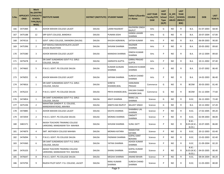| S.No. | <b>ONID</b> | <b>Merit</b><br><b>No.(DISTRIC</b><br>APPLICATI  T/FACULTY/<br><b>SCHOOL</b><br>TYPE/(R/C)<br>WISE) | <b>INSTITUTE NAME</b>                                           | DISTRICT (INSTITUTE) STUDENT NAME |                         | Father's/Guardia<br>n's Name           | <b>LAST YEAR</b><br><b>Faculty/STR</b><br><b>EAM</b> | <b>LAST</b><br><b>YEAR</b><br><b>School</b><br><b>Type</b><br>(G/P) | IS_SPE<br><b>CILLY</b><br><b>ABLED</b> | <b>LAST</b><br><b>YEAR</b><br><b>SCHOOL</b><br>(RBSE/C<br>BSE) | <b>COURSE</b>                                    | <b>DOB</b> | <b>LAST</b><br>YEAR % |
|-------|-------------|-----------------------------------------------------------------------------------------------------|-----------------------------------------------------------------|-----------------------------------|-------------------------|----------------------------------------|------------------------------------------------------|---------------------------------------------------------------------|----------------------------------------|----------------------------------------------------------------|--------------------------------------------------|------------|-----------------------|
| 166   | 3475484     | 11                                                                                                  | ASHOK MAHAN COLLEGE LALSOT                                      | <b>DAUSA</b>                      | LAXMI RAJAWAT           | <b>RAJENDRA SINGH</b><br><b>RAJPUT</b> | Arts                                                 | G                                                                   | NO.                                    | R.                                                             | B.A.                                             | 01-07-2003 | 68.40                 |
| 167   | 3475188     | 12                                                                                                  | SRP GOVT.COLLEGE, BANDIKUI                                      | <b>DAUSA</b>                      | PUNAM JOSHI             | <b>GANGA LAHARI</b><br>SHARMA          | Arts                                                 | G                                                                   | NO.                                    | R                                                              | B.A.                                             | 20-07-2004 | 67.00                 |
| 168   | 3474516     | 1                                                                                                   | GOVT. GIRLS COLLEGE, SIKANDRA (DAUSA)                           | <b>DAUSA</b>                      | KHUSHI AGRAWAL          | SATISH KUMAR                           | Arts                                                 | P                                                                   | <b>NO</b>                              | R                                                              | B.A.                                             | 06-09-2003 | 90.00                 |
| 169   | 3475396     | $\overline{2}$                                                                                      | AVP MAHILA MAHAVIDYALAYA LALSOT<br><b>DAUSA RAJASTHAN</b>       | DAUSA                             | SHIVANI SHARMA          | <b>RAJENDR</b><br>SHARMA               | Arts                                                 | P                                                                   | NO                                     | R                                                              | B.A.                                             | 20-05-2002 | 89.60                 |
| 170   | 3475580     | 3                                                                                                   | ASHOK MAHAN COLLEGE LALSOT                                      | <b>DAUSA</b>                      | MANISHA SHARMA          | DINESH KUMAR<br>SHARMA                 | Arts                                                 | P                                                                   | <b>NO</b>                              | R                                                              | B.A.                                             | 19-12-2004 | 89.60                 |
| 171   | 3475678     | $\overline{4}$                                                                                      | SRI SANT SUNDARDAS GOVT P.G. GIRLS<br>COLLEGE, DAUSA            | <b>DAUSA</b>                      | HARSHITA GUPTA          | <b>GIRRAJ PRASAD</b><br><b>GUPTA</b>   | Arts                                                 | P                                                                   | NO.                                    | R                                                              | B.A.                                             | 10-11-2002 | 87.40                 |
| 172   | 3474665     | 5                                                                                                   | P.N.K.S. GOVT. PG COLLEGE DAUSA                                 | DAUSA                             | KUMARI GUNJAN<br>SHARMA | <b>KAMLESH KUMAR</b><br>SHARMA         | Arts                                                 | P                                                                   | <b>NO</b>                              | R                                                              | B.A.                                             | 15-07-2002 | 86.40                 |
| 173   | 3476055     | 6                                                                                                   | ASHOK MAHAN COLLEGE LALSOT                                      | <b>DAUSA</b>                      | SAPANA SHARMA           | <b>SURESH CHAND</b><br>SHARMA          | Arts                                                 | P                                                                   | NO                                     | R                                                              | B.A.                                             | 14-02-2003 | 86.40                 |
| 174   | 3474816     | 1                                                                                                   | SRI SANT SUNDARDAS GOVT P.G. GIRLS<br>COLLEGE, DAUSA            | <b>DAUSA</b>                      | SHREYA<br>KHANDELWAL    | <b>HANUMAN</b><br>PRASAD               | Commerce                                             | G                                                                   | NO.                                    | R                                                              | <b>BCOM</b>                                      | 30-03-2003 | 81.40                 |
| 175   | 3476223     | $\overline{2}$                                                                                      | P.N.K.S. GOVT. PG COLLEGE DAUSA                                 | <b>DAUSA</b>                      | PRIYA KHANDELWAL        | KAILSAH CHAND<br>KHANDELWAL            | Commerce                                             | G                                                                   | <b>NO</b>                              | R                                                              | <b>BCOM</b>                                      | 01-12-2004 | 77.60                 |
| 176   | 3474854     | 1                                                                                                   | SRI SANT SUNDARDAS GOVT P.G. GIRLS<br>COLLEGE, DAUSA            | <b>DAUSA</b>                      | <b>ARATI SHARMA</b>     | <b>RAMU LAL</b><br>SHARMA              | Science                                              | G                                                                   | NO.                                    | R                                                              | B.SC.                                            | 26-12-2003 | 72.40                 |
| 177   | 3475194     | $\overline{2}$                                                                                      | MAHATMA GANDHI P. G. COLLEGE,<br>MANDAWAR ROAD, MAHWA           | DAUSA                             | ANKITA BAI RAJPUT       | <b>BALJEET SINGH</b>                   | Science                                              | G                                                                   | NO.                                    | R                                                              | B.A.                                             | 10-12-2002 | 67.20                 |
| 178   | 3474885     | $\mathbf{1}$                                                                                        | ASHOK MAHAN COLLEGE LALSOT                                      | <b>DAUSA</b>                      | KAVITA SHARMA           | SHAMBHU LAL<br>SHARMA                  | Science                                              | P                                                                   | NO.                                    | R                                                              | B.SC.                                            | 17-02-2005 | 89.20                 |
| 179   | 3472059     | $\overline{2}$                                                                                      | P.N.K.S. GOVT. PG COLLEGE DAUSA                                 | <b>DAUSA</b>                      | MONIKA SHARMA           | <b>OMDATT</b><br>SHARMA                | Science                                              | P                                                                   | NO.                                    | R                                                              | B.SC.                                            | 02-09-2003 | 88.00                 |
| 180   | 3481571     | 3                                                                                                   | AKASH TEACHERS TRAINING COLLEGE<br>UKROOND, MANDAWAR TEH- MAHWA | <b>DAUSA</b>                      | SHIVANI SHARMA          | <b>SUNIL DATT</b>                      | Science                                              | P                                                                   | <b>NO</b>                              | R                                                              | $B.SC. -$<br>B.ED.(B.SC.<br><b>B.ED.)</b>        | 10-07-2005 | 86.80                 |
| 181   | 3474879     | 4                                                                                                   | SMT. MOTADEVI COLLEGE MAHWA                                     | <b>DAUSA</b>                      | MONIKA KATARA           | RAMAVTAR<br><b>KATARA</b>              | Science                                              | P                                                                   | NO                                     | R.                                                             | B.SC.                                            | 20-12-2003 | 83.40                 |
| 182   | 3476094     | 5                                                                                                   | P.N.K.S. GOVT. PG COLLEGE DAUSA                                 | <b>DAUSA</b>                      | PADMAXI SHARMA          | <b>GOPAL KANT</b><br><b>BOHARA</b>     | Science                                              | P                                                                   | <b>NO</b>                              | R                                                              | B.SC.                                            | 15-02-2003 | 82.40                 |
| 183   | 3474360     | 6                                                                                                   | SRI SANT SUNDARDAS GOVT P.G. GIRLS<br>COLLEGE, DAUSA            | <b>DAUSA</b>                      | YATIKA SHARMA           | <b>ASHOK KUMAR</b><br>SHARMA           | Science                                              | P                                                                   | NO.                                    | R                                                              | B.SC.                                            | 21-09-2004 | 82.20                 |
| 184   | 3476103     | $7\overline{ }$                                                                                     | AKASH TEACHERS TRAINING COLLEGE<br>UKROOND, MANDAWAR TEH- MAHWA | <b>DAUSA</b>                      | <b>SHANU SHARMA</b>     | <b>GOPAL KUMAR</b><br>SHARMA           | Science                                              | P                                                                   | NO                                     | R                                                              | $B.SC.-$<br><b>B.ED.(B.SC.-</b><br><b>B.ED.)</b> | 04-03-2005 | 80.40                 |
| 185   | 3476647     | 8                                                                                                   | P.N.K.S. GOVT. PG COLLEGE DAUSA                                 | <b>DAUSA</b>                      | MEGHA SHARMA            | <b>ANAND BIHARI</b>                    | Science                                              | P                                                                   | NO.                                    | R                                                              | B.SC.                                            | 08-04-2004 | 80.20                 |
| 186   | 3474794     | 9                                                                                                   | RAJESH PILOT GOVT. P.G. COLLEGE, LALSOT                         | DAUSA                             | RANU KUMARI<br>SHARMA   | SURESH CHAND<br>SHARMA                 | Science                                              | P                                                                   | NO.                                    | R                                                              | B.SC.                                            | 11-03-2003 | 80.00                 |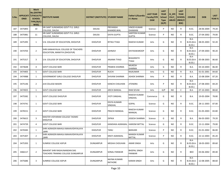| S.No. | <b>ONID</b> | <b>Merit</b><br><b>No.(DISTRIC</b><br><b>APPLICATI   T/FACULTY/</b><br><b>SCHOOL</b><br>TYPE/(R/C)<br>WISE) | <b>INSTITUTE NAME</b>                                                | DISTRICT (INSTITUTE) STUDENT NAME |                                | <b>Father's/Guardia</b><br>n's Name   | <b>LAST YEAR</b><br><b>Faculty/STR</b><br><b>EAM</b> | <b>LAST</b><br><b>YEAR</b><br><b>School</b><br><b>Type</b><br>(G/P) | IS_SPE<br><b>CILLY</b><br><b>ABLED</b> | <b>LAST</b><br><b>YEAR</b><br><b>SCHOOL</b><br>(RBSE/C<br>BSE) | <b>COURSE</b>                         | <b>DOB</b> | <b>LAST</b><br><b>YEAR</b> % |
|-------|-------------|-------------------------------------------------------------------------------------------------------------|----------------------------------------------------------------------|-----------------------------------|--------------------------------|---------------------------------------|------------------------------------------------------|---------------------------------------------------------------------|----------------------------------------|----------------------------------------------------------------|---------------------------------------|------------|------------------------------|
| 187   | 3475893     | 10                                                                                                          | SRI SANT SUNDARDAS GOVT P.G. GIRLS<br>COLLEGE, DAUSA                 | <b>DAUSA</b>                      | PRIYANSHI<br>KHANDELWAL        | <b>VINOD KUMAR</b><br><b>DHAMANI</b>  | Science                                              | P                                                                   | NO.                                    | R                                                              | B.SC.                                 | 28-06-2004 | 79.20                        |
| 188   | 3475981     | 11                                                                                                          | SRI SANT SUNDARDAS GOVT P.G. GIRLS<br>COLLEGE, DAUSA                 | <b>DAUSA</b>                      | <b>DIVYA GUPTA</b>             | <b>SANTOSH KUMAR</b><br><b>GUPTA</b>  | Science                                              | P                                                                   | NO.                                    | R                                                              | B.SC.                                 | 27-04-2002 | 79.00                        |
| 189   | 3475395     | $\mathbf{1}$                                                                                                | S.N. COLLEGE OF EDUCATION, DHOLPUR                                   | <b>DHOLPUR</b>                    | RITIKA TYAGI                   | <b>RAKESH KUMAR</b>                   | Arts                                                 | G                                                                   | NO.                                    | R                                                              | $B.A-$<br>B.ED.(B.A)<br>B.ED.)        | 08-05-2003 | 92.20                        |
| 190   | 3474703     | $\overline{2}$                                                                                              | SHRI KANHAIYALAL COLLEGE OF TEACHERS<br>EDUCATION, MANIYYA (DHOLPUR) | <b>DHOLPUR</b>                    | <b>JAHNAVI</b>                 | <b>DIVYASWAROOP</b>                   | Arts                                                 | G                                                                   | NO.                                    | R                                                              | $B.A-$<br>$B.ED.(B.A-$<br>B.ED.)      | 27-09-2003 | 90.20                        |
| 191   | 3475317     | 3                                                                                                           | S.N. COLLEGE OF EDUCATION, DHOLPUR                                   | <b>DHOLPUR</b>                    | ANJANA TYAGI                   | <b>BHAGIRATH</b><br><b>TYAGI</b>      | Arts                                                 | G                                                                   | NO.                                    | R                                                              | $B.A-$<br>B.ED.(B.A)<br>B.ED.)        | 05-08-2003 | 86.60                        |
| 192   | 3474648     | 4                                                                                                           | <b>GOVT COLLEGE BARI</b>                                             | <b>DHOLPUR</b>                    | PRABHA SHARMA                  | <b>MUKESH</b><br><b>SHARMA</b>        | Arts                                                 | G                                                                   | NO.                                    | R                                                              | B.A.                                  | 03-10-2003 | 86.40                        |
| 193   | 3474405     | 5                                                                                                           | <b>GOVT COLLEGE BARI</b>                                             | <b>DHOLPUR</b>                    | <b>RUCHI</b>                   | <b>RAJKUMAR</b>                       | Arts                                                 | G                                                                   | NO.                                    | R                                                              | B.A.                                  | 01-01-2001 | 84.60                        |
| 194   | 3474988     | $\mathbf{1}$                                                                                                | <b>GOVERNMENT GIRLS COLLEGE DHOLPUR</b>                              | <b>DHOLPUR</b>                    | <b>SHIVANI SHARMA</b>          | <b>ASHOK SHARMA</b>                   | Arts                                                 | P                                                                   | NO.                                    | R                                                              | B.A.                                  | 15-08-2004 | 87.20                        |
| 195   | 3475146     | $\overline{2}$                                                                                              | JLN COLLEGE BASERI                                                   | <b>DHOLPUR</b>                    | KANCHI CHAUHAN                 | <b>JITENDRA</b>                       | Arts                                                 | P                                                                   | NO.                                    | R                                                              | $B.A-$<br>$B.ED.(B.A-$<br>B.ED.       | 27-08-2003 | 84.20                        |
| 196   | 3474925     | $\mathbf{1}$                                                                                                | <b>GOVT COLLEGE BARI</b>                                             | <b>DHOLPUR</b>                    | ARCHI BANSAL                   | <b>RAM SEVAK</b>                      | Arts                                                 | G/P                                                                 | NO.                                    | C                                                              | B.A.                                  | 07-10-2003 | 88.60                        |
| 197   | 3475582     | 1                                                                                                           | GOVT.COLLEGE DHOLPUR                                                 | <b>DHOLPUR</b>                    | <b>JYOTI SINGHAL</b>           | <b>RAKESH KUMAR</b><br><b>SINGHAL</b> | Commerce                                             | G                                                                   | NO.                                    | R                                                              | B.A.                                  | 19-05-2004 | 78.80                        |
| 198   | 3474741     | $\mathbf{1}$                                                                                                | GOVT COLLEGE BARI                                                    | <b>DHOLPUR</b>                    | <b>DIVYA KUMARI</b><br>SINGHAL | <b>GOPAL</b>                          | Science                                              | G                                                                   | NO.                                    | R                                                              | B.SC.                                 | 28-11-2003 | 87.00                        |
| 199   | 3478151     | $\overline{2}$                                                                                              | GOVT COLLEGE BARI                                                    | <b>DHOLPUR</b>                    | PRACHI MANGAL                  | <b>RAKESH KUMAR</b><br>MANGAL         | Science                                              | G                                                                   | NO.                                    | R                                                              | B.SC.                                 | 01-05-2003 | 83.80                        |
| 200   | 3476615     | 3                                                                                                           | MASTER VIDYARAM COLLEGE TASIMO<br><b>DHOLPUR</b>                     | <b>DHOLPUR</b>                    | <b>DIPIKA</b>                  | JOGESH SHARMA                         | Science                                              | G                                                                   | NO.                                    | R                                                              | B.A.                                  | 06-03-2003 | 79.20                        |
| 201   | 3474739     | $\overline{4}$                                                                                              | <b>GOVT COLLEGE BARI</b>                                             | <b>DHOLPUR</b>                    | KANISHKA AGRAWAL HARIOM MITTAL |                                       | Science                                              | G                                                                   | NO.                                    | R                                                              | B.SC.                                 | 13-11-2004 | 79.00                        |
| 202   | 3476583     | $\mathbf{1}$                                                                                                | SHRI AGRASEN MAHILA MAHAVIDHYALAYA<br><b>BARI</b>                    | <b>DHOLPUR</b>                    | <b>TANU</b>                    | <b>BANVARI</b>                        | Science                                              | P                                                                   | NO.                                    | R                                                              | B.SC.                                 | 01-01-2002 | 86.00                        |
| 203   | 3475307     | 2                                                                                                           | SHRI AGRASEN MAHILA MAHAVIDHYALAYA<br>,BARI                          | <b>DHOLPUR</b>                    | KRATI AGRAWAL                  | <b>MANISH KUMAR</b><br><b>MITTAL</b>  | Science                                              | P                                                                   | NO.                                    | R                                                              | B.SC.                                 | 22-12-2003 | 85.20                        |
| 204   | 3475393     | $\mathbf{1}$                                                                                                | SUNRISE COLLEGE ASPUR                                                | <b>DUNGARPUR</b>                  | <b>MEGHA CHOUHAN</b>           | <b>AMAR SINGH</b>                     | Arts                                                 | G                                                                   | <b>NO</b>                              | R                                                              | B.A-<br>$B.ED.(B.A-$<br><b>B.ED.)</b> | 18-03-2003 | 89.60                        |
| 205   | 3466117     | $\overline{2}$                                                                                              | MAHENT SHRI RAGHUNANDAN DAS<br>TEACHERS TRANING COLLEGE DUNGARPUR    | <b>DUNGARPUR</b>                  | SONAL PANWAR                   | <b>BHOPAL SINGH</b><br><b>PANWAR</b>  | Arts                                                 | G                                                                   | NO.                                    | R                                                              | <b>BED</b>                            | 03-06-2002 | 89.40                        |
| 206   | 3475686     | 3                                                                                                           | SUNRISE COLLEGE ASPUR                                                | <b>DUNGARPUR</b>                  | <b>NAYNA KUMARI</b><br>RATHORE | <b>KARAN SINGH</b>                    | Arts                                                 | G                                                                   | NO                                     | R                                                              | B.A-<br>B.ED.(B.A-<br>B.ED.)          | 12-08-2005 | 88.60                        |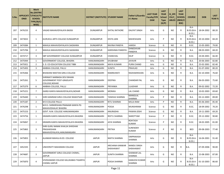| S.No. | <b>ONID</b> | <b>Merit</b><br><b>No.(DISTRIC</b><br><b>APPLICATI   T/FACULTY/</b><br><b>SCHOOL</b><br>TYPE/(R/C)<br>WISE) | <b>INSTITUTE NAME</b>                                                            | <b>DISTRICT (INSTITUTE) STUDENT NAME</b> |                             | <b>Father's/Guardia</b><br>n's Name | <b>LAST YEAR</b><br><b>Faculty/STR</b><br><b>EAM</b> | <b>LAST</b><br><b>YEAR</b><br><b>School</b><br><b>Type</b><br>(G/P) | IS_SPE<br><b>CILLY</b><br><b>ABLED</b> | <b>LAST</b><br><b>YEAR</b><br><b>SCHOOL</b><br>(RBSE/C<br>BSE) | <b>COURSE</b>                              | <b>DOB</b> | <b>LAST</b><br>YEAR % |
|-------|-------------|-------------------------------------------------------------------------------------------------------------|----------------------------------------------------------------------------------|------------------------------------------|-----------------------------|-------------------------------------|------------------------------------------------------|---------------------------------------------------------------------|----------------------------------------|----------------------------------------------------------------|--------------------------------------------|------------|-----------------------|
| 207   | 3476233     | 4                                                                                                           | VAGAD MAHAVIDYALAYA BADGI                                                        | <b>DUNGARPUR</b>                         | SHITAL RATHORE              | <b>DALPAT SINGH</b>                 | Arts                                                 | G                                                                   | NO.                                    | R                                                              | B.A-<br>$B.ED.(B.A-$<br>B.ED.              | 18-04-2002 | 88.20                 |
| 208   | 3473022     | $\mathbf{1}$                                                                                                | <b>GURUKUL ARTS COLLEGE DUNGARPUR</b>                                            | <b>DUNGARPUR</b>                         | DIVYA JAIN                  | MAHESHJAIN                          | Arts                                                 | P                                                                   | NO.                                    | R                                                              | B.A-<br>B.ED.(B.A)<br>B.ED.                | 20-10-2004 | 84.20                 |
| 209   | 3474384     | 1                                                                                                           | MAHILA MAHAVIDHYALAYA SAGWARA                                                    | <b>DUNGARPUR</b>                         | RAVINA PANDYA               | <b>HARISH</b>                       | Science                                              | G                                                                   | NO.                                    | R                                                              | B.SC.                                      | 15-05-2003 | 79.00                 |
| 210   | 3475706     | $\overline{2}$                                                                                              | MAHILA MAHAVIDHYALAYA SAGWARA                                                    | <b>DUNGARPUR</b>                         | KARISHMA PANDIYA            | <b>DHNESHVAR</b><br>PANDIYA         | Science                                              | G                                                                   | NO.                                    | R                                                              | B.A.                                       | 08-03-2003 | 68.20                 |
| 211   | 3474717     | 3                                                                                                           | SBP GOVERNMENT COLLEGE DUNGARPUR                                                 | <b>DUNGARPUR</b>                         | CHANCHAL                    | DILIP                               | Science                                              | G                                                                   | NO.                                    | R                                                              | B.SC.                                      | 24-04-2001 | 66.40                 |
| 212   | 3475944     | $\mathbf{1}$                                                                                                | GOVERNMENT COLLEGE, BHADRA                                                       | HANUMANGARH                              | SHUBHAM                     | JAYAVIR                             | Arts                                                 | G                                                                   | NO.                                    | $\mathsf{R}$                                                   | <b>B.A.</b>                                | 20-06-2003 | 82.80                 |
| 213   | 3475921     | $\overline{2}$                                                                                              | S. D. CO-EDUCATION COLLEGE TIBBI                                                 | HANUMANGARH                              | <b>MAYA KUMARI</b>          | PURN CHAND                          | Arts                                                 | G                                                                   | NO.                                    | R                                                              | B.A.                                       | 25-02-2001 | 82.40                 |
| 214   | 3475493     | 3                                                                                                           | AMBIKA COLLEGE, PALLU                                                            | HANUMANGARH                              | <b>SUNITA</b>               | PRAHLAD                             | Arts                                                 | G                                                                   | NO.                                    | R                                                              | <b>B.A.</b>                                | 01-07-2002 | 80.20                 |
| 215   | 3476366     | $\overline{4}$                                                                                              | <b>BHAWANI NIKETAN GIRLS COLLEGE</b>                                             | HANUMANGARH                              | RAMMURATI                   | RADHAKRISHAN                        | Arts                                                 | G                                                                   | NO.                                    | R                                                              | B.A.                                       | 02-10-2004 | 76.60                 |
| 216   | 3475261     | 5                                                                                                           | SHRIMATI NARBADA DEVI BIHANI<br>GOVERNMENT POST-GRADUATE<br><b>COLLEGE.NOHAR</b> | HANUMANGARH                              | <b>DEEPIKA</b>              | <b>CHANDAR PAL</b>                  | Arts                                                 | G                                                                   | NO.                                    | R                                                              | B.A.                                       | 06-03-2003 | 75.60                 |
| 217   | 3475379     | 6                                                                                                           | AMBIKA COLLEGE, PALLU                                                            | HANUMANGARH                              | PRIYANKA                    | LILADHAR                            | Arts                                                 | G                                                                   | NO.                                    | R                                                              | B.A.                                       | 09-02-2002 | 72.20                 |
| 218   | 3475221     | $\overline{7}$                                                                                              | GARGI KANYA MAHAVIDYALAYA, NOHAR                                                 | HANUMANGARH                              | <b>MONIKA</b>               | <b>LAL CHAND</b>                    | Arts                                                 | G                                                                   | NO.                                    | R                                                              | B.A.                                       | 10-02-2003 | 69.60                 |
| 219   | 3476440     | 1                                                                                                           | SHRI KANIRAM GIRLS COLLEGE RAWATSAR                                              | HANUMANGARH                              | TANISHA SHARMA              | <b>MANGILAL</b><br>SHARMA           | Arts                                                 | P                                                                   | NO.                                    | R                                                              | B.A.                                       | 03-12-2003 | 89.00                 |
| 220   | 3475187     | $\overline{2}$                                                                                              | M D COLLEGE PALLU                                                                | HANUMANGARH                              | <b>RITU SHARMA</b>          | <b>MULA RAM</b>                     | Arts                                                 | P                                                                   | NO.                                    | R                                                              | B.A.                                       | 05-06-2003 | 85.40                 |
| 221   | 3476298     | 1                                                                                                           | M.R.S. SHRIKRISHAN PRANAMI KANYA PG<br>MAHAVIDHALAY BHADRA                       | HANUMANGARH                              | POOJA                       | MUNSHIRAM                           | Science                                              | G                                                                   | NO.                                    | R                                                              | B.SC.                                      | 18-09-2002 | 70.20                 |
| 222   | 3475153     | $\overline{2}$                                                                                              | GOVT. N.M. COLLEGE HANUMANGARH                                                   | HANUMANGARH                              | <b>ANURADHA</b>             | <b>PAWAN JOSHI</b>                  | Science                                              | G                                                                   | <b>NO</b>                              | R                                                              | <b>B.A.</b>                                | 19-11-2003 | 69.20                 |
| 223   | 3474756     | $\mathbf{1}$                                                                                                | GRAMIN KANYA MAHAVIDYALAYA BHADRA                                                | HANUMANGARH                              | REETU SHARMA                | <b>NAROTTAM</b>                     | Science                                              | P                                                                   | NO.                                    | R                                                              | B.SC.                                      | 29-12-2002 | 90.80                 |
| 224   | 3476067     | $\overline{2}$                                                                                              | GRAMIN KANYA MAHAVIDYALAYA BHADRA                                                | HANUMANGARH                              | JAYA SHARMA                 | <b>ROHTASH</b><br>KUMAR             | Science                                              | P                                                                   | NO.                                    | $\mathsf{R}$                                                   | B.SC.                                      | 18-02-2005 | 81.00                 |
| 225   | 3475865     | 3                                                                                                           | SHRI GURU NANAK KHALSA SHIKSHAK<br>PRASHIKSHAN<br>MAHAVIDYALAYA,HANUMANGARH      | HANUMANGARH                              | PRITIKA                     | <b>SURENDER</b><br><b>KUMAR</b>     | Science                                              | P                                                                   | NO.                                    | R                                                              | <b>BED</b>                                 | 09-08-2003 | 77.40                 |
| 226   | 3475855     | $\mathbf{1}$                                                                                                | ALANKAR MAHILA B.ED. COLLEGE                                                     | <b>JAIPUR</b>                            | NIKITA SHARMA               | OMPRAKASH<br>SHARMA                 | Arts                                                 | G                                                                   | <b>NO</b>                              | R                                                              | B.A-<br><b>B.ED.(B.A-</b><br>B.ED.)        | 16-04-2001 | 91.40                 |
| 227   | 3452335     | $\overline{2}$                                                                                              | UNIVERSITY MAHARANI COLLEGE                                                      | <b>JAIPUR</b>                            | ARCHANA KANWAR<br>SHEKHAWAT | <b>NANDU SINGH</b><br>SHEKHAWAT     | Arts                                                 | G                                                                   | NO                                     | R                                                              | B.A.                                       | 07-09-2006 | 90.00                 |
| 228   | 3474687     | $\overline{3}$                                                                                              | GOVERNMENT GIRLS COLLEGE CHOMU,<br>JAIPUR                                        | <b>JAIPUR</b>                            | SUNITA SHARMA               | SHANKAR LAL<br>SHARMA               | Arts                                                 | G                                                                   | NO.                                    | R                                                              | <b>B.A.</b>                                | 15-08-2003 | 87.00                 |
| 229   | 3475870     | 4                                                                                                           | VIVEKANAND COLLEGE KALUKABAS TIGARIYA<br>CHOMU JAIPUR                            | <b>JAIPUR</b>                            | POOJA SHARMA                | <b>KAMLESH KUMAR</b><br>SHARMA      | Arts                                                 | G                                                                   | NO                                     | R                                                              | B.A-<br><b>B.ED.(B.A-</b><br><b>B.ED.)</b> | 01-10-2003 | 86.60                 |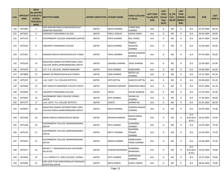| S.No. | <b>ONID</b> | <b>Merit</b><br><b>No.(DISTRIC</b><br>APPLICATI  T/FACULTY/<br><b>SCHOOL</b><br>TYPE/(R/C)<br>WISE) | <b>INSTITUTE NAME</b>                                                     | DISTRICT (INSTITUTE) STUDENT NAME |                       | Father's/Guardia<br>n's Name              | <b>LAST YEAR</b><br><b>Faculty/STR</b><br><b>EAM</b> | <b>LAST</b><br><b>YEAR</b><br><b>School</b><br><b>Type</b><br>(G/P) | IS SPE<br><b>CILLY</b><br><b>ABLED</b> | <b>LAST</b><br><b>YEAR</b><br><b>SCHOOL</b><br>(RBSE/C<br>BSE) | <b>COURSE</b>                  | <b>DOB</b> | <b>LAST</b><br>YEAR % |
|-------|-------------|-----------------------------------------------------------------------------------------------------|---------------------------------------------------------------------------|-----------------------------------|-----------------------|-------------------------------------------|------------------------------------------------------|---------------------------------------------------------------------|----------------------------------------|----------------------------------------------------------------|--------------------------------|------------|-----------------------|
| 230   | 3475995     | 5                                                                                                   | SHRI KRISHAN MAHILA MAHAVIDHYALAY<br><b>MANPURA MACHERI</b>               | <b>JAIPUR</b>                     | <b>NISHA SHARMA</b>   | <b>PURAN MAL</b><br>SHARMA                | Arts                                                 | G                                                                   | NO.                                    | R.                                                             | B.A.                           | 01-05-2004 | 86.20                 |
| 231   | 3475647     | 6                                                                                                   | UNIVERSITY MAHARANI COLLEGE                                               | <b>JAIPUR</b>                     | PARUL JADAUN          | <b>GAJRAJ SINGH</b>                       | Arts                                                 | G                                                                   | NO.                                    | R                                                              | B.A.                           | 30-06-2004 | 84.80                 |
| 232   | 3475735     | $7^{\circ}$                                                                                         | GOVERNMENT COLLEGE SANGANER (JAIPUR)                                      | <b>JAIPUR</b>                     | PRIYA SHARMA          | <b>BAL CHAND</b>                          | Arts                                                 | G                                                                   | <b>NO</b>                              | R.                                                             | B.A.                           | 28-07-2003 | 83.80                 |
| 233   | 3475591     | 8                                                                                                   | UNIVERSITY MAHARANI COLLEGE                                               | <b>JAIPUR</b>                     | <b>NEHA SHARMA</b>    | PRABHU<br><b>NARAYAN</b><br><b>SHARMA</b> | Arts                                                 | G                                                                   | NO.                                    | R                                                              | B.A.                           | 15-04-2002 | 83.60                 |
| 234   | 3475391     | 9                                                                                                   | SANSKAR MAHILA MAHAVIDYALAYA TUNGA                                        | <b>JAIPUR</b>                     | PAYAL SHARMA          | <b>BHEEM SHANKAR</b><br>SHARMA            | Arts                                                 | G                                                                   | NO.                                    | R                                                              | B.A.                           | 07-03-2004 | 83.00                 |
| 235   | 3476104     | 10                                                                                                  | MAHATMA GANDHI INTERNATIONAL GIRLS<br>COLLEGE ANDHI, JAMWARAMGARH, JAIPUR | <b>JAIPUR</b>                     | SANJANA SHARMA        | <b>VIKAS SHARMA</b>                       | Arts                                                 | G                                                                   | NO.                                    | R                                                              | B.A.                           | 22-09-2003 | 81.80                 |
| 236   | 3475679     | 11                                                                                                  | S.S.S. P.G. COLLEGE, JAMWA RAMGARH                                        | <b>JAIPUR</b>                     | <b>JAYA SHARMA</b>    | <b>RAMCHARN</b>                           | Arts                                                 | G                                                                   | NO.                                    | R                                                              | B.A.                           | 24-06-2003 | 81.60                 |
| 237   | 3474808     | 12                                                                                                  | MANAV PG MAHAVIDHYALAYA CHAKSU                                            | <b>JAIPUR</b>                     | <b>UMA SHARMA</b>     | <b>NATHU LAL</b><br><b>SHARMA</b>         | Arts                                                 | G                                                                   | NO.                                    | R                                                              | B.A.                           | 23-12-2002 | 81.20                 |
| 238   | 3475297     | 13                                                                                                  | L.B.S. GOVT. P.G. COLLEGE KOTPUTLI                                        | <b>JAIPUR</b>                     | <b>JYOTI MITTAL</b>   | <b>KAMLESH MITTAL</b>                     | Arts                                                 | G                                                                   | NO.                                    | R                                                              | B.A.                           | 03-08-2003 | 81.20                 |
| 239   | 3476406     | 14                                                                                                  | SMT HEMLATA MEMORIAL COLLEGE PAOTA                                        | <b>JAIPUR</b>                     | <b>MANISHA KANWAR</b> | <b>MANOHAR SINGH</b>                      | Arts                                                 | G                                                                   | <b>NO</b>                              | R.                                                             | B.A.                           | 03-07-2004 | 81.20                 |
| 240   | 3476049     | 15                                                                                                  | UNIVERSITY MAHARANI COLLEGE                                               | <b>JAIPUR</b>                     | POOJA                 | <b>GOURI SHANKAR</b>                      | Arts                                                 | G                                                                   | NO.                                    | R.                                                             | B.A.                           | 12-03-2003 | 81.00                 |
| 241   | 3475067     | 16                                                                                                  | GOVERNMENT GIRLS COLLEGE CHOMU,<br><b>JAIPUR</b>                          | <b>JAIPUR</b>                     | <b>DIYA SHARMA</b>    | <b>SOHAN LAL</b><br><b>SHARMA</b>         | Arts                                                 | G                                                                   | NO.                                    | R                                                              | B.A.                           | 27-04-2002 | 80.80                 |
| 242   | 3475775     | 17                                                                                                  | L.B.S. GOVT. P.G. COLLEGE KOTPUTLI                                        | <b>JAIPUR</b>                     | <b>SUNITA</b>         | <b>DHARM PAL</b>                          | Arts                                                 | G                                                                   | <b>NO</b>                              | $\mathsf{R}$                                                   | <b>B.A.</b>                    | 01-01-2003 | 80.20                 |
| 243   | 3476047     | 18                                                                                                  | MAHATMA GANDHI INTERNATIONAL GIRLS<br>COLLEGE ANDHI, JAMWARAMGARH, JAIPUR | <b>JAIPUR</b>                     | NISHA SHARMA          | <b>DWARKA PRASAD</b><br>SHARMA            | Arts                                                 | G                                                                   | NO.                                    | R                                                              | B.A.                           | 30-03-2002 | 79.40                 |
| 244   | 3475569     | 19                                                                                                  | BAGRU MAHILA MAHAVIDHLAY BAGRU                                            | <b>JAIPUR</b>                     | <b>RESHAM KANWAR</b>  | <b>BHEEM SINGH</b><br><b>SOLANKI</b>      | Arts                                                 | G                                                                   | <b>NO</b>                              | R                                                              | $B.A-$<br>B.ED.(B.A)<br>B.ED.) | 26-03-2003 | 79.40                 |
| 245   | 3475228     | 20                                                                                                  | GOVERNMENT COLLEGE JAMWARAMGARH,<br><b>JAIPUR</b>                         | <b>JAIPUR</b>                     | <b>RIYA SHARMA</b>    | <b>GAJANAND</b><br>SHARMA                 | Arts                                                 | G                                                                   | NO.                                    | R                                                              | B.A.                           | 23-03-2003 | 79.20                 |
| 246   | 3476143     | 21                                                                                                  | GOVERNMENT COLLEGE JAMWARAMGARH,<br><b>JAIPUR</b>                         | <b>JAIPUR</b>                     | <b>NEETU SHARMA</b>   | RAJENDRA<br>PRASAD<br><b>SHARMA</b>       | Arts                                                 | G                                                                   | NO.                                    | R.                                                             | B.A.                           | 13-04-2003 | 79.20                 |
| 247   | 3475567     | 22                                                                                                  | GOVERNMENT COLLEGE JAMWARAMGARH.<br><b>JAIPUR</b>                         | <b>JAIPUR</b>                     | RADHA SHARMA          | RAMESHWAR<br>PRSAD SHARMA                 | Arts                                                 | G                                                                   | NO.                                    | R                                                              | B.A.                           | 16-08-2004 | 79.20                 |
| 248   | 3475917     | 23                                                                                                  | ARYAN T.T. MAHAVIDHYALAYA GATHWARI<br>${B.A.B.ED}$                        | <b>JAIPUR</b>                     | SHIWANI BHARDWAJ      | DHARMRAJ<br><b>BHARDWAJ</b>               | Arts                                                 | G                                                                   | NO.                                    | R                                                              | B.A-<br>$B.ED.(B.A-$<br>B.ED.) | 10-02-2004 | 78.80                 |
| 249   | 3474926     | 24                                                                                                  | S.S.G. PAREEK P.G. GIRLS COLLEGE, CHOMU                                   | <b>JAIPUR</b>                     | <b>EKTA SHARMA</b>    | <b>OMPRAKASH</b><br>SHARMA                | Arts                                                 | G                                                                   | NO.                                    | R                                                              | <b>B.A.</b>                    | 15-07-2004 | 78.60                 |
| 250   | 3476560     | 25                                                                                                  | SHRI VEER TEJAJI MAHAVIDHALAY RADAWAS<br><b>SHAHPURA JAIPUR</b>           | <b>JAIPUR</b>                     | <b>NEHA PAREEK</b>    | <b>GOPAL PAREEK</b>                       | Arts                                                 | G                                                                   | NO                                     | R                                                              | <b>B.A.</b>                    | 08-09-2004 | 76.80                 |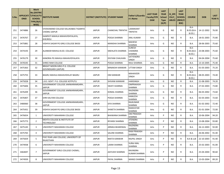| S.No. | <b>ONID</b> | <b>Merit</b><br><b>No.(DISTRIC</b><br>APPLICATI   T/FACULTY,<br><b>SCHOOL</b><br>TYPE/(R/C)<br>WISE) | <b>INSTITUTE NAME</b>                                 | DISTRICT (INSTITUTE) STUDENT NAME |                          | Father's/Guardia<br>n's Name              | <b>LAST YEAR</b><br><b>Faculty/STR</b><br><b>EAM</b> | <b>LAST</b><br><b>YEAR</b><br><b>School</b><br><b>Type</b><br>(G/P) | IS SPE<br><b>CILLY</b><br><b>ABLED</b> | <b>LAST</b><br><b>YEAR</b><br><b>SCHOOL</b><br>(RBSE/C<br>BSE) | <b>COURSE</b>                   | <b>DOB</b>           | <b>LAST</b><br><b>YEAR</b> % |
|-------|-------------|------------------------------------------------------------------------------------------------------|-------------------------------------------------------|-----------------------------------|--------------------------|-------------------------------------------|------------------------------------------------------|---------------------------------------------------------------------|----------------------------------------|----------------------------------------------------------------|---------------------------------|----------------------|------------------------------|
| 251   | 3474886     | 26                                                                                                   | VIVEKANAND COLLEGE KALUKABAS TIGARIYA<br>CHOMU JAIPUR | <b>JAIPUR</b>                     | <b>CHANCHAL TRIPATHI</b> | LAXMIKANT<br>TRIPATHI                     | Arts                                                 | G                                                                   | NO.                                    | R                                                              | $B.A-$<br>$B.ED.(B.A-$<br>B.ED. | 14-12-2002           | 76.00                        |
| 252   | 3476767     | 27                                                                                                   | GANPATI MAHILA MAHAVIDHYALAYA,<br>KHEJROLI            | <b>JAIPUR</b>                     | POOJA SHARMA             | ANIL KUMAR                                | Arts                                                 | G                                                                   | NO.                                    | R                                                              | B.A.                            | 18-01-2003           | 75.80                        |
| 253   | 3475881     | 28                                                                                                   | VIDHYA SAGAR PG GIRLS COLLEGE BASSI                   | <b>JAIPUR</b>                     | <b>MANISHA SHARMA</b>    | <b>MAHESH</b><br><b>SHARMA</b>            | Arts                                                 | G                                                                   | NO.                                    | R                                                              | B.A.                            | 28-06-2003           | 75.60                        |
| 254   | 3474193     | 29                                                                                                   | ALANKAR MAHILA B.ED. COLLEGE                          | <b>JAIPUR</b>                     | SNEHLATA SHARMA          | <b>SURESH</b><br><b>CHANDRA</b><br>SHARMA | Arts                                                 | G                                                                   | NO.                                    | R                                                              | $B.A-$<br>$B.ED.(B.A-$<br>B.ED. | 23-08-2003           | 75.60                        |
| 255   | 3476179     | 30                                                                                                   | KANORIA PG MAHILA MAHAVIDYALAYA                       | <b>JAIPUR</b>                     | <b>DIVYANI CHAUHAN</b>   | SATYENDRA<br><b>SINGH</b>                 | Arts                                                 | G                                                                   | NO.                                    | R                                                              | B.A.                            | 04-04-2004           | 75.60                        |
| 256   | 3476545     | 31                                                                                                   | SHREE RAM COLLEGE                                     | <b>JAIPUR</b>                     | POOJA SHARMA             | RAJU SHARMA                               | Arts                                                 | G                                                                   | NO.                                    | R                                                              | B.A.                            | 13-10-2005           | 75.40                        |
| 257   | 3475363     | 32                                                                                                   | BRIGHT MOON GIRLS P.G. COLLEGE<br>GOVINDGARH (JAIPUR) | <b>JAIPUR</b>                     | MINAKSHI KANWAR          | <b>UTTAM SINGH</b>                        | Arts                                                 | G                                                                   | NO.                                    | R                                                              | B.A.                            | 01-03-2003           | 75.20                        |
| 258   | 3475755     | 33                                                                                                   | BAGRU MAHILA MAHAVIDHLAY BAGRU                        | <b>JAIPUR</b>                     | OM KANWAR                | <b>MAHAVEER</b><br><b>SINGH</b>           | Arts                                                 | G                                                                   | NO.                                    | R                                                              | $B.A-$<br>B.ED.(B.A)<br>B.ED.   | 08-05-2003           | 74.40                        |
| 259   | 3475028     | 34                                                                                                   | L.B.S. GOVT. P.G. COLLEGE KOTPUTLI                    | <b>JAIPUR</b>                     | <b>SHIVANI KANWAR</b>    | <b>HARISINGH</b>                          | Arts                                                 | G                                                                   | NO.                                    | R                                                              | <b>B.A.</b>                     | 21-08-2003           | 74.20                        |
| 260   | 3475606     | 35                                                                                                   | GOVERNMENT COLLEGE JAMWARAMGARH,<br><b>JAIPUR</b>     | <b>JAIPUR</b>                     | <b>SWATI SHARMA</b>      | <b>OMPRAKASH</b><br><b>SHARMA</b>         | Arts                                                 | G                                                                   | NO.                                    | R                                                              | B.A.                            | 27-02-2003           | 73.80                        |
| 261   | 3476209     | 36                                                                                                   | GOVERNMENT COLLEGE JAMWARAMGARH.<br>JAIPUR            | <b>JAIPUR</b>                     | KOMAL SHARMA             | <b>RAJENDRA</b><br><b>SHARMA</b>          | Arts                                                 | G                                                                   | NO.                                    | R                                                              | B.A.                            | 06-03-2002           | 73.60                        |
| 262   | 3476407     | 37                                                                                                   | SHRI KALYAN COLLEGE                                   | <b>JAIPUR</b>                     | POOJA SHARMA             | <b>KAMLESH</b><br>SHARMA                  | Arts                                                 | G                                                                   | NO.                                    | R                                                              | B.A.                            | 02-03-2003           | 72.60                        |
| 263   | 3480060     | 38                                                                                                   | GOVERNMENT COLLEGE JAMWARAMGARH,<br>JAIPUR            | <b>JAIPUR</b>                     | <b>SIYA SHARMA</b>       | <b>RAJKUMAR</b><br>SHARMA                 | Arts                                                 | G                                                                   | NO.                                    | R                                                              | B.A.                            | 01-02-2002           | 72.40                        |
| 264   | 3475431     | 39                                                                                                   | VIDHYA SAGAR PG GIRLS COLLEGE BASSI                   | <b>JAIPUR</b>                     | <b>SHWETA SHARMA</b>     | <b>RAMVATAR</b><br><b>SHARMA</b>          | Arts                                                 | G                                                                   | NO.                                    | R                                                              | B.A.                            | 01-01-2004           | 72.00                        |
| 265   | 3476654     | 1                                                                                                    | UNIVERSITY MAHARANI COLLEGE                           | <b>JAIPUR</b>                     | <b>BHAWANA SHARMA</b>    | <b>OM PRAKASH</b><br>SHARMA               | Arts                                                 | P                                                                   | NO.                                    | R                                                              | B.A.                            | 10-06-2004           | 94.20                        |
| 266   | 3475773     | $\overline{2}$                                                                                       | MEHTA COLLEGE & INSTITUTE OF<br><b>TECHNOLOGY</b>     | <b>JAIPUR</b>                     | <b>RIYANSI SHARMA</b>    | <b>JITENDRA</b><br><b>SHARMA</b>          | Arts                                                 | P                                                                   | NO.                                    | R                                                              | B.A.                            | 13-08-2004           | 93.80                        |
| 267   | 3475145     | 3                                                                                                    | UNIVERSITY MAHARANI COLLEGE                           | <b>JAIPUR</b>                     | ARNIKA BHARDWAJ          | RAJENDRA<br>SHARMA                        | Arts                                                 | P                                                                   | NO.                                    | R                                                              | B.A.                            | 26-12-2003           | 92.00                        |
| 268   | 3475765     | 4                                                                                                    | UNIVERSITY MAHARANI COLLEGE                           | <b>JAIPUR</b>                     | <b>SALONI SHARMA</b>     | <b>RAM PRAKASH</b><br><b>SHARMA</b>       | Arts                                                 | P                                                                   | NO                                     | R                                                              | B.A.                            | 26-06-2002           | 91.40                        |
| 269   | 3475659     | 5                                                                                                    | FIVE YEAR LAW COLLEGE, UNIVERSITY OF<br>RAJASTHAN     | <b>JAIPUR</b>                     | <b>NIKITA KANWAR</b>     | RAJPAL SINGH                              | Arts                                                 | P                                                                   | NO.                                    | R                                                              |                                 | B.A & LLB 22-10-2003 | 91.40                        |
| 270   | 3474938     | 6                                                                                                    | UNIVERSITY MAHARANI COLLEGE                           | <b>JAIPUR</b>                     | LAXMI SHARMA             | <b>SURAJ MAL</b><br>SHARMA                | Arts                                                 | P                                                                   | NO                                     | $\mathsf{R}$                                                   | B.A.                            | 25-02-2003           | 91.00                        |
| 271   | 3464697     | $7\overline{ }$                                                                                      | GOVERNMENT GIRLS COLLEGE CHOMU,<br><b>JAIPUR</b>      | <b>JAIPUR</b>                     | AAYUSHI SHARMA           | RAVINDRA<br><b>KUMAR SHARMA</b>           | Arts                                                 | P                                                                   | NO.                                    | $\mathsf{R}$                                                   | <b>B.A.</b>                     | 25-04-2004           | 90.60                        |
| 272   | 3474939     | 8                                                                                                    | UNIVERSITY MAHARANI COLLEGE                           | <b>JAIPUR</b>                     | PAYAL SHARMA             | <b>MANOJ SHARMA</b>                       | Arts                                                 | P                                                                   | NO                                     | $\mathsf{R}$                                                   | <b>B.A.</b>                     | 13-03-2004           | 89.20                        |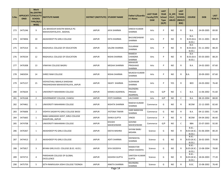| S.No. | <b>ONID</b> | <b>Merit</b><br><b>No.(DISTRIC</b><br><b>APPLICATI   T/FACULTY/</b><br><b>SCHOOL</b><br>TYPE/(R/C)<br>WISE) | <b>INSTITUTE NAME</b>                                            | DISTRICT (INSTITUTE) STUDENT NAME |                             | Father's/Guardia<br>n's Name                     | <b>LAST YEAR</b><br><b>Faculty/STR</b><br><b>EAM</b> | <b>LAST</b><br><b>YEAR</b><br><b>School</b><br><b>Type</b><br>(G/P) | IS_SPE<br><b>CILLY</b><br><b>ABLED</b> | <b>LAST</b><br><b>YEAR</b><br><b>SCHOOL</b><br>(RBSE/C<br>BSE) | <b>COURSE</b>                         | <b>DOB</b>              | <b>LAST</b><br><b>YEAR%</b> |
|-------|-------------|-------------------------------------------------------------------------------------------------------------|------------------------------------------------------------------|-----------------------------------|-----------------------------|--------------------------------------------------|------------------------------------------------------|---------------------------------------------------------------------|----------------------------------------|----------------------------------------------------------------|---------------------------------------|-------------------------|-----------------------------|
| 273   | 3475246     | 9                                                                                                           | LAL BAHADUR SHASTRI MAHILA PG<br>MAHAVIDHYALAYA, BADHAL          | <b>JAIPUR</b>                     | <b>JAYA SHARMA</b>          | <b>DINESH KUMAR</b><br><b>SHARMA</b>             | Arts                                                 | P                                                                   | NO.                                    | R                                                              | B.A.                                  | 24-09-2005              | 89.00                       |
| 274   | 3474836     | 10                                                                                                          | AKASHDEEP PG GIRLS COLLEGE                                       | <b>JAIPUR</b>                     | <b>EKTA SHARMA</b>          | <b>BHUVNESHWAR</b><br><b>SHARMA</b>              | Arts                                                 | P                                                                   | NO.                                    | R                                                              | B.A-<br>B.ED.(B.A)<br><b>B.ED.)</b>   | 03-11-2001              | 88.20                       |
| 275   | 3475314     | 11                                                                                                          | RAGHUKUL COLLEGE OF EDUCATION                                    | <b>JAIPUR</b>                     | <b>SALONI SHARMA</b>        | <b>DULARAM</b><br><b>SHARMA</b>                  | Arts                                                 | P                                                                   | NO.                                    | R                                                              | $B.A-$<br><b>B.ED.(B.A-</b><br>B.ED.) | 01-11-2002              | 88.20                       |
| 276   | 3476534     | 12                                                                                                          | RAGHUKUL COLLEGE OF EDUCATION                                    | <b>JAIPUR</b>                     | <b>NISHA SHARMA</b>         | <b>RAMESH</b><br><b>CHANDRA</b><br><b>SHARMA</b> | Arts                                                 | P                                                                   | NO.                                    | R                                                              | B.A-<br>$B.ED.(B.A-$<br>B.ED.)        | 05-03-2003              | 88.20                       |
| 277   | 3476308     | 13                                                                                                          | VINAYAK COLLEGE BAGRU                                            | <b>JAIPUR</b>                     | <b>MEGHA SHARMA</b>         | <b>MAHAVIR</b><br>PRASHAAD<br><b>SHARMA</b>      | Arts                                                 | P                                                                   | NO.                                    | R                                                              | B.A.                                  | 24-02-2003              | 87.60                       |
| 278   | 3465034     | 14                                                                                                          | SHREE RAM COLLEGE                                                | <b>JAIPUR</b>                     | <b>NISHA SHARMA</b>         | <b>MUKESH KUMAR</b><br><b>SHARMA</b>             | Arts                                                 | P                                                                   | NO.                                    | R                                                              | B.A.                                  | 20-09-2003              | 87.60                       |
| 279   | 3475157     | 15                                                                                                          | VIDYASTHALI MAHILA SHIKSHAK<br>PRASHIKSHAN MAHAVIDYALAYA, JAIPUR | <b>JAIPUR</b>                     | SWATI SHARMA                | <b>SUDHAKAR</b><br><b>SHARMA</b>                 | Arts                                                 | P                                                                   | YES                                    | R                                                              | <b>BED</b>                            | 24-03-2002              | 76.40                       |
| 280   | 3476634     | $\mathbf{1}$                                                                                                | UNIVERSITY MAHARANI COLLEGE                                      | <b>JAIPUR</b>                     | KANIKA AGARWAL              | <b>RAJENDRA</b><br><b>PRASAD</b><br>AGARWAL      | Arts                                                 | G/P                                                                 | NO.                                    | C                                                              | B.A.                                  | 11-06-2002              | 91.60                       |
| 281   | 3476168     | $\overline{2}$                                                                                              | GOVERNMENT COLLEGE, CHAKSU                                       | <b>JAIPUR</b>                     | <b>JYOTI SHARMA</b>         | LALCHAND                                         | Arts                                                 | G/P                                                                 | NO.                                    | $\mathsf{C}$                                                   | <b>B.A.</b>                           | 08-10-2004              | 88.00                       |
| 282   | 3474461     | $\mathbf{1}$                                                                                                | UNIVERSITY MAHARANI COLLEGE                                      | <b>JAIPUR</b>                     | NISHITA SHARMA              | <b>RAKESH KUMAR</b><br><b>SHARMA</b>             | Commerce                                             | G                                                                   | NO.                                    | R                                                              | <b>BCOM</b>                           | 22-12-2005              | 82.60                       |
| 283   | 3476606     | $\overline{2}$                                                                                              | VIDHYA SAGAR PG GIRLS COLLEGE BASSI                              | <b>JAIPUR</b>                     | JYOTSNA TIWARI              | <b>HARI NARAYAN</b><br><b>SHARMA</b>             | Commerce                                             | G                                                                   | NO.                                    | $\mathsf{R}$                                                   | B.A.                                  | 04-12-2001              | 71.80                       |
| 284   | 3475665     | $\mathbf{1}$                                                                                                | BABA GANGADAS GOVT, GIRLS COLLEGE<br>SHAHPURA, JAIPUR            | <b>JAIPUR</b>                     | <b>ISHIKA GUPTA</b>         | VINOD                                            | Commerce                                             | P                                                                   | NO.                                    | R                                                              | <b>BCOM</b>                           | 04-04-2002              | 86.60                       |
| 285   | 3474708     | $\mathbf{1}$                                                                                                | UNIVERSITY MAHARANI COLLEGE                                      | <b>JAIPUR</b>                     | <b>KHUSHI</b><br>MAHESHWARI | <b>GOVIND</b><br>MAHESHWARI                      | Commerce                                             | G/P                                                                 | NO.                                    | C                                                              | <b>BBA</b>                            | 25-07-2003              | 92.00                       |
| 286   | 3476367     | 1                                                                                                           | AKASHDEEP PG GIRLS COLLEGE                                       | <b>JAIPUR</b>                     | <b>DEEYA MISHRA</b>         | <b>SHYAM BABU</b><br><b>MISHRA</b>               | Science                                              | G                                                                   | NO.                                    | R                                                              | <b>B.SC.-</b><br>B.ED.)               | B.ED.(B.SC.- 01-06-2004 | 80.20                       |
| 287   | 3474413     | $\overline{2}$                                                                                              | AKASHDEEP PG GIRLS COLLEGE                                       | <b>JAIPUR</b>                     | <b>ADITI SHARMA</b>         | DEENDAYAL<br>SHARMA                              | Science                                              | G                                                                   | <b>NO</b>                              | R                                                              | $B.SC.-$<br><b>B.ED.)</b>             | B.ED.(B.SC.- 26-02-2005 | 79.00                       |
| 288   | 3475817     | 3                                                                                                           | BIYANI GIRLS B.ED. COLLEGE (B.SC.-B.ED.)                         | <b>JAIPUR</b>                     | SIYA SISODIYA               | <b>RAMAVTAR</b><br><b>SINGH SISODIYA</b>         | Science                                              | G                                                                   | <b>NO</b>                              | R                                                              | $B.SC.-$<br><b>B.ED.)</b>             | B.ED.(B.SC.- 13-08-2004 | 78.80                       |
| 289   | 3474713     | 4                                                                                                           | PARISHKAR COLLEGE OF GLOBAL<br><b>EXCELLENCE</b>                 | <b>JAIPUR</b>                     | <b>KASHISH GUPTA</b>        | <b>SANTOSH KUMAR</b><br><b>GUPTA</b>             | Science                                              | G                                                                   | NO                                     | R                                                              | $B.SC.-$<br><b>B.ED.)</b>             | B.ED.(B.SC.- 18-04-2003 | 77.20                       |
| 290   | 3475759     | 5                                                                                                           | SETH RAMVILASH JOSHI COLLEGE TOONGA                              | <b>JAIPUR</b>                     | ANKITA SHARMA               | RAVINDRA<br>SHARMA                               | Science                                              | G                                                                   | NO                                     | R                                                              | B.SC.                                 | 15-08-2002              | 76.40                       |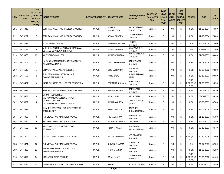| S.No. | <b>ONID</b> | <b>Merit</b><br><b>No.(DISTRIC</b><br>APPLICATI  T/FACULTY/<br><b>SCHOOL</b><br>TYPE/(R/C)<br>WISE) | <b>INSTITUTE NAME</b>                                               | DISTRICT (INSTITUTE) STUDENT NAME |                             | Father's/Guardia<br>n's Name           | <b>LAST YEAR</b><br><b>Faculty/STR</b><br><b>EAM</b> | <b>LAST</b><br><b>YEAR</b><br><b>School</b><br><b>Type</b><br>(G/P) | IS_SPE<br><b>CILLY</b><br><b>ABLED</b> | <b>LAST</b><br><b>YEAR</b><br><b>SCHOOL</b><br>(RBSE/C<br>BSE) | <b>COURSE</b>                                 | <b>DOB</b>              | <b>LAST</b><br><b>YEAR</b> % |
|-------|-------------|-----------------------------------------------------------------------------------------------------|---------------------------------------------------------------------|-----------------------------------|-----------------------------|----------------------------------------|------------------------------------------------------|---------------------------------------------------------------------|----------------------------------------|----------------------------------------------------------------|-----------------------------------------------|-------------------------|------------------------------|
| 291   | 3476323     | 6                                                                                                   | SETH RAMVILASH JOSHI COLLEGE TOONGA                                 | <b>JAIPUR</b>                     | <b>KHUSHI</b><br>KHANDELWAL | <b>SANJAY KUMAR</b><br>KHANDELWAL      | Science                                              | G                                                                   | NO.                                    | R                                                              | B.SC.                                         | 11-05-2004              | 74.80                        |
| 292   | 3476271     | $\overline{7}$                                                                                      | SETH RAMVILASH JOSHI COLLEGE TOONGA                                 | <b>JAIPUR</b>                     | KOMAL SHARMA                | <b>DINESH KUMAR</b><br>SHARMA          | Science                                              | G                                                                   | NO.                                    | R                                                              | B.SC.                                         | 17-10-2004              | 74.80                        |
| 293   | 3475727     | 8                                                                                                   | TILAK P.G COLLEGE BASSI                                             | <b>JAIPUR</b>                     | <b>VANSHIKA SHARMA</b>      | HANSRAJ<br>SHARMA                      | Science                                              | G                                                                   | NO.                                    | R.                                                             | B.A.                                          | 14-07-2004              | 74.00                        |
| 294   | 3474793     | 9                                                                                                   | SHRI KRISHAN SHIKSHAN SANSTHAN B.ED.<br>COLLEGE GOVINDGARH (JAIPUR) | <b>JAIPUR</b>                     | KOMAL SHARMA                | <b>DHARMENDRA</b><br><b>SHARMA</b>     | Science                                              | G                                                                   | NO.                                    | R                                                              | <b>BED</b>                                    | 10-12-2003              | 71.40                        |
| 295   | 3475365     | 10                                                                                                  | KASTURI DEVI COLLEGE                                                | <b>JAIPUR</b>                     | AKSHITA SHARMA              | RAGHUNANDAN<br>SHARMA                  | Science                                              | G                                                                   | <b>NO</b>                              | R.                                                             | B.SC.                                         | 07-01-2003              | 69.00                        |
| 296   | 3477307     | 11                                                                                                  | JAI BABA AMARNATH MAHAVIDAYALAYA<br><b>BHAINSAWA JAIPUR</b>         | <b>JAIPUR</b>                     | <b>SANTOSH SHARMA</b>       | <b>RAMAWATAR</b><br>SHARMA             | Science                                              | G                                                                   | NO.                                    | R                                                              | B.SC.                                         | 15-06-2005              | 66.80                        |
| 297   | 3476639     | $\mathbf{1}$                                                                                        | UNIVERSITY MAHARANI COLLEGE                                         | <b>JAIPUR</b>                     | <b>DIKSHA SHARMA</b>        | <b>RAVIKANT</b><br>SHARMA              | Science                                              | P                                                                   | NO.                                    | R                                                              | B.SC.                                         | 25-08-2002              | 93.80                        |
| 298   | 3476593     | $\overline{2}$                                                                                      | SHRI KRISHAN MAHAVIDHYALAYA<br><b>GOVINDGARH (JAIPUR)</b>           | <b>JAIPUR</b>                     | RANU BAJAJ                  | SHIMBHU DAYAL<br>BAJAJ                 | Science                                              | P                                                                   | NO.                                    | R.                                                             | B.SC.                                         | 23-12-2003              | 93.60                        |
| 299   | 3474481     | 3                                                                                                   | INDIA OVERSEAS COLLEGE FOR EDUCATION                                | <b>JAIPUR</b>                     | PRIYANKA SHARMA             | <b>RAM KISHOR</b><br>SHARMA            | Science                                              | P                                                                   | NO.                                    | R                                                              | <b>B.SC.-</b><br><b>B.ED.(B.SC.-</b><br>B.ED. | 01-06-2003              | 90.20                        |
| 300   | 3475652     | 4                                                                                                   | SETH RAMVILASH JOSHI COLLEGE TOONGA                                 | <b>JAIPUR</b>                     | SHIVANI SHARMA              | RAMVILASH<br><b>SHARMA</b>             | Science                                              | P                                                                   | NO.                                    | R                                                              | B.SC.                                         | 01-07-2003              | 90.20                        |
| 301   | 3475499     | 5                                                                                                   | S.S.JAIN SUBODH P.G.<br>(AUTONOMOUS)COLLEGE, JAIPUR                 | <b>JAIPUR</b>                     | <b>ANJALI JAIN</b>          | <b>SANJAY JAIN</b>                     | Science                                              | P                                                                   | <b>NO</b>                              | R.                                                             | B.SC.                                         | 08-02-2003              | 89.20                        |
| 302   | 3476062     | 6                                                                                                   | S.S.JAIN SUBODH P.G.<br>(AUTONOMOUS)COLLEGE, JAIPUR                 | <b>JAIPUR</b>                     | AKSHIKA GUPTA               | <b>SATISH KUMAR</b><br><b>GUPTA</b>    | Science                                              | P                                                                   | NO.                                    | R                                                              | B.SC.                                         | 15-06-2003              | 87.80                        |
| 303   | 3475275     | $\overline{7}$                                                                                      | KHANDELWAL VAISH GIRLS INSTITUTE OF<br><b>TECHNOLOGY</b>            | <b>JAIPUR</b>                     | <b>NEHA SHARMA</b>          | <b>RAJENDRA</b><br><b>KUMAR SHARMA</b> | Science                                              | P                                                                   | NO.                                    | R                                                              | B.SC.                                         | 22-04-2004              | 85.40                        |
| 304   | 3474966     | 8                                                                                                   | R.K. VIGYAN P.G. MAHAVIDHYALAYA                                     | <b>JAIPUR</b>                     | <b>NISHA SHARMA</b>         | RADHESHYAM<br>SHARMA                   | Science                                              | P                                                                   | NO.                                    | R                                                              | B.SC.                                         | 01-12-2003              | 85.00                        |
| 305   | 3475760     | 9                                                                                                   | MOTHER TERESA COLLEGE FOR GIRLS                                     | <b>JAIPUR</b>                     | <b>MONIKA KANWAR</b>        | <b>OM SINGH</b>                        | Science                                              | P                                                                   | <b>NO</b>                              | R                                                              | B.SC.                                         | 14-07-2002              | 84.80                        |
| 306   | 3476565     | 10                                                                                                  | MEHTA COLLEGE & INSTITUTE OF<br><b>TECHNOLOGY</b>                   | <b>JAIPUR</b>                     | <b>NEHA SHARMA</b>          | <b>BHAGWAN</b><br><b>SAHAY SHARMA</b>  | Science                                              | P                                                                   | <b>NO</b>                              | R                                                              | B.SC.                                         | 08-12-2003              | 84.40                        |
| 307   | 3475899     | 11                                                                                                  | GANPATI MAHILA MAHAVIDHYALAYA                                       | <b>JAIPUR</b>                     | <b>BHAVNA SHARMA</b>        | <b>VED PRAKASH</b><br><b>SHARMA</b>    | Science                                              | P                                                                   | NO                                     | R                                                              | <b>B.SC.-</b><br>B.ED.                        | B.ED.(B.SC.- 19-10-2005 | 84.00                        |
| 308   | 3475021     | 12                                                                                                  | R.K. VIGYAN P.G. MAHAVIDHYALAYA                                     | <b>JAIPUR</b>                     | SHIVANI SHARMA              | <b>MANNA LAL</b><br><b>SHARMA</b>      | Science                                              | P                                                                   | NO.                                    | R                                                              | <b>B.A.</b>                                   | 24-07-2003              | 82.00                        |
| 309   | 3475485     | 13                                                                                                  | BRIGHT MOON GIRLS P.G. COLLEGE<br><b>GOVINDGARH (JAIPUR)</b>        | <b>JAIPUR</b>                     | PINKY SHARMA                | <b>HANSRAJ</b><br><b>SHARMA</b>        | Science                                              | P                                                                   | NO.                                    | R                                                              | B.SC.                                         | 11-02-2003              | 81.80                        |
| 310   | 3476452     | 14                                                                                                  | MAHARANI GIRLS COLLEGE                                              | JAIPUR                            | <b>ANJALI VIJAY</b>         | <b>DINESH VIJAY</b><br><b>WARGIYA</b>  | Science                                              | P                                                                   | NO.                                    | R                                                              | <b>B.SC.-</b><br><b>B.ED.)</b>                | B.ED.(B.SC.- 28-06-2002 | 81.60                        |
| 311   | 3475756     | 15                                                                                                  | VIVEKANANDA GLOBAL UNIVERSITY, JAIPUR                               | JAIPUR                            | <b>SNEHA</b>                | <b>VISHNU TRIPATHI</b>                 | Science                                              | P                                                                   | NO                                     | R                                                              | B.SC.                                         | 10-10-2001              | 80.80                        |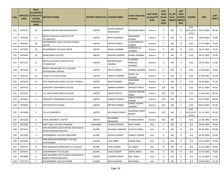| S.No. | <b>ONID</b> | <b>Merit</b><br><b>No.(DISTRIC</b><br><b>APPLICATI   T/FACULTY/</b><br><b>SCHOOL</b><br>TYPE/(R/C)<br>WISE) | <b>INSTITUTE NAME</b>                                          | DISTRICT (INSTITUTE) STUDENT NAME |                                     | Father's/Guardia<br>n's Name                      | <b>LAST YEAR</b><br><b>Faculty/STR</b><br><b>EAM</b> | <b>LAST</b><br><b>YEAR</b><br><b>School</b><br><b>Type</b><br>(G/P) | IS SPE<br><b>CILLY</b><br><b>ABLED</b> | <b>LAST</b><br><b>YEAR</b><br><b>SCHOOL</b><br>(RBSE/C<br>BSE) | <b>COURSE</b>                                 | <b>DOB</b>             | <b>LAST</b><br>YEAR % |
|-------|-------------|-------------------------------------------------------------------------------------------------------------|----------------------------------------------------------------|-----------------------------------|-------------------------------------|---------------------------------------------------|------------------------------------------------------|---------------------------------------------------------------------|----------------------------------------|----------------------------------------------------------------|-----------------------------------------------|------------------------|-----------------------|
| 312   | 3475752     | 16                                                                                                          | GANPATI MAHILA MAHAVIDHYALAYA                                  | <b>JAIPUR</b>                     | <b>OJASVI KANWAR</b><br>SHEKHAWAT   | RAJENDRA SINGH                                    | Science                                              | P                                                                   | NO.                                    | R                                                              | <b>B.SC.-</b><br><b>B.ED.(B.SC.-</b><br>B.ED. | 05-07-2004             | 80.40                 |
| 313   | 3476236     | 17                                                                                                          | MEHTA COLLEGE & INSTITUTE OF<br><b>TECHNOLOGY</b>              | <b>JAIPUR</b>                     | DIVYA AGARWAL                       | <b>MAHENDER</b><br><b>KUMAR</b>                   | Science                                              | P                                                                   | NO.                                    | R                                                              | B.SC.                                         | 26-03-2004             | 79.80                 |
| 314   | 3476361     | 18                                                                                                          | GOVERNMENT GIRLS COLLEGE CHOMU,<br>JAIPUR                      | <b>JAIPUR</b>                     | <b>KRITIKA PAREEK</b>               | SURYAPRAKASH<br><b>PAREEK</b>                     | Science                                              | P                                                                   | NO.                                    | R                                                              | B.SC.                                         | 17-07-2004             | 79.60                 |
| 315   | 3475970     | 19                                                                                                          | GOVERNMENT COLLEGE JAIPUR                                      | <b>JAIPUR</b>                     | <b>SONALI SHARMA</b>                | <b>SHANKAR LAL</b><br>SHARMA                      | Science                                              | P                                                                   | NO.                                    | R                                                              | B.SC.                                         | 18-07-2003             | 79.20                 |
| 316   | 3476544     | 20                                                                                                          | <b>BIYANI GIRLS COLLEGE</b>                                    | <b>JAIPUR</b>                     | <b>KASHISH SHARMA</b>               | <b>KAMAL SHARMA</b>                               | Science                                              | P                                                                   | NO.                                    | R                                                              | B.SC.                                         | 30-07-2003             | 78.40                 |
| 317   | 3475721     | 21                                                                                                          | MEHTA COLLEGE & INSTITUTE OF<br><b>TECHNOLOGY</b>              | <b>JAIPUR</b>                     | <b>BHUNESHVARY</b><br><b>SHARMA</b> | <b>CHANDRA</b><br><b>PRAKASH</b><br><b>SHARMA</b> | Science                                              | P                                                                   | NO.                                    | R                                                              | B.SC.                                         | 19-05-2003             | 77.40                 |
| 318   | 3475592     | 22                                                                                                          | BRIGHT MOON GIRLS P.G. COLLEGE<br>GOVINDGARH (JAIPUR)          | <b>JAIPUR</b>                     | PRIYA SHARMA                        | <b>HEMRAJ SHARMA</b>                              | Science                                              | P                                                                   | NO.                                    | R                                                              | B.SC.                                         | 21-04-2003             | 76.60                 |
| 319   | 3476727     | 23                                                                                                          | TILAK P.G COLLEGE BASSI                                        | <b>JAIPUR</b>                     | <b>TANUJA SHARMA</b>                | <b>GOPAL LAL</b><br><b>SHARMA</b>                 | Science                                              | P                                                                   | NO.                                    | R                                                              | B.SC.                                         | 07-09-2001             | 76.40                 |
| 320   | 3476626     | 24                                                                                                          | SETH RAMVILASH JOSHI COLLEGE TOONGA                            | <b>JAIPUR</b>                     | <b>MAYA SHARMA</b>                  | <b>HANUMAN</b><br>SAHAY                           | Science                                              | P                                                                   | NO.                                    | R                                                              | B.SC.                                         | 24-04-2003             | 76.20                 |
| 321   | 3474714     | 1                                                                                                           | UNIVERSITY MAHARANI COLLEGE                                    | <b>JAIPUR</b>                     | SIMRAN KANWAR                       | <b>PRADEEP SINGH</b>                              | Science                                              | G/P                                                                 | NO.                                    | C                                                              | B.SC.                                         | 06-12-2003             | 94.60                 |
| 322   | 3474197     | $\overline{2}$                                                                                              | S.S. JAIN SUBODH GIRLS COLLEGE                                 | <b>JAIPUR</b>                     | <b>SRISHTI GUPTA</b>                | <b>JAGDISH PRASAD</b><br>GARG                     | Science                                              | G/P                                                                 | NO.                                    | C                                                              | B.SC.                                         | 13-06-2002             | 90.20                 |
| 323   | 3475091     | 3                                                                                                           | UNIVERSITY MAHARANI COLLEGE                                    | <b>JAIPUR</b>                     | <b>AARUSHI PAREEK</b>               | <b>DINESH KUMAR</b><br><b>PAREEK</b>              | Science                                              | G/P                                                                 | NO.                                    | C                                                              | B.SC.                                         | 05-02-2003             | 89.00                 |
| 324   | 3476054     | 4                                                                                                           | KASTURI DEVI COLLEGE                                           | <b>JAIPUR</b>                     | KRITIKA SHARMA                      | <b>KAMAL KUMAR</b><br>SHARMA                      | Science                                              | G/P                                                                 | NO.                                    | C                                                              | B.SC.                                         | 09-03-2003             | 82.80                 |
| 325   | 3474989     | 5                                                                                                           | THE IIS UNIVERSITY                                             | <b>JAIPUR</b>                     | <b>KHUSHBOO RAWAT</b>               | <b>GAJENDRA SINGH</b><br>RAWAT                    | Science                                              | G/P                                                                 | NO.                                    | C                                                              | $B.SC.-$<br>B.ED.                             | B.ED.(B.SC.-11-11-2002 | 81.60                 |
| 326   | 3476218     | 6                                                                                                           | JECRC UNIVERSITY, JAIPUR                                       | <b>JAIPUR</b>                     | <b>KHUSHBOO</b><br><b>BBHABHRA</b>  | <b>PAWAN KUMAR</b>                                | Science                                              | G/P                                                                 | NO.                                    | C                                                              | B.SC.                                         | 22-06-2002             | 80.00                 |
| 327   | 3475828     | $\mathbf{1}$                                                                                                | <b>GOVT.GIRLS COLLEGE POKARAN</b>                              | JAISALMER                         | <b>UGAM RATHORE</b>                 | KIRAT SINGH                                       | Arts                                                 | P                                                                   | NO.                                    | R                                                              | <b>B.A.</b>                                   | 26-06-2004             | 79.00                 |
| 328   | 3474215     | 1                                                                                                           | SHRI RAJENDRA SURI KUNDAN JAIN RAJKIYA<br>MAHILA MAHAVIDHALAYA | JALORE                            | KHUSHBU KANWAR                      | <b>SHAITAN SINGH</b>                              | Arts                                                 | G                                                                   | NO.                                    | R                                                              | B.A.                                          | 05-09-2001             | 82.80                 |
| 329   | 3477593     | $\overline{2}$                                                                                              | GOVERNMENT COLLEGE SANCHORE                                    | <b>JALORE</b>                     | KHUSHI KUMARI                       | <b>BHARAT KUMAR</b>                               | Arts                                                 | G                                                                   | <b>NO</b>                              | R                                                              | <b>B.A.</b>                                   | 20-10-2000             | 81.80                 |
| 330   | 3476066     | 3                                                                                                           | SHRI NARAYAN MEMORIAL COLLEGE<br>CHITALWANA                    | <b>JALORE</b>                     | JAYA SHREE                          | <b>DHANA RAM</b>                                  | Arts                                                 | G                                                                   | NO.                                    | R                                                              | B.A.                                          | 20-10-2000             | 79.40                 |
| 331   | 3475791     | 4                                                                                                           | SHRI BHAGWAN MAHAVEER P.G. COLLEGE                             | <b>JALORE</b>                     | <b>PUJA KUMARI</b>                  | <b>LAL SINGH</b>                                  | Arts                                                 | G                                                                   | NO.                                    | R                                                              | B.A.                                          | 22-03-2004             | 78.60                 |
| 332   | 3475937     | 5                                                                                                           | <b>GOVERNMENT P G COLLEGE</b>                                  | <b>JALORE</b>                     | <b>KAJAL KUMARI</b>                 | <b>GOPAL SINGH</b>                                | Arts                                                 | G                                                                   | NO.                                    | R                                                              | B.A.                                          | 11-07-2002             | 76.80                 |
| 333   | 3474865     | 6                                                                                                           | SHRI RAJENDRA SURI KUNDAN JAIN RAJKIYA<br>MAHILA MAHAVIDHALAYA | JALORE                            | <b>SUSHMITA BHATI</b>               | <b>MUL SINGH</b>                                  | Arts                                                 | G                                                                   | NO                                     | R                                                              | B.A.                                          | 13-10-2002             | 75.60                 |
| 334   | 3475772     | 7                                                                                                           | <b>GOVERNMENT COLLEGE AHORE</b>                                | <b>JALORE</b>                     | <b>MAYA KUMARI</b>                  | <b>RAN SINGH</b>                                  | Arts                                                 | G                                                                   | NO                                     | R                                                              | B.A.                                          | 20-09-2001             | 75.40                 |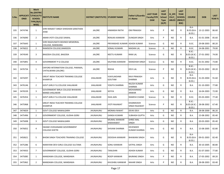| S.No. | <b>ONID</b> | <b>Merit</b><br><b>No.(DISTRIC</b><br><b>APPLICATI T/FACULTY/</b><br><b>SCHOOL</b><br>TYPE/(R/C)<br>WISE) | <b>INSTITUTE NAME</b>                                            | DISTRICT (INSTITUTE) STUDENT NAME |                                  | Father's/Guardia<br>n's Name             | <b>LAST YEAR</b><br><b>Faculty/STR</b><br><b>EAM</b> | <b>LAST</b><br><b>YEAR</b><br><b>School</b><br><b>Type</b><br>(G/P) | IS_SPE<br><b>CILLY</b><br><b>ABLED</b> | <b>LAST</b><br><b>YEAR</b><br><b>SCHOOL</b><br>(RBSE/C<br>BSE) | <b>COURSE</b>                                 | <b>DOB</b>              | <b>LAST</b><br>YEAR % |
|-------|-------------|-----------------------------------------------------------------------------------------------------------|------------------------------------------------------------------|-----------------------------------|----------------------------------|------------------------------------------|------------------------------------------------------|---------------------------------------------------------------------|----------------------------------------|----------------------------------------------------------------|-----------------------------------------------|-------------------------|-----------------------|
| 335   | 3474746     | $\mathbf{1}$                                                                                              | SHRI RANJEET SINGH SHIKSHAN SANSTHAN<br><b>JHAB</b>              | <b>JALORE</b>                     | <b>HIMANSHI RATHI</b>            | <b>OM PRAKASH</b>                        | Arts                                                 | P                                                                   | NO.                                    | R                                                              | $B.A-$<br>$B.ED.(B.A-$<br>B.ED.)              | 13-12-2003              | 86.60                 |
| 336   | 3476090     | $\overline{2}$                                                                                            | AMAR JYOTI COLLEGE DAWAL                                         | <b>JALORE</b>                     | RENUKA KANWAR                    | <b>DUNGAR SINGH</b>                      | Arts                                                 | P                                                                   | NO.                                    | R                                                              | B.A.                                          | 01-01-2006              | 85.60                 |
| 337   | 3475643     | $\mathbf{1}$                                                                                              | SHRI RAGHUNATH BISHNOI MEMORIAL<br>COLLEGE, RANIWARA             | <b>JALORE</b>                     | PRIYANSHEE KUMARI ASHOK KUMAR    |                                          | Science                                              | G                                                                   | NO.                                    | R                                                              | B.SC.                                         | 29-08-2003              | 80.20                 |
| 338   | 3476022     | $\overline{2}$                                                                                            | RAMSEEN COLLEGE, RAMSEEN                                         | <b>JALORE</b>                     | <b>SONALI KUMARI</b>             | <b>MADAN LAL</b>                         | Science                                              | G                                                                   | NO.                                    | $\mathsf{R}$                                                   | B.SC.                                         | 24-08-2001              | 79.00                 |
| 339   | 3474549     | 3                                                                                                         | BAGODA COLLEGE, BAGODA                                           | <b>JALORE</b>                     | <b>NEETU KUMARI</b>              | <b>RAM LAL</b>                           | Science                                              | G                                                                   | NO.                                    | R                                                              | $B.SC.-$<br>B.ED.                             | B.ED.(B.SC.- 27-01-2002 | 74.00                 |
| 340   | 3475891     | 4                                                                                                         | <b>GOVERNMENT P G COLLEGE</b>                                    | <b>JALORE</b>                     | KALPANA KANWAR                   | <b>MANOHAR SINGH</b>                     | Science                                              | G                                                                   | NO.                                    | R                                                              | B.SC.                                         | 01-01-2002              | 73.80                 |
| 341   | 3476734     | $\mathbf{1}$                                                                                              | OXFORD INTERNATION COLLEGE, PARAWA,<br>CHITALWANA (JALORE)       | <b>JALORE</b>                     | <b>REKHA</b>                     | <b>DEVILAL</b>                           | Science                                              | P                                                                   | NO.                                    | R                                                              | <b>B.SC.-</b><br><b>B.ED.(B.SC.-</b><br>B.ED. | 03-03-2002              | 89.20                 |
| 342   | 3474297     | $\mathbf{1}$                                                                                              | <b>GREAT INDIA TEACHER TRAINING COLLEGE</b><br>KHANPUR           | JHALAWAR                          | VIJAYLAKSHMI<br><b>GOUTAM</b>    | <b>RAVI PRAKASH</b><br><b>SHARMA</b>     | Arts                                                 | G                                                                   | NO.                                    | R                                                              | $B.A-$<br>$B.ED.(B.A-$<br>B.ED.)              | 31-03-2004              | 91.60                 |
| 343   | 3476146     | $\overline{2}$                                                                                            | GOVT.GIRLS P.G.COLLEGE JHALAWAR                                  | <b>JHALAWAR</b>                   | YOGITA SHARMA                    | <b>NILESH KUMAR</b><br><b>SHARMA</b>     | Arts                                                 | G                                                                   | NO.                                    | R.                                                             | B.A.                                          | 01-10-2003              | 77.80                 |
| 344   | 3476539     | 3                                                                                                         | <b>GOVERNMENT BIRLA COLLEGE BHAWANI</b><br><b>MANDI JHALAWAR</b> | JHALAWAR                          | <b>SEFIYA</b>                    | <b>MOHAMMAD</b><br>ANWAR                 | Arts                                                 | G                                                                   | NO.                                    | R                                                              | B.A.                                          | 16-04-2003              | 72.00                 |
| 345   | 3476354     | $\mathbf{1}$                                                                                              | GOVT.GIRLS P.G.COLLEGE JHALAWAR                                  | <b>JHALAWAR</b>                   | <b>ISHA JAIN</b>                 | <b>RAMESH CHAND</b>                      | Science                                              | G                                                                   | NO.                                    | R.                                                             | B.SC.                                         | 05-03-2003              | 77.40                 |
| 346   | 3475968     | $\mathbf{1}$                                                                                              | GREAT INDIA TEACHER TRAINING COLLEGE<br>KHANPUR                  | JHALAWAR                          | <b>JYOTI RAJAWAT</b>             | <b>DHARMVEER</b><br><b>SINGH RAJAWAT</b> | Science                                              | P                                                                   | NO.                                    | R                                                              | $B.SC. -$<br>B.ED.(B.SC.-<br>B.ED.)           | 28-08-2002              | 67.40                 |
| 347   | 3474659     | $\mathbf{1}$                                                                                              | <b>GOVT COLLEGE NAWALGARH</b>                                    | <b>JHUNJHUNU</b>                  | <b>MONIKA RAWAT</b>              | <b>DEVKI DEVI</b>                        | Arts                                                 | G                                                                   | NO.                                    | R                                                              | <b>B.A.</b>                                   | 28-08-2000              | 86.20                 |
| 348   | 3475496     | $\overline{2}$                                                                                            | GOVERNMENT COLLEGE, GUDHA GORJI                                  | <b>JHUNJHUNU</b>                  | <b>GANGA KUMARI</b>              | <b>SUBHASH GUPTA</b>                     | Arts                                                 | G                                                                   | NO.                                    | R                                                              | B.A.                                          | 15-08-2002              | 85.40                 |
| 349   | 3475698     | 3                                                                                                         | GOVT COLLEGE NAWALGARH                                           | <b>JHUNJHUNU</b>                  | <b>MUMAL KANWAR</b><br>SHEKHAWAT | <b>SHREE MAL</b><br><b>SINGH</b>         | Arts                                                 | G                                                                   | NO.                                    | R                                                              | B.A.                                          | 20-03-2003              | 85.40                 |
| 350   | 3476052     | $\overline{4}$                                                                                            | SWAMI VIVEKANAND GOVERNMENT<br><b>COLLEGE KHETRI</b>             | <b>JHUNJHUNU</b>                  | <b>SHIVANI SHARMA</b>            | <b>DEVENDER</b><br><b>KUMAR SHARMA</b>   | Arts                                                 | G                                                                   | NO.                                    | R                                                              | B.A.                                          | 15-08-2005              | 82.80                 |
| 351   | 3450621     | 5                                                                                                         | BHOM SINGH TEACHERS TRAINING COLLEGE                             | <b>JHUNJHUNU</b>                  | <b>DEEKSHA KANWAR</b>            | <b>BHAWANI SINGH</b>                     | Arts                                                 | G                                                                   | <b>NO</b>                              | $\mathsf{R}$                                                   | <b>B.A-</b><br>$B.ED.(B.A-$<br><b>B.ED.)</b>  | 09-01-2003              | 82.40                 |
| 352   | 3475286     | 6                                                                                                         | NARAYANI DEVI GIRLS COLLEGE SULTANA                              | <b>JHUNJHUNU</b>                  | <b>SONU KANWAR</b>               | SATPAL SINGH                             | Arts                                                 | G                                                                   | NO                                     | R                                                              | <b>B.A.</b>                                   | 30-10-2005              | 80.80                 |
| 353   | 3474933     | $7\overline{ }$                                                                                           | GOVERNMENT COLLEGE, GUDHA GORJI                                  | <b>UNUHIUNU</b>                   | TANUSHRI                         | <b>ASHOK KUMAR</b>                       | Arts                                                 | G                                                                   | NO                                     | $\mathsf{R}$                                                   | <b>B.A.</b>                                   | 01-07-2003              | 77.80                 |
| 354   | 3475085     | $\mathbf{1}$                                                                                              | MANDAWA COLLEGE, MANDAWA                                         | <b>JHUNJHUNU</b>                  | ROOP KANWAR                      | <b>BAJRANG SINGH</b>                     | Arts                                                 | P                                                                   | NO                                     | $\mathsf{R}$                                                   | B.A.                                          | 17-05-2002              | 89.20                 |
| 355   | 3475962     | $\overline{2}$                                                                                            | MANDAWA COLLEGE, MANDAWA                                         | <b>JHUNJHUNU</b>                  | KHUSHBU KANWAR                   | NAHAR SINGH                              | Arts                                                 | P                                                                   | <b>NO</b>                              | R                                                              | B.A.                                          | 28-08-2003              | 83.40                 |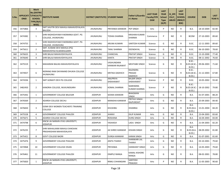| S.No. | <b>ONID</b> | <b>Merit</b><br><b>No.(DISTRIC</b><br>APPLICATI  T/FACULTY/<br><b>SCHOOL</b><br>TYPE/(R/C)<br>WISE) | <b>INSTITUTE NAME</b>                                      | DISTRICT (INSTITUTE) STUDENT NAME |                              | Father's/Guardia<br>n's Name                | <b>LAST YEAR</b><br><b>Faculty/STR</b><br><b>EAM</b> | <b>LAST</b><br><b>YEAR</b><br><b>School</b><br><b>Type</b><br>(G/P) | IS SPE<br><b>CILLY</b><br><b>ABLED</b> | <b>LAST</b><br><b>YEAR</b><br><b>SCHOOL</b><br>(RBSE/C<br>BSE) | <b>COURSE</b>                             | <b>DOB</b>              | <b>LAST</b><br><b>YEAR</b> % |
|-------|-------------|-----------------------------------------------------------------------------------------------------|------------------------------------------------------------|-----------------------------------|------------------------------|---------------------------------------------|------------------------------------------------------|---------------------------------------------------------------------|----------------------------------------|----------------------------------------------------------------|-------------------------------------------|-------------------------|------------------------------|
| 356   | 3475866     | 3                                                                                                   | SMT.SAVITRI DEVI MAHILA MAHAVIDYALAYA<br><b>BALODA</b>     | <b>JHUNJHUNU</b>                  | PRIYANKA KANWAR              | PEP SINGH                                   | Arts                                                 | P                                                                   | NO.                                    | R.                                                             | B.A.                                      | 18-10-2004              | 82.40                        |
| 357   | 3474382     | 1                                                                                                   | SHRI RADHESHYAM R MORARKA GOVT. PG<br>COLLEGE, JHUNJHUNU   | <b>JHUNJHUNU</b>                  | TOSIKA SHARMA                | KRISHAN KUMAR<br>SHARMA                     | Commerce                                             | P                                                                   | NO.                                    | R                                                              | <b>BCOM</b>                               | 27-10-2003              | 89.60                        |
| 358   | 3474755     | 1                                                                                                   | SHRI RADHESHYAM R MORARKA GOVT. PG<br>COLLEGE, JHUNJHUNU   | JHUNJHUNU                         | ARUNA KUMARI                 | SANTOSH KUMAR                               | Science                                              | G                                                                   | NO.                                    | R.                                                             | B.SC.                                     | 12-11-2003              | 89.60                        |
| 359   | 3475611     | $\overline{2}$                                                                                      | SMT. KUNANI DEVI MAHILA (PG)<br>MAHAVIDYALYA, NAWALGARH    | <b>JHUNJHUNU</b>                  | <b>TANU SHARMA</b>           | DEENDAYAL                                   | Science                                              | G                                                                   | NO.                                    | R                                                              | B.SC.                                     | 06-10-2003              | 78.60                        |
| 360   | 3476633     | 3                                                                                                   | SHRI BALAJI MAHAVIDHYALAYA                                 | <b>JHUNJHUNU</b>                  | CHANCHAL                     | <b>PRATAP SINGH</b>                         | Science                                              | G                                                                   | NO.                                    | $\mathsf{R}$                                                   | B.SC.                                     | 13-10-2000              | 77.40                        |
| 361   | 3476640     | $\overline{4}$                                                                                      | SHRI BALAJI MAHAVIDHYALAYA                                 | <b>JHUNJHUNU</b>                  | KANTA                        | PRATAP SINGH                                | Science                                              | G                                                                   | NO.                                    | $\mathsf{R}$                                                   | B.SC.                                     | 08-11-2002              | 76.60                        |
| 362   | 3475519     | 5                                                                                                   | MAHARANI BALIKA MAHAVIDHYALAYA                             | <b>JHUNJHUNU</b>                  | VASHUNDARA<br>KANWAR RAJAWAT | MEHTABH SINGH                               | Science                                              | G                                                                   | NO.                                    | R                                                              | <b>B.SC.-</b><br>$B.ED.(B.SC.-)$<br>B.ED. | 09-06-2003              | 71.60                        |
| 363   | 3474927     | 6                                                                                                   | NORANG RAM DAYANAND DHUKIA COLLEGE<br>JHUNJHUNU            | <b>JHUNJHUNU</b>                  | KRITIKA DADHICH              | <b>RAJENDRA</b><br>PRASAD<br><b>DADHICH</b> | Science                                              | G                                                                   | NO.                                    | R                                                              | $B.SC. -$<br>B.ED.                        | B.ED.(B.SC.- 21-12-2003 | 67.80                        |
| 364   | 3474336     | $\mathbf{1}$                                                                                        | SMT GOMATI DEVI PG COLLEGE                                 | <b>JHUNJHUNU</b>                  | <b>ANUPRIYA</b><br>SHEKHAWAT | <b>BALBIR SINGH</b><br>SHEKHAWAT            | Science                                              | P                                                                   | NO.                                    | R                                                              | B.SC.                                     | 10-05-2002              | 93.40                        |
| 365   | 3482450     | $\overline{2}$                                                                                      | KANORIA COLLEGE, MUKUNDGARH                                | <b>JHUNJHUNU</b>                  | KOMAL SHARMA                 | <b>NARENDRA</b><br><b>KUMAR SHARMA</b>      | Science                                              | P                                                                   | NO.                                    | R                                                              | <b>B.SC.-</b><br>B.ED.(B.SC.-<br>B.ED.)   | 18-10-2002              | 79.80                        |
| 366   | 3475442     | 1                                                                                                   | <b>GOVERNMENT COLLEGE BALESAR</b>                          | <b>JODHPUR</b>                    | SEEMA KANWAR                 | BHAGWAN<br>SINGH                            | Arts                                                 | G                                                                   | NO.                                    | $\mathsf{R}$                                                   | B.A.                                      | 01-07-2001              | 88.20                        |
| 367   | 3476569     | $\overline{2}$                                                                                      | ADARSH COLLEGE DECHU                                       | <b>JODHPUR</b>                    | MANISHA KANWAR               | PRITHVI SINGH<br><b>RAJPUROHIT</b>          | Arts                                                 | G                                                                   | NO.                                    | R                                                              | B.A.                                      | 25-09-2003              | 84.40                        |
| 368   | 3476650     | 3                                                                                                   | GOMI DEVI WOMEN TEACHER'S TRAINING<br><b>COLLEGE</b>       | <b>JODHPUR</b>                    | <b>KHUSHBU</b>               | <b>DHANRAJ</b>                              | Arts                                                 | G                                                                   | NO.                                    | R                                                              | B.A-<br>$B.ED.(B.A-$<br>B.ED.             | 15-01-2004              | 84.20                        |
| 369   | 3475528     | 4                                                                                                   | <b>GOVERNMENT COLLEGE PHALODI</b>                          | <b>JODHPUR</b>                    | <b>JHANVI</b>                | <b>DILIP KUMAR</b>                          | Arts                                                 | G                                                                   | NO.                                    | $\mathsf{R}$                                                   | B.A.                                      | 23-04-2003              | 83.60                        |
| 370   | 3475671     | 5                                                                                                   | ADARSH COLLEGE DECHU                                       | <b>JODHPUR</b>                    | <b>ROSHANA</b>               | <b>DURG SINGH</b>                           | Arts                                                 | G                                                                   | NO.                                    | $\mathsf{R}$                                                   | B.A.                                      | 16-04-2003              | 83.00                        |
| 371   | 3474798     | 6                                                                                                   | KNCW JAI NARAIN VYAS UNIVERSITY,<br><b>JODHPUR</b>         | <b>JODHPUR</b>                    | YASHASVI                     | LADU SINGH                                  | Arts                                                 | G                                                                   | NO.                                    | R                                                              | B.A.                                      | 21-04-2003              | 82.20                        |
| 372   | 3476235     | $\overline{7}$                                                                                      | SHRI MAHALAXMI MAHILA SHIKSHAK<br>PRASHIKSHAN MAHAVIDALAYA | <b>JODHPUR</b>                    | JAI SHREE KANWAR             | KISHAN SINGH                                | Arts                                                 | G                                                                   | NO                                     | R                                                              | $B.A-$<br>B.ED.(B.A)<br>B.ED.             | 08-09-2002              | 81.80                        |
| 373   | 3475421     | 8                                                                                                   | <b>GOVT COLLEGE BAORI</b>                                  | <b>JODHPUR</b>                    | <b>DURGA KANWAR</b>          | <b>KARAN SINGH</b>                          | Arts                                                 | G                                                                   | NO.                                    | R                                                              | B.A.                                      | 01-07-2001              | 81.60                        |
| 374   | 3475476     | 9                                                                                                   | <b>GOVERNMENT COLLEGE PHALODI</b>                          | <b>JODHPUR</b>                    | <b>ANITA THANVI</b>          | <b>JHANWARI LAL</b><br>THANVI               | Arts                                                 | G                                                                   | NO                                     | R                                                              | B.A.                                      | 03-10-2001              | 79.60                        |
| 375   | 3474968     | 10                                                                                                  | <b>GOVERNMENT COLLEGE OSIAN</b>                            | <b>JODHPUR</b>                    | PRIYANKA                     | <b>HANWANT SINGH</b>                        | Arts                                                 | G                                                                   | NO.                                    | R                                                              | B.A.                                      | 14-05-2003              | 79.60                        |
| 376   | 3476461     | 11                                                                                                  | <b>GOVERNMENT COLLEGE PHALODI</b>                          | <b>JODHPUR</b>                    | <b>DIMPLE RANGA</b>          | KAMAL KISHORE<br>RANGA                      | Arts                                                 | G                                                                   | NO                                     | R                                                              | B.A.                                      | 08-02-2001              | 78.80                        |
| 377   | 3475820     | $\mathbf{1}$                                                                                        | KNCW JAI NARAIN VYAS UNIVERSITY,<br>JODHPUR                | <b>JODHPUR</b>                    | RINKU CHHANGANI              | SANTOSH<br>PRAKASH                          | Arts                                                 | P                                                                   | NO                                     | R                                                              | <b>B.A.</b>                               | 11-05-2003              | 90.60                        |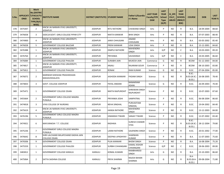| S.No. | <b>ONID</b> | <b>Merit</b><br><b>No.(DISTRIC</b><br>APPLICATI  T/FACULTY/<br><b>SCHOOL</b><br>TYPE/(R/C)<br>WISE) | <b>INSTITUTE NAME</b>                                | <b>DISTRICT (INSTITUTE) STUDENT NAME</b> |                         | <b>Father's/Guardia</b><br>n's Name | <b>LAST YEAR</b><br><b>Faculty/STR</b><br><b>EAM</b> | <b>LAST</b><br><b>YEAR</b><br><b>School</b><br><b>Type</b><br>(G/P) | IS_SPE<br><b>CILLY</b><br><b>ABLED</b> | <b>LAST</b><br><b>YEAR</b><br><b>SCHOOL</b><br>(RBSE/C<br>BSE) | <b>COURSE</b>                              | <b>DOB</b>              | <b>LAST</b><br><b>YEAR</b> % |
|-------|-------------|-----------------------------------------------------------------------------------------------------|------------------------------------------------------|------------------------------------------|-------------------------|-------------------------------------|------------------------------------------------------|---------------------------------------------------------------------|----------------------------------------|----------------------------------------------------------------|--------------------------------------------|-------------------------|------------------------------|
| 378   | 3475447     | $\overline{2}$                                                                                      | KNCW JAI NARAIN VYAS UNIVERSITY,<br>JODHPUR          | <b>JODHPUR</b>                           | <b>RITU RATHORE</b>     | CHAWAND SINGH                       | Arts                                                 | P                                                                   | NO.                                    | R                                                              | B.A.                                       | 18-09-2004              | 88.60                        |
| 379   | 3476658     | 3                                                                                                   | SSDCLB GOVT. GIRLS COLLEGE PIPAR CITY                | <b>JODHPUR</b>                           | NIKITA KANWAR           | <b>BHIK SINGH</b>                   | Arts                                                 | P                                                                   | NO.                                    | R                                                              | B.A.                                       | 07-07-2003              | 88.40                        |
| 380   | 3474900     | 4                                                                                                   | KNCW JAI NARAIN VYAS UNIVERSITY,<br><b>JODHPUR</b>   | <b>JODHPUR</b>                           | JANVI CHHUGANI          | ANAND<br>CHHUGANI                   | Arts                                                 | P                                                                   | NO.                                    | R                                                              | B.A.                                       | 03-05-2002              | 85.40                        |
| 381   | 3476028     | 5                                                                                                   | <b>GOVERNMENT COLLEGE BALESAR</b>                    | <b>JODHPUR</b>                           | PREM KANWAR             | UDAI SINGH                          | Arts                                                 | P                                                                   | NO.                                    | $\mathsf{R}$                                                   | <b>B.A.</b>                                | 15-12-2001              | 84.60                        |
| 382   | 3476388     | $\mathbf{1}$                                                                                        | KNCW JAI NARAIN VYAS UNIVERSITY,<br><b>JODHPUR</b>   | <b>JODHPUR</b>                           | <b>DIMPLE RATHORE</b>   | MAHENDRA<br><b>SINGH</b>            | Arts                                                 | G/P                                                                 | NO.                                    | C                                                              | B.A.                                       | 10-03-2003              | 89.20                        |
| 383   | 3476764     | $\overline{2}$                                                                                      | KNCW JAI NARAIN VYAS UNIVERSITY,<br>JODHPUR          | <b>JODHPUR</b>                           | PRIYANKA                | SAVAISINGH                          | Arts                                                 | G/P                                                                 | NO.                                    | C                                                              | B.A.                                       | 24-03-2005              | 86.60                        |
| 384   | 3476084     | 1                                                                                                   | <b>GOVERNMENT COLLEGE PHALODI</b>                    | <b>JODHPUR</b>                           | SURABHI JAIN            | <b>MUKESH JAIN</b>                  | Commerce                                             | G                                                                   | NO.                                    | $\mathsf{R}$                                                   | <b>BCOM</b>                                | 01-12-2003              | 84.00                        |
| 385   | 3474817     | 1                                                                                                   | KNCW JAI NARAIN VYAS UNIVERSITY,<br><b>JODHPUR</b>   | <b>JODHPUR</b>                           | ANJALI                  | RAJARAM GOUR                        | Commerce                                             | P                                                                   | NO.                                    | $\mathsf{R}$                                                   | <b>BCOM</b>                                | 08-10-2003              | 83.80                        |
| 386   | 3475812     | $\mathbf{1}$                                                                                        | <b>GOVERNMENT COLLEGE PHALODI</b>                    | <b>JODHPUR</b>                           | <b>RONAK</b>            | <b>RAM KUMAR</b>                    | Science                                              | G                                                                   | NO.                                    | $\mathsf{R}$                                                   | B.SC.                                      | 07-04-2004              | 85.00                        |
| 387   | 3476072     | $\overline{2}$                                                                                      | MARWAR SHIKSHAK PRASHIKSHAN<br>MAHAVIDHALAYA         | <b>JODHPUR</b>                           | JASHODA KANWAR          | PADAM SINGH                         | Science                                              | G                                                                   | NO.                                    | R                                                              | $B.SC.-$<br><b>B.ED.(B.SC.-</b><br>B.ED.   | 26-08-2005              | 78.40                        |
| 388   | 3474833     | 3                                                                                                   | <b>GOVT. COLLEGE JODHPUR</b>                         | <b>JODHPUR</b>                           | PAYAL ANDANI            | NANAKRAM<br>ADANI                   | Science                                              | G                                                                   | NO.                                    | R                                                              | B.SC.                                      | 26-09-2003              | 70.40                        |
| 389   | 3475471     | 1                                                                                                   | <b>GOVERNMENT COLLEGE OSIAN</b>                      | <b>JODHPUR</b>                           | NIKITA RAJPUROHIT       | SHRAWAN SINGH<br>RAJPUROHIT         | Science                                              | P                                                                   | NO.                                    | R                                                              | B.SC.                                      | 10-07-2003              | 87.60                        |
| 390   | 3455664     | $\overline{2}$                                                                                      | GOVERNMENT GIRLS COLLEGE MAGRA<br>PUNJALA            | <b>JODHPUR</b>                           | PRIYANKA JOSHI          | SAMPATRAJ                           | Science                                              | P                                                                   | NO.                                    | R                                                              | B.SC.                                      | 06-08-2004              | 86.60                        |
| 391   | 3474818     | 3                                                                                                   | VYAS COLLEGE OF NURSING                              | <b>JODHPUR</b>                           | <b>NEHA SINGHAL</b>     | PURUSOTAM<br>SINGHAL                | Science                                              | P                                                                   | NO.                                    | R                                                              | B.SC.                                      | 19-04-2002              | 84.40                        |
| 392   | 3475619     | 4                                                                                                   | KNCW JAI NARAIN VYAS UNIVERSITY,<br><b>JODHPUR</b>   | <b>JODHPUR</b>                           | HANSA RATHORE           | MAHENDRA<br>SINGH                   | Science                                              | P                                                                   | NO.                                    | R                                                              | B.SC.                                      | 13-12-2003              | 84.00                        |
| 393   | 3476196     | 5                                                                                                   | GOVERNMENT GIRLS COLLEGE MAGRA<br>PUNJALA            | <b>JODHPUR</b>                           | HIMANSHI TIWARI         | <b>SANJAY TIWARI</b>                | Science                                              | P                                                                   | NO.                                    | $\mathsf{R}$                                                   | B.SC.                                      | 12-07-2002              | 83.40                        |
| 394   | 3474921     | 6                                                                                                   | MAYURAKSHI T.T. COLLEGE                              | <b>JODHPUR</b>                           | RADHIKA                 | SURESH CHANDR<br><b>VYAS</b>        | Science                                              | P                                                                   | NO.                                    | R                                                              | <b>B.SC.-</b><br>B.ED.                     | B.ED.(B.SC.- 28-12-2004 | 79.80                        |
| 395   | 3475236     | $\overline{7}$                                                                                      | GOVERNMENT GIRLS COLLEGE MAGRA<br>PUNJALA            | <b>JODHPUR</b>                           | LAXMI RATHORE           | GAJENDRA SINGH                      | Science                                              | P                                                                   | NO.                                    | R                                                              | B.SC.                                      | 20-01-2002              | 77.00                        |
| 396   | 3476642     | 8                                                                                                   | SHRI LALCHAND MILAPCHAND DADHA JAIN<br>COLLEGE OSIAN | <b>JODHPUR</b>                           | <b>DEEPIKA UPADHYAY</b> | SHARWAN<br><b>KUMAR</b>             | Science                                              | P                                                                   | NO.                                    | R                                                              | B.A.                                       | 11-07-2003              | 75.60                        |
| 397   | 3476506     | 9                                                                                                   | <b>GOVERNMENT COLLEGE OSIAN</b>                      | <b>JODHPUR</b>                           | PUJA KANWAR             | <b>BHOM SINGH</b>                   | Science                                              | P                                                                   | NO                                     | R                                                              | B.A.                                       | 16-08-2004              | 75.20                        |
| 398   | 3475559     | 1                                                                                                   | <b>GOVERNMENT COLLEGE PHALODI</b>                    | <b>JODHPUR</b>                           | SURBHI CHHANGAN         | <b>KAMAL KISHOR</b><br>CHHANGANI    | Science                                              | G/P                                                                 | NO                                     | C                                                              | B.SC.                                      | 28-06-2003              | 89.00                        |
| 399   | 3483812     | $\mathbf{1}$                                                                                        | <b>GOVERNMENT COLLEGE KARAULI</b>                    | KARAULI                                  | KOMAL KUMARI            | RAMBHAROSI<br>SINGH                 | Arts                                                 | G                                                                   | NO                                     | R                                                              | B.A.                                       | 23-10-2003              | 86.60                        |
| 400   | 3475064     | $\overline{2}$                                                                                      | SATYA SADHNA COLLEGE                                 | KARAULI                                  | PRIYA SHARMA            | RAJESH BIHARI<br>SHARMA             | Arts                                                 | G                                                                   | NO                                     | R                                                              | B.A-<br><b>B.ED.(B.A-</b><br><b>B.ED.)</b> | 09-08-2004              | 71.80                        |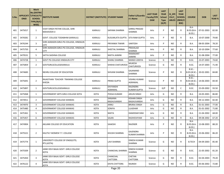| S.No. | <b>ONID</b> | <b>Merit</b><br><b>No.(DISTRIC</b><br>APPLICATI  T/FACULTY/<br><b>SCHOOL</b><br>TYPE/(R/C)<br>WISE) | <b>INSTITUTE NAME</b>                                 | DISTRICT (INSTITUTE) STUDENT NAME |                             | Father's/Guardia<br>n's Name           | <b>LAST YEAR</b><br><b>Faculty/STR</b><br><b>EAM</b> | <b>LAST</b><br><b>YEAR</b><br><b>School</b><br><b>Type</b><br>(G/P) | IS_SPE<br><b>CILLY</b><br><b>ABLED</b> | <b>LAST</b><br><b>YEAR</b><br><b>SCHOOL</b><br>(RBSE/C<br>BSE) | <b>COURSE</b>                                 | <b>DOB</b>              | <b>LAST</b><br>YEAR % |
|-------|-------------|-----------------------------------------------------------------------------------------------------|-------------------------------------------------------|-----------------------------------|-----------------------------|----------------------------------------|------------------------------------------------------|---------------------------------------------------------------------|----------------------------------------|----------------------------------------------------------------|-----------------------------------------------|-------------------------|-----------------------|
| 401   | 3475017     | 1                                                                                                   | VIJAY SINGH PATHIK COLLGE, SHRI<br><b>MAHAVEER JI</b> | KARAULI                           | SAPANA SHARMA               | GIRRAJ PRASAD<br>SHARMA                | Arts                                                 | P                                                                   | NO.                                    | R                                                              | $B.A-$<br>$B.ED.(B.A-$<br>B.ED.               | 07-01-2003              | 82.00                 |
| 402   | 3476581     | $\overline{2}$                                                                                      | GOVT. COLLEGE TODABHIM (KARAULI)                      | <b>KARAULI</b>                    | <b>KUSUMLATA GUPTA</b>      | <b>SITA RAM GUPTA</b>                  | Arts                                                 | P                                                                   | NO.                                    | $\mathsf{R}$                                                   | B.A.                                          | 10-07-2000              | 79.80                 |
| 403   | 3476244     | 3                                                                                                   | SHRI AGRASEN GIRLS PG COLLEGE, HINDAUN<br><b>CITY</b> | KARAULI                           | PRIYANKA TIWARI             | SANTOSH                                | Arts                                                 | P                                                                   | NO.                                    | R                                                              | B.A.                                          | 08-05-2004              | 78.20                 |
| 404   | 3475750     | 4                                                                                                   | SHRI AGRASEN GIRLS PG COLLEGE, HINDAUN<br><b>CITY</b> | <b>KARAULI</b>                    | SHEETAL SHARMA              | PRAHALAD<br>SHARMA                     | Arts                                                 | P                                                                   | NO.                                    | R                                                              | B.A.                                          | 10-10-2004              | 77.60                 |
| 405   | 3479531     | 5                                                                                                   | SATYA SADHNA COLLEGE                                  | <b>KARAULI</b>                    | NIKITA JAIMINI              | RAMAKANT<br><b>JAIMINI</b>             | Arts                                                 | P                                                                   | NO.                                    | R.                                                             | B.A.                                          | 31-08-2004              | 77.00                 |
| 406   | 3474728     | $\mathbf{1}$                                                                                        | <b>GOVT PG COLLEGE HINDAUN CITY</b>                   | KARAULI                           | SHANU SHARMA                | <b>MANOJ UDEIYA</b>                    | Science                                              | G                                                                   | NO.                                    | $\mathsf{R}$                                                   | B.SC.                                         | 23-07-2003              | 74.60                 |
| 407   | 3475859     | $\overline{2}$                                                                                      | GOVTGIRLSCOLLEGEKARAULI                               | <b>KARAULI</b>                    | SHIKHA CHATURVED            | <b>MUKESH</b><br>CHATURVEDI            | Science                                              | G                                                                   | NO.                                    | R                                                              | B.SC.                                         | 14-07-2003              | 71.40                 |
| 408   | 3474683     | 1                                                                                                   | NEHRU COLLEGE OF EDUCATION                            | KARAULI                           | SHIVANI SHARMA              | GAJANAND<br>SHARMA                     | Science                                              | P                                                                   | NO.                                    | R                                                              | <b>B.SC.-</b><br>B.ED.)                       | B.ED.(B.SC.- 20-02-2001 | 84.80                 |
| 409   | 3475691     | $\overline{2}$                                                                                      | RAJASTHAN TEACHER TRAINING COLLEGE<br>KHEDA           | KARAULI                           | <b>PRINSI GUPTA</b>         | <b>VISHNU KUMAR</b><br>AGRAWAL         | Science                                              | P                                                                   | NO.                                    | R                                                              | <b>B.SC.-</b><br><b>B.ED.(B.SC.-</b><br>B.ED. | 14-06-2003              | 84.40                 |
| 410   | 3475897     | 1                                                                                                   | GOVTGIRLSCOLLEGEKARAULI                               | KARAULI                           | <b>DIVYANSHI</b><br>AGRAWAL | RAJENDRA<br>KUMAR GUPTA                | Science                                              | G/P                                                                 | NO.                                    | C                                                              | B.SC.                                         | 25-09-2002              | 93.50                 |
| 411   | 3475068     | $\mathbf{1}$                                                                                        | GOVERNMENT ARTS GIRLS COLLEGE KOTA                    | KOTA                              | POOJA KUMARI                | <b>ARJUN SINGH</b>                     | Arts                                                 | G                                                                   | NO.                                    | R                                                              | B.A.                                          | 24-05-2001              | 86.80                 |
| 412   | 3474911     | $\overline{2}$                                                                                      | GOVERNMENT COLLEGE KANWAS                             | <b>KOTA</b>                       | SANJANA<br>RAGHUVANSHI      | KISHAN SINGH<br>RAGHUVANSHI            | Arts                                                 | G                                                                   | NO.                                    | $\mathsf{R}$                                                   | B.A.                                          | 04-12-2003              | 82.40                 |
| 413   | 3474970     | 3                                                                                                   | <b>GOVERNMENT COLLEGE KANWAS</b>                      | <b>KOTA</b>                       | ANNU                        | <b>BRIJRAJ SINGH</b>                   | Arts                                                 | G                                                                   | <b>NO</b>                              | $\mathsf{R}$                                                   | B.A.                                          | 01-01-2003              | 77.00                 |
| 414   | 3475480     | 4                                                                                                   | GOVERNMENT COLLEGE KANWAS                             | <b>KOTA</b>                       | SONIYA                      | LILADHAR                               | Arts                                                 | G                                                                   | NO.                                    | R                                                              | B.A.                                          | 01-01-2002              | 71.80                 |
| 415   | 3475361     | 5                                                                                                   | GOVERNMENT COLLEGE KANWAS                             | <b>KOTA</b>                       | <b>NIKITA</b>               | <b>DAMODAR SINH</b>                    | Arts                                                 | G                                                                   | NO.                                    | $\mathsf{R}$                                                   | B.A.                                          | 21-04-2002              | 68.00                 |
| 416   | 3475457     | 6                                                                                                   | GOVERNMENT COLLEGE KANWAS                             | KOTA                              | SAJAN                       | RADHESHYAM                             | Arts                                                 | G                                                                   | NO.                                    | $\mathsf{R}$                                                   | B.A.                                          | 09-08-2002              | 67.20                 |
| 417   | 3474904     | 1                                                                                                   | AKLANK COLLEGE OF EDUCATION                           | KOTA                              | SAAKSHI                     | RAJENDR                                | Arts                                                 | P                                                                   | NO.                                    | R                                                              | $B.A-$<br>B.ED.(B.A)<br>B.ED.                 | 13-08-2003              | 88.20                 |
| 418   | 3475521     | $\overline{2}$                                                                                      | KAUTILY WOMEN T.T. COLLEGE                            | <b>KOTA</b>                       | KHUSHI SHARMA               | <b>GAJENDRA</b><br><b>KUMAR SHARMA</b> | Arts                                                 | P                                                                   | NO.                                    | R                                                              | B.A-<br>B.ED.(B.A-<br>B.ED.)                  | 23-06-2002              | 86.20                 |
| 419   | 3475774     | $\mathbf{1}$                                                                                        | UNIVERSITY COLLEGE OF ENGG(UTD,<br>RTU, KOTA)         | <b>KOTA</b>                       | <b>LAVI SHARMA</b>          | <b>DINESH KUMAR</b><br>SHARMA          | Science                                              | G                                                                   | NO.                                    | $\mathsf{R}$                                                   | <b>B.TECH</b>                                 | 04-09-2003              | 85.40                 |
| 420   | 3475509     | $\overline{2}$                                                                                      | JANKI DEVI BAJAJ GOVT. GIRLS COLLEGE<br><b>KOTA</b>   | KOTA                              | <b>CHANCHAL SHARMA</b>      | DINESH KUMAR<br>SHARMA                 | Science                                              | G                                                                   | NO.                                    | R                                                              | B.SC.                                         | 21-05-2002              | 81.20                 |
| 421   | 3475450     | $\overline{3}$                                                                                      | JANKI DEVI BAJAJ GOVT. GIRLS COLLEGE<br>KOTA          | KOTA                              | CHANCHAL<br>CHITTORA        | CHETAN<br><b>CHITTORA</b>              | Science                                              | G                                                                   | NO                                     | R                                                              | B.SC.                                         | 02-04-2003              | 79.20                 |
| 422   | 3476122     | 4                                                                                                   | JANKI DEVI BAJAJ GOVT. GIRLS COLLEGE<br>KOTA          | <b>KOTA</b>                       | <b>DIVYA CHITTORA</b>       | RAJNISH                                | Science                                              | G                                                                   | NO.                                    | R                                                              | B.SC.                                         | 05-06-2002              | 72.80                 |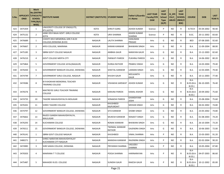| S.No. | <b>ONID</b> | <b>Merit</b><br><b>No.(DISTRIC</b><br><b>APPLICATI T/FACULTY/</b><br><b>SCHOOL</b><br>TYPE/(R/C)<br>WISE) | <b>INSTITUTE NAME</b>                                       | DISTRICT (INSTITUTE) STUDENT NAME |                                      | <b>Father's/Guardia</b><br>n's Name | <b>LAST YEAR</b><br><b>Faculty/STR</b><br><b>EAM</b> | <b>LAST</b><br><b>YEAR</b><br><b>School</b><br><b>Type</b><br>(G/P) | IS_SPE<br><b>CILLY</b><br><b>ABLED</b> | <b>LAST</b><br><b>YEAR</b><br><b>SCHOOL</b><br>(RBSE/C<br>BSE) | <b>COURSE</b>                              | <b>DOB</b> | <b>LAST</b><br><b>YEAR %</b> |
|-------|-------------|-----------------------------------------------------------------------------------------------------------|-------------------------------------------------------------|-----------------------------------|--------------------------------------|-------------------------------------|------------------------------------------------------|---------------------------------------------------------------------|----------------------------------------|----------------------------------------------------------------|--------------------------------------------|------------|------------------------------|
| 423   | 3475359     | $\mathbf{1}$                                                                                              | UNIVERSITY COLLEGE OF ENGG(UTD,<br>RTU, KOTA)               | <b>KOTA</b>                       | <b>SHRUTI GARG</b>                   | <b>ASHOK KUMAR</b>                  | Science                                              | P                                                                   | NO.                                    | R                                                              | <b>B.TECH</b>                              | 05-04-2002 | 90.40                        |
| 424   | 3475132     | $\overline{2}$                                                                                            | JANKI DEVI BAJAJ GOVT. GIRLS COLLEGE<br>KOTA                | <b>KOTA</b>                       | <b>URVI SHARMA</b>                   | <b>ASHOK KUMAR</b><br><b>SHARMA</b> | Science                                              | P                                                                   | NO.                                    | R                                                              | B.SC.                                      | 20-11-2002 | 83.60                        |
| 425   | 3476689     | $\mathbf{1}$                                                                                              | CHHOTI DEVI MEMORIAL GIRL'S B.ED<br>COLLEGE, DIDWANA (B.ED) | <b>NAGAUR</b>                     | <b>LALITA SHARMA</b>                 | <b>HANUMAN</b><br><b>PRASAD</b>     | Arts                                                 | G                                                                   | NO.                                    | R                                                              | <b>BED</b>                                 | 07-08-2005 | 92.60                        |
| 426   | 3476667     | $\overline{2}$                                                                                            | APEX COLLEGE, MAKRANA                                       | NAGAUR                            | KARANI KANWAR                        | <b>BHAWANI SINGH</b>                | Arts                                                 | G                                                                   | NO.                                    | R                                                              | B.A.                                       | 11-09-2004 | 88.00                        |
| 427   | 3475185     | 3                                                                                                         | SBRM GOVT COLLEGE NAGAUR                                    | <b>NAGAUR</b>                     | AMBIKA GAUR                          | <b>NARAYAN GAUR</b>                 | Arts                                                 | G                                                                   | NO.                                    | $\mathsf{R}$                                                   | B.A.                                       | 15-12-2003 | 82.60                        |
| 428   | 3476210     | 4                                                                                                         | <b>GOVT COLLEGE MERTA CITY</b>                              | <b>NAGAUR</b>                     | <b>PARWATI PAREEK</b>                | <b>PUKHRAJ PAREEK</b>               | Arts                                                 | G                                                                   | NO.                                    | R                                                              | B.A.                                       | 14-06-2002 | 80.20                        |
| 429   | 3475864     | 5                                                                                                         | GOVERNMENT COLLEGE JAYAL(NAGAUR)                            | <b>NAGAUR</b>                     | <b>DURGA RATHOR</b>                  | <b>PRABHU SINGH</b>                 | Arts                                                 | G                                                                   | NO.                                    | R                                                              | B.A.                                       | 14-03-2004 | 79.40                        |
| 430   | 3476430     | 6                                                                                                         | GOVERNMENT BANGUR COLLEGE, DIDWANA                          | NAGAUR                            | <b>SHEETAL KANWAR</b>                | LAXMAN SINGH                        | Arts                                                 | G                                                                   | NO.                                    | R                                                              | B.A.                                       | 12-03-2005 | 79.40                        |
| 431   | 3474749     | $\overline{7}$                                                                                            | GOVERNMENT GIRLS COLLEGE, NAGAUR                            | NAGAUR                            | <b>KHUSHI GAUR</b>                   | NEELKANTH<br>GAUR                   | Arts                                                 | G                                                                   | NO.                                    | R                                                              | B.A.                                       | 10-11-2003 | 77.40                        |
| 432   | 3474586     | 8                                                                                                         | <b>B R KHOKHAR MEMORIAL TEACHER</b><br>TRAINING COLLEGE     | <b>NAGAUR</b>                     | <b>VISHAKHA SARSWAT</b>              | <b>ASHOK KUMAR</b>                  | Arts                                                 | G                                                                   | NO.                                    | R                                                              | B.A-<br>B.ED.(B.A.<br><b>B.ED.)</b>        | 06-10-2005 | 76.40                        |
| 433   | 3476576     | 9                                                                                                         | MAITREYEE GIRLS TEACHER TRAINING<br>College                 | <b>NAGAUR</b>                     | <b>KARUNA PAREEK</b>                 | <b>KAMAL KISHOR</b>                 | Arts                                                 | G                                                                   | NO.                                    | R                                                              | $B.A-$<br><b>B.ED.(B.A-</b><br>B.ED.)      | 20-09-2002 | 75.60                        |
| 434   | 3474735     | 10                                                                                                        | TAGORE MAHAVIDHYALYA MOLASAR                                | <b>NAGAUR</b>                     | <b>SONAKSHI PAREEK</b>               | <b>GHANSHYAM</b><br><b>JOSHI</b>    | Arts                                                 | G                                                                   | NO.                                    | R                                                              | B.A.                                       | 25-08-2004 | 75.60                        |
| 435   | 3476341     | 11                                                                                                        | SHREE TAGORE COLLEGE                                        | NAGAUR                            | <b>KHUSHBOO</b><br><b>RAJPUROHIT</b> | <b>MOHAN SINGH</b>                  | Arts                                                 | G                                                                   | NO.                                    | R                                                              | B.A.                                       | 04-02-2002 | 74.80                        |
| 436   | 3474797     | 12                                                                                                        | GOVERNMENT BANGUR COLLEGE, DIDWANA                          | NAGAUR                            | <b>SITA KANWAR</b>                   | <b>SHOBH SINGH</b>                  | Arts                                                 | G                                                                   | NO.                                    | R                                                              | B.A.                                       | 23-05-2002 | 74.80                        |
| 437   | 3476662     | 13                                                                                                        | RAJEEV GANDHI MAHAVIDHYALYA,<br>MAULASAR                    | <b>NAGAUR</b>                     | <b>MUKESH KANWAR</b>                 | <b>RANJEET SINGH</b>                | Arts                                                 | G                                                                   | NO.                                    | R                                                              | B.A.                                       | 01-08-2003 | 74.20                        |
| 438   | 3476293     | 14                                                                                                        | KUCHAMAN COLLEGE                                            | <b>NAGAUR</b>                     | <b>RONAK KANWAR</b>                  | <b>BHAWANI SINGH</b>                | Arts                                                 | G                                                                   | NO.                                    | R                                                              | B.A.                                       | 26-10-2004 | 73.20                        |
| 439   | 3476511     | 15                                                                                                        | GOVERNMENT BANGUR COLLEGE, DIDWANA                          | <b>NAGAUR</b>                     | TWINKAL KANWAR<br><b>RATHOR</b>      | <b>GAJENDRA SINGH</b>               | Arts                                                 | G                                                                   | NO.                                    | R                                                              | B.A.                                       | 10-06-2003 | 72.00                        |
| 440   | 3476141     | $\mathbf{1}$                                                                                              | SBRM GOVT COLLEGE NAGAUR                                    | <b>NAGAUR</b>                     | <b>KHUSHBOO</b>                      | <b>VIMAL SHARMA</b>                 | Arts                                                 | P                                                                   | NO.                                    | R                                                              | B.A.                                       | 15-03-2003 | 91.20                        |
| 441   | 3480271     | $\overline{2}$                                                                                            | SHREE NARAYAN MAHAVIDHYALAY<br><b>KUCHAMAN CITY NAGAUR</b>  | <b>NAGAUR</b>                     | MANISHA KANWAR                       | <b>RAJENDRA SINGH</b>               | Arts                                                 | P                                                                   | NO.                                    | R                                                              | B.A.                                       | 02-02-2004 | 90.20                        |
| 442   | 3474985     | 3                                                                                                         | SHRI SAWAI COLLEGE, DIDWANA                                 | NAGAUR                            | PRIYANSHI SHARMA                     | VASUDEV<br>SHARMA                   | Arts                                                 | P                                                                   | NO                                     | R                                                              | B.A.                                       | 10-05-2004 | 87.80                        |
| 443   | 3476503     | 4                                                                                                         | MAKRANA T T COLLEGE                                         | NAGAUR                            | POOJA SHARMA                         | <b>HARINARAYAN</b>                  | Arts                                                 | P                                                                   | NO.                                    | R                                                              | B.A-<br>$B.ED.(B.A-$<br><b>B.ED.)</b>      | 04-07-2003 | 86.60                        |
| 444   | 3475487     | 5                                                                                                         | MAHADEV B.ED. COLLEGE                                       | NAGAUR                            | SUNIDHI GAUR                         | <b>RAKESH GAUR</b>                  | Arts                                                 | P                                                                   | NO                                     | R                                                              | B.A-<br><b>B.ED.(B.A-</b><br><b>B.ED.)</b> | 10-12-2002 | 85.00                        |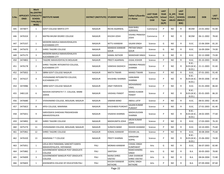| S.No. | <b>ONID</b> | <b>Merit</b><br><b>No.(DISTRIC</b><br>APPLICATI   T/FACULTY/<br><b>SCHOOL</b><br>TYPE/(R/C)<br>WISE) | <b>INSTITUTE NAME</b>                                          | <b>DISTRICT (INSTITUTE) STUDENT NAME</b> |                                     | Father's/Guardia<br>n's Name              | <b>LAST YEAR</b><br><b>Faculty/STR</b><br><b>EAM</b> | <b>LAST</b><br><b>YEAR</b><br><b>School</b><br><b>Type</b><br>(G/P) | IS_SPE<br><b>CILLY</b><br><b>ABLED</b> | <b>LAST</b><br><b>YEAR</b><br><b>SCHOOL</b><br>(RBSE/C<br>BSE) | <b>COURSE</b>                          | <b>DOB</b>              | <b>LAST</b><br><b>YEAR</b> % |
|-------|-------------|------------------------------------------------------------------------------------------------------|----------------------------------------------------------------|------------------------------------------|-------------------------------------|-------------------------------------------|------------------------------------------------------|---------------------------------------------------------------------|----------------------------------------|----------------------------------------------------------------|----------------------------------------|-------------------------|------------------------------|
| 445   | 3474877     | 1                                                                                                    | <b>GOVT COLLEGE MERTA CITY</b>                                 | <b>NAGAUR</b>                            | <b>RICHA AGARWAL</b>                | <b>RAM BABU</b><br>AGRAWAL                | Commerce                                             | P                                                                   | <b>NO</b>                              | R                                                              | <b>BCOM</b>                            | 23-01-2002              | 91.00                        |
| 446   | 3476324     | $\overline{2}$                                                                                       | MATRA BHUMI DEGREE COLLEGE                                     | <b>NAGAUR</b>                            | KHUSHI JOSHI                        | <b>VISHNU PRAKASH</b><br>JOSHI            | Commerce                                             | P                                                                   | NO.                                    | R                                                              | <b>BCOM</b>                            | 06-11-2002              | 78.60                        |
| 447   | 3475337     | 1                                                                                                    | MODERN MAHILA MAHAVIDHALAYA<br><b>KUCHAMAN CITY</b>            | <b>NAGAUR</b>                            | NITTU KANWAR                        | <b>SAJJAN SINGH</b>                       | Science                                              | G                                                                   | NO.                                    | R                                                              | B.SC.                                  | 15-06-2004              | 81.20                        |
| 448   | 3475670     | $\overline{2}$                                                                                       | SHREE TAGORE COLLEGE                                           | <b>NAGAUR</b>                            | <b>MANSHA KANWAR</b><br><b>GOUR</b> | PRITAM SINGH<br><b>GOUR</b>               | Science                                              | G                                                                   | NO.                                    | R                                                              | B.SC.                                  | 16-09-2004              | 74.00                        |
| 449   | 3475175     | $\overline{3}$                                                                                       | MODERN MAHILA MAHAVIDHALAYA<br><b>KUCHAMAN CITY</b>            | <b>NAGAUR</b>                            | <b>KAMAL RATHOR</b>                 | <b>MANOHAR SINGH</b>                      | Science                                              | G                                                                   | <b>NO</b>                              | R                                                              | B.SC.                                  | 02-12-2000              | 73.00                        |
| 450   | 3474802     | 1                                                                                                    | TAGORE MAHAVIDHYALYA MOLASAR                                   | <b>NAGAUR</b>                            | PREETI AGARWAL                      | <b>JUGAL KISHOR</b>                       | Science                                              | P                                                                   | <b>NO</b>                              | R                                                              | B.SC.                                  | 05-10-2003              | 94.80                        |
| 451   | 3476178     | $\overline{2}$                                                                                       | SHREE TAGORE INTEGRATED COLLEGE,<br><b>KUCHAMAN CITY</b>       | <b>NAGAUR</b>                            | <b>VANISHA DADHICH</b>              | <b>DWARKA PRASAD</b><br><b>SHARMA</b>     | Science                                              | P                                                                   | NO.                                    | R                                                              | $B.SC. -$<br>B.ED.                     | B.ED.(B.SC.- 21-11-2003 | 91.60                        |
| 452   | 3475832     | 3                                                                                                    | SBRM GOVT COLLEGE NAGAUR                                       | <b>NAGAUR</b>                            | <b>NIKITA TIWARI</b>                | <b>MANOJ TIWARI</b>                       | Science                                              | P                                                                   | <b>NO</b>                              | R                                                              | B.SC.                                  | 07-01-2001              | 91.40                        |
| 453   | 3474227     | 4                                                                                                    | VIVEKANAND INTEGRATED COLLEGE,<br><b>KUCHAMAN CITY</b>         | <b>NAGAUR</b>                            | <b>KHUSHBU SHARMA</b>               | <b>HANUMAN</b><br>SHARMA                  | Science                                              | P                                                                   | <b>NO</b>                              | R                                                              | <b>B.SC.-</b><br>B.ED.(B.SC.-<br>B.ED. | 09-05-2006              | 87.40                        |
| 454   | 3474986     | 5                                                                                                    | SBRM GOVT COLLEGE NAGAUR                                       | <b>NAGAUR</b>                            | <b>JINAT PARVEEN</b>                | MOHAMMAD<br>VAKIL                         | Science                                              | P                                                                   | NO.                                    | R                                                              | B.SC.                                  | 01-01-2004              | 86.60                        |
| 455   | 3481120     | 6                                                                                                    | NAVEEN VIDYAPEETH T.T. COLLEGE, NIMBI<br><b>JODHA</b>          | <b>NAGAUR</b>                            | <b>VAISHALI PANDIT</b>              | <b>MANOJ KUMAR</b><br><b>PANDIT</b>       | Science                                              | P                                                                   | <b>NO</b>                              | R                                                              | <b>B.SC.-</b><br>B.ED.(B.SC.-<br>B.ED. | 05-01-2005              | 86.20                        |
| 456   | 3476680     | $7^{\circ}$                                                                                          | VIVEKANAND COLLEGE, MOLASAR, NAGAUR                            | <b>NAGAUR</b>                            | SABANA BANO                         | <b>ABDUL LATIF</b>                        | Science                                              | P                                                                   | <b>NO</b>                              | R                                                              | B.SC.                                  | 08-01-2002              | 85.40                        |
| 457   | 3475823     | 8                                                                                                    | APEX COLLEGE, MAKRANA                                          | <b>NAGAUR</b>                            | KHUSHBOO PUROHIT                    | SAJJAN KUMAR<br><b>PUROHIT</b>            | Science                                              | P                                                                   | <b>NO</b>                              | R                                                              | B.SC.                                  | 27-01-2003              | 81.40                        |
| 458   | 3475651     | 9                                                                                                    | SARVODAYA SHIKSHAK PRASHIKSHAN<br>MAHAVIDYALAYA                | <b>NAGAUR</b>                            | VISAKHA SHARMA                      | MADHUSUDAN<br>SHARMA                      | Science                                              | P                                                                   | NO.                                    | R                                                              | $B.SC. -$<br>B.ED.(B.SC.-<br>B.ED.     | 28-02-2005              | 77.60                        |
| 459   | 3474892     | 10                                                                                                   | SHREE TAGORE COLLEGE                                           | <b>NAGAUR</b>                            | <b>MADHUMITA JOSHI</b>              | ARUN KUMAR<br>JOSHI                       | Science                                              | P                                                                   | <b>NO</b>                              | R                                                              | B.SC.                                  | 17-03-2003              | 76.20                        |
| 460   | 3475274     | 11                                                                                                   | VIVEKANAND COLLEGE, MOLASAR, NAGAUR                            | <b>NAGAUR</b>                            | SURAIYA BANO                        | RASHID AHAMAD                             | Science                                              | P                                                                   | <b>NO</b>                              | R                                                              | B.SC.                                  | 10-10-2001              | 75.60                        |
| 461   | 3475961     | 12                                                                                                   | SHREE TAGORE COLLEGE                                           | <b>NAGAUR</b>                            | <b>KOMAL KANWAR</b>                 | <b>KISHAN LAL</b>                         | Science                                              | P                                                                   | NO.                                    | R                                                              | B.SC.                                  | 30-08-2004              | 75.60                        |
| 462   | 3476320     | 13                                                                                                   | <b>MAKRANA T T COLLEGE</b>                                     | <b>NAGAUR</b>                            | PREETI SHARMA                       | <b>GIRADHAR</b><br>GOPAL                  | Science                                              | P                                                                   | NO.                                    | R                                                              | <b>B.SC.-</b><br>B.ED.)                | B.ED.(B.SC.- 25-06-2002 | 74.00                        |
| 463   | 3475051     | 1                                                                                                    | LEELA DEVI PARASMAL SANCHETI KANYA<br>MAHAVIDYALAYA, VIDYAWADI | PALI                                     | <b>MONIKA KANWAR</b>                | <b>CHHAIL SINGH</b><br>KUMPAWAT           | Arts                                                 | G                                                                   | NO.                                    | R                                                              | B.SC.                                  | 06-07-2003              | 82.80                        |
| 464   | 3475882     | $\overline{2}$                                                                                       | GOVERNEMENT BANGUR POST GRADUATE<br><b>COLLEGE</b>             | PALI                                     | SANTOSH                             | <b>RAMCHANDRA</b><br><b>SINGH</b>         | Arts                                                 | G                                                                   | NO.                                    | R.                                                             | B.A.                                   | 30-05-2003              | 78.80                        |
| 465   | 3476009     | $\mathbf{3}$                                                                                         | GOVERNEMENT BANGUR POST GRADUATE<br>COLLEGE                    | PALI                                     | <b>NAINA SHREE</b><br>VASTAV        | <b>UMA SHANKAR</b><br><b>SHREE VASTAV</b> | Arts                                                 | G                                                                   | NO                                     | R.                                                             | B.A.                                   | 08-04-2004              | 72.80                        |
| 466   | 3476603     | 1                                                                                                    | AISHWARYA COLLEGE OF EDUCATION PALI                            | PALI                                     | KHUSHI KANWAR<br>RATHORE            | <b>GOPAL SINGH</b><br>RATHORE             | Arts                                                 | P                                                                   | NO                                     | R.                                                             | <b>B.A.</b>                            | 07-09-2004              | 87.60                        |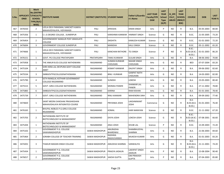| S.No. | <b>ONID</b> | <b>Merit</b><br><b>No.(DISTRIC</b><br>APPLICATI   T/FACULTY/<br><b>SCHOOL</b><br>TYPE/(R/C)<br>WISE) | <b>INSTITUTE NAME</b>                                              | DISTRICT (INSTITUTE) STUDENT NAME |                                       | <b>Father's/Guardia</b><br>n's Name  | <b>LAST YEAR</b><br><b>Faculty/STR</b><br><b>EAM</b> | <b>LAST</b><br><b>YEAR</b><br><b>School</b><br><b>Type</b><br>(G/P) | IS SPE<br><b>CILLY</b><br><b>ABLED</b> | <b>LAST</b><br><b>YEAR</b><br><b>SCHOOL</b><br>(RBSE/C<br>BSE) | <b>COURSE</b>                            | <b>DOB</b> | <b>LAST</b><br><b>YEAR</b> % |
|-------|-------------|------------------------------------------------------------------------------------------------------|--------------------------------------------------------------------|-----------------------------------|---------------------------------------|--------------------------------------|------------------------------------------------------|---------------------------------------------------------------------|----------------------------------------|----------------------------------------------------------------|------------------------------------------|------------|------------------------------|
| 467   | 3476550     | $\overline{2}$                                                                                       | LEELA DEVI PARASMAL SANCHETI KANYA<br>MAHAVIDYALAYA, VIDYAWADI     | PALI                              | APEKSHA                               | <b>KIRAN SINGH</b>                   | Arts                                                 | P                                                                   | NO.                                    | R                                                              | B.A.                                     | 05-05-2003 | 80.00                        |
| 468   | 3475356     | $\mathbf{1}$                                                                                         | CLG DEGREE COLLEGE, SUMERPUR                                       | PALI                              | KARISHMA KANWAR HIMMAT SINGH          |                                      | Science                                              | G                                                                   | NO.                                    | R                                                              | B.SC.                                    | 21-05-2005 | 73.20                        |
| 469   | 3476454     | $\overline{2}$                                                                                       | <b>GOVERNEMENT BANGUR POST GRADUATE</b><br><b>COLLEGE</b>          | PALI                              | <b>DIKSHITA</b>                       | <b>KAMLESH KUMAR</b>                 | Science                                              | G                                                                   | NO.                                    | R                                                              | B.SC.                                    | 01-01-2003 | 72.20                        |
| 470   | 3476694     | 3                                                                                                    | <b>GOVERNMENT COLLEGE SUMERPUR</b>                                 | PALI                              | <b>MANISHA</b>                        | <b>KALU SINGH</b>                    | Science                                              | G                                                                   | NO.                                    | $\mathsf{R}$                                                   | B.SC.                                    | 05-11-2002 | 65.20                        |
| 471   | 3474666     | $\mathbf{1}$                                                                                         | LEELA DEVI PARASMAL SANCHETI KANYA<br>MAHAVIDYALAYA, VIDYAWADI     | PALI                              | <b>KANCHAN RATHORE</b>                | <b>TEJ SINGH</b>                     | Science                                              | P                                                                   | NO.                                    | R                                                              | $B.SC.-$<br><b>B.ED.(B.SC.-</b><br>B.ED. | 01-01-2003 | 86.20                        |
| 472   | 3476151     | $\mathbf{1}$                                                                                         | GOVT. PG COLLEGE PRATAPGARH                                        | PRATAPGARH                        | <b>TAMU KUNWAR</b>                    | <b>GULAB SINGH</b>                   | Arts                                                 | G                                                                   | NO.                                    | R                                                              | B.A.                                     | 08-06-2002 | 70.80                        |
| 473   | 3475958     | $\mathbf{1}$                                                                                         | THE ANKUR B.ED.COLLEGE NATHDWARA                                   | RAJSAMAND                         | <b>SUMAN KUNWAR</b><br><b>CHOUHAN</b> | <b>NAHAR SINGH</b><br><b>CHOUHAN</b> | Arts                                                 | G                                                                   | NO.                                    | R                                                              | <b>BED</b>                               | 07-07-2004 | 83.20                        |
| 474   | 3475104     | $\overline{2}$                                                                                       | SHRI HERA LAL DEVPURA GOVT COLLEGE<br>AMET                         | RAJSAMAND                         | <b>KISMAT KANWAR</b>                  | <b>DALPAT SINGH</b>                  | Arts                                                 | G                                                                   | NO.                                    | $\mathsf{R}$                                                   | B.A.                                     | 09-06-2002 | 82.60                        |
| 475   | 3475534     | 3                                                                                                    | SMBGOVTPGCOLLEGENATHDWARA                                          | RAJSAMAND                         | <b>BINU KUNWAR</b>                    | <b>GANPAT NATH</b><br><b>CHOUHAN</b> | Arts                                                 | G                                                                   | NO.                                    | R                                                              | B.A.                                     | 14-03-2003 | 82.00                        |
| 476   | 3475790     | 4                                                                                                    | SETH RANGLAL KOTHARI GOVERNMENT<br><b>COLLEGE RAJSAMAND</b>        | RAJSAMAND                         | <b>SUNIDHI</b>                        | <b>LOKESH</b>                        | Arts                                                 | G                                                                   | NO.                                    | R                                                              | B.A.                                     | 23-05-2003 | 80.40                        |
| 477   | 3475515     | 5                                                                                                    | GOVT. GIRLS COLLEGE NATHDWARA                                      | RAJSAMAND                         | <b>MONIKA PANERI</b>                  | <b>SHANKAR LAL</b><br><b>PANERI</b>  | Arts                                                 | G                                                                   | NO.                                    | R                                                              | B.A.                                     | 27-11-2002 | 78.80                        |
| 478   | 3475883     | 6                                                                                                    | SMBGOVTPGCOLLEGENATHDWARA                                          | RAJSAMAND                         | <b>KARINA</b>                         | <b>RAM KISHAN</b>                    | Arts                                                 | G                                                                   | NO.                                    | $\mathsf{R}$                                                   | B.A.                                     | 01-01-2001 | 78.40                        |
| 479   | 3475739     | $\overline{7}$                                                                                       | GOVT. GIRLS COLLEGE NATHDWARA                                      | RAJSAMAND                         | <b>RINU KANWAR</b>                    | <b>MAHENDRA SINH</b>                 | Arts                                                 | G                                                                   | NO.                                    | R                                                              | B.A.                                     | 09-09-2002 | 77.40                        |
| 480   | 3474820     | $\mathbf{1}$                                                                                         | SAINT MEERA SHIKSHAK PRASHIKSHAN<br>MAHAVIDHLAYA INTIGRATED COURSE | RAJSAMAND                         | PRIYANKA JOSHI                        | LAKSHMIKANT<br><b>JOSHI</b>          | Commerce                                             | G                                                                   | NO.                                    | R                                                              | B.A-<br>$B.ED.(B.A-$<br>B.ED.)           | 01-01-2003 | 76.40                        |
| 481   | 3476165     | $\mathbf{1}$                                                                                         | BHUPAL NOBLES P.G.GIRLS COLLEGE<br>RAJSAMAND                       | RAJSAMAND                         | <b>KOMAL</b>                          | <b>HARI NARAYAN</b>                  | Science                                              | G                                                                   | NO.                                    | R                                                              | B.SC.                                    | 21-11-2002 | 67.20                        |
| 482   | 3475703     | $\overline{2}$                                                                                       | NATHDWARA INSTITUTE OF<br>BIOTECHNOLOGY & MANAGEMENT               | RAJSAMAND                         | <b>DIVYA JOSHI</b>                    | LOKESH JOSHI                         | Science                                              | G                                                                   | NO.                                    | R                                                              | $B.SC.-$<br>B.ED.(B.SC.-<br>B.ED.)       | 07-08-2001 | 66.60                        |
| 483   | 3475204     | 1                                                                                                    | NATHDWARA INSTITUTE OF<br>BIOTECHNOLOGY & MANAGEMENT               | RAJSAMAND                         | <b>ANJU JOSHI</b>                     | <b>KHUBI LAL</b>                     | Science                                              | P                                                                   | NO.                                    | R                                                              | B.SC.                                    | 15-09-2003 | 72.20                        |
| 484   | 3475102     | $\mathbf{1}$                                                                                         | GOVERNMENT P.G. COLLEGE<br>SAWAIMADHOPUR                           | SAWAI MADHOPUR                    | ANURADHA<br><b>BHARDWAJ</b>           | SHAMBHUDYAL<br>SHARMA                | Arts                                                 | G                                                                   | NO.                                    | R                                                              | B.A.                                     | 21-06-2003 | 84.60                        |
| 485   | 3475464     | $\overline{2}$                                                                                       | SORABH COLLEGE OF TEACHER TRAINING                                 | SAWAI MADHOPUR                    | RADHIKA<br>RAGHUVANSHI                | <b>MUKESH KUMAR</b>                  | Arts                                                 | G                                                                   | NO                                     | R                                                              | B.A.                                     | 01-01-2003 | 83.20                        |
| 486   | 3474201     | 3                                                                                                    | THAKUR MADAN SINGH COLLEGE                                         | SAWAI MADHOPUR                    | <b>AMLEKHA SHARMA</b>                 | SANWALIYA                            | Arts                                                 | G                                                                   | NO.                                    | R                                                              | $B.A-$<br>$B.ED.(B.A-)$<br>B.ED.)        | 21-11-2001 | 74.20                        |
| 487   | 3475434     | $\mathbf{1}$                                                                                         | <b>GOVERNMENT P.G. COLLEGE</b><br>SAWAIMADHOPUR                    | SAWAI MADHOPUR                    | PRAGYA JADAUN                         | <b>LAKHPAT SINGH</b><br>JADAUN       | Arts                                                 | P                                                                   | NO.                                    | R                                                              | B.A.                                     | 15-08-2004 | 90.40                        |
| 488   | 3476017     | $\overline{2}$                                                                                       | <b>GOVERNMENT P.G. COLLEGE</b><br>SAWAIMADHOPUR                    | <b>SAWAI MADHOPUR</b>             | <b>SAKSHI GUPTA</b>                   | <b>OM PRAKASH</b><br><b>GUPTA</b>    | Arts                                                 | P                                                                   | NO                                     | R                                                              | B.A.                                     | 07-04-2003 | 85.80                        |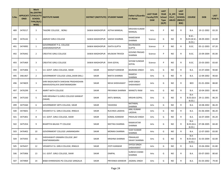| S.No. | <b>ONID</b> | <b>Merit</b><br><b>No.(DISTRIC</b><br><b>APPLICATI   T/FACULTY/</b><br><b>SCHOOL</b><br>TYPE/(R/C)<br>WISE) | <b>INSTITUTE NAME</b>                                             | DISTRICT (INSTITUTE) STUDENT NAME |                       | Father's/Guardia<br>n's Name          | <b>LAST YEAR</b><br><b>Faculty/STR</b><br><b>EAM</b> | <b>LAST</b><br><b>YEAR</b><br><b>School</b><br><b>Type</b><br>(G/P) | IS_SPE<br><b>CILLY</b><br><b>ABLED</b> | <b>LAST</b><br><b>YEAR</b><br><b>SCHOOL</b><br>(RBSE/C<br>BSE) | <b>COURSE</b>                   | <b>DOB</b>              | <b>LAST</b><br>YEAR % |
|-------|-------------|-------------------------------------------------------------------------------------------------------------|-------------------------------------------------------------------|-----------------------------------|-----------------------|---------------------------------------|------------------------------------------------------|---------------------------------------------------------------------|----------------------------------------|----------------------------------------------------------------|---------------------------------|-------------------------|-----------------------|
| 489   | 3476517     | 3                                                                                                           | TAGORE COLLEGE , BONLI                                            | SAWAI MADHOPUR                    | <b>ASTHA MANGAL</b>   | <b>KRISHAN KUMAR</b><br>MANGAL        | Arts                                                 | P                                                                   | NO.                                    | R                                                              | B.A.                            | 19-12-2002              | 83.20                 |
| 490   | 3476142     | $\mathbf{1}$                                                                                                | JAMVAY GIRLS COLLEGE                                              | SAWAI MADHOPUR                    | <b>SAKSHI SHARMA</b>  | RAMESWAR<br><b>SHARMA</b>             | Science                                              | G                                                                   | NO.                                    | R                                                              | $B.SC.-$<br>B.ED.               | B.ED.(B.SC.- 28-09-2003 | 65.00                 |
| 491   | 3474995     | $\mathbf{1}$                                                                                                | <b>GOVERNMENT P.G. COLLEGE</b><br>SAWAIMADHOPUR                   | SAWAI MADHOPUR                    | <b>ISHITA GUPTA</b>   | <b>RAVIRAMAN</b><br><b>GUPTA</b>      | Science                                              | P                                                                   | NO.                                    | R                                                              | B.SC.                           | 05-12-2003              | 87.20                 |
| 492   | 3476442     | $\overline{2}$                                                                                              | <b>CREATIVE GIRLS COLLEGE</b>                                     | SAWAI MADHOPUR                    | <b>MUSKAN TRIVEDI</b> | <b>GOVIND PRASAD</b><br><b>SHARMA</b> | Science                                              | P                                                                   | NO.                                    | R                                                              | B.SC.                           | 23-09-2004              | 85.00                 |
| 493   | 3475469     | 3                                                                                                           | CREATIVE GIRLS COLLEGE                                            | SAWAI MADHOPUR                    | <b>ISHA GOYAL</b>     | <b>SHYAM SUNDAR</b><br><b>GOYAL</b>   | Science                                              | P                                                                   | NO.                                    | R                                                              | B.SC.                           | 23-03-2003              | 83.60                 |
| 494   | 3475406     | $\mathbf{1}$                                                                                                | S.K. GOVT. GIRLS COLLEGE, SIKAR                                   | <b>SIKAR</b>                      | <b>MANJIT KANWAR</b>  | <b>BAJRANG SINGH</b>                  | Arts                                                 | G                                                                   | NO.                                    | R                                                              | B.A.                            | 15-07-2004              | 90.80                 |
| 495   | 3461467     | $\overline{2}$                                                                                              | GOVERNMENT COLLEGE LOSAL, SIKAR (RAJ.)                            | <b>SIKAR</b>                      | NIKITA SHARMA         | <b>RAMESH</b><br>SHARMA               | Arts                                                 | G                                                                   | NO.                                    | R                                                              | B.A.                            | 12-09-2002              | 90.60                 |
| 496   | 3474829     | 3                                                                                                           | SHRI RAGHUNATH SHIKSHAK PRASHIKSHAN<br>MAHAVIDYALAYA DANTARAMGARH | <b>SIKAR</b>                      | <b>NEHA SHEKHAWAT</b> | <b>SHER SINGH</b><br>SHEKHAWAT        | Arts                                                 | G                                                                   | NO.                                    | R                                                              | <b>BED</b>                      | 01-01-2004              | 88.80                 |
| 497   | 3476299     | $\overline{4}$                                                                                              | AMRIT NATH COLLEGE                                                | <b>SIKAR</b>                      | PRIYANKA SHARMA       | <b>MANGTU RAM</b>                     | Arts                                                 | G                                                                   | NO.                                    | R                                                              | B.A.                            | 10-04-2003              | 88.40                 |
| 498   | 3475330     | 5                                                                                                           | SHRI KRISHNA P.G.GIRLS COLLEGE KANWAT<br>(SIKAR)                  | <b>SIKAR</b>                      | <b>ANTU BANSAL</b>    | <b>KRISHN GOPAL</b>                   | Arts                                                 | G                                                                   | NO.                                    | R                                                              | B.A-<br>$B.ED.(B.A-$<br>B.ED.)  | 29-11-2001              | 86.20                 |
| 499   | 3475560     | 6                                                                                                           | GOVERNMENT ARTS COLLEGE, SIKAR                                    | <b>SIKAR</b>                      | YASHODA               | <b>NATHMAL</b><br>SHARMA              | Arts                                                 | G                                                                   | NO.                                    | R                                                              | B.A.                            | 10-08-2002              | 86.20                 |
| 500   | 3474601     | $\overline{7}$                                                                                              | VEDANTA P.G. GIRLS COLLEGE, RINGUS                                | <b>SIKAR</b>                      | RUCHIKA LADDHA        | <b>ANIL KUMAR</b><br><b>LADDHA</b>    | Arts                                                 | G                                                                   | NO.                                    | R                                                              | B.A.                            | 01-06-2004              | 86.20                 |
| 501   | 3475401     | 8                                                                                                           | S.K. GOVT. GIRLS COLLEGE, SIKAR                                   | <b>SIKAR</b>                      | KOMAL KANWAR          | <b>PRAHLAD SINGH</b>                  | Arts                                                 | G                                                                   | NO.                                    | R                                                              | B.A.                            | 16-07-2004              | 85.20                 |
| 502   | 3475354     | 9                                                                                                           | <b>BHARTIYA BALIKA TT COLLEGE</b>                                 | <b>SIKAR</b>                      | <b>NEETIKA SHARMA</b> | <b>RAMAVATAR</b><br><b>SHARMA</b>     | Arts                                                 | G                                                                   | NO.                                    | R                                                              | $B.A-$<br>$B.ED.(B.A-$<br>B.ED. | 07-08-2005              | 84.40                 |
| 503   | 3476402     | 10                                                                                                          | GOVERNMENT COLLEGE LAXMANGARH                                     | <b>SIKAR</b>                      | <b>MONIKA SHARMA</b>  | <b>VIJAY KUMAR</b><br>SHARMA          | Arts                                                 | G                                                                   | NO.                                    | R                                                              | B.A.                            | 12-07-2003              | 83.00                 |
| 504   | 3475935     | 11                                                                                                          | SHEKHAWATI GRAMIN COLLEGE, BAY<br>DANTARAMGARH                    | <b>SIKAR</b>                      | <b>KRISHNA SHARMA</b> | PRAHALAD<br><b>SAHAY SHARMA</b>       | Arts                                                 | G                                                                   | NO.                                    | R                                                              | B.A-<br>B.ED.)                  | B.ED.(B.A- 31-03-2004   | 82.00                 |
| 505   | 3476437     | 12                                                                                                          | VEDANTA P.G. GIRLS COLLEGE, RINGUS                                | SIKAR                             | <b>JYOTI KANWAR</b>   | <b>SHYOJI SINGH</b><br>SHEKHAWAT      | Arts                                                 | G                                                                   | NO                                     | $\mathsf{R}$                                                   | B.A.                            | 23-04-2004              | 81.80                 |
| 506   | 3475906     | 13                                                                                                          | S.K. GOVT. GIRLS COLLEGE, SIKAR                                   | <b>SIKAR</b>                      | <b>DIMPAL</b>         | <b>SURESH CHAND</b><br>SHARMA         | Arts                                                 | G                                                                   | <b>NO</b>                              | R                                                              | B.A.                            | 03-07-2003              | 80.60                 |
| 507   | 3474969     | 14                                                                                                          | BABA KHINWADAS PG COLLEGE SANGALIA                                | <b>SIKAR</b>                      | PRIYANKA KANWAR       | <b>JAGMAL SINGH</b>                   | Arts                                                 | G                                                                   | NO                                     | $\mathsf{R}$                                                   | <b>B.A.</b>                     | 01-03-2002              | 79.40                 |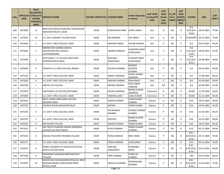| S.No. | <b>ONID</b> | <b>Merit</b><br><b>No.(DISTRIC</b><br><b>APPLICATI   T/FACULTY/</b><br><b>SCHOOL</b><br>TYPE/(R/C)<br>WISE) | <b>INSTITUTE NAME</b>                                                                         | <b>DISTRICT (INSTITUTE) STUDENT NAME</b> |                             | Father's/Guardia<br>n's Name                     | <b>LAST YEAR</b><br><b>Faculty/STR</b><br><b>EAM</b> | <b>LAST</b><br><b>YEAR</b><br><b>School</b><br><b>Type</b><br>(G/P) | IS SPE<br><b>CILLY</b><br><b>ABLED</b> | <b>LAST</b><br><b>YEAR</b><br><b>SCHOOL</b><br>(RBSE/C<br>BSE) | <b>COURSE</b>                        | <b>DOB</b>              | <b>LAST</b><br>YEAR % |
|-------|-------------|-------------------------------------------------------------------------------------------------------------|-----------------------------------------------------------------------------------------------|------------------------------------------|-----------------------------|--------------------------------------------------|------------------------------------------------------|---------------------------------------------------------------------|----------------------------------------|----------------------------------------------------------------|--------------------------------------|-------------------------|-----------------------|
| 508   | 3475989     | 15                                                                                                          | BARJI DEVI MAHILA SHIKSHAK PRASHIKSHAN<br>MAHAVIDHYALAYA, SIKAR                               | <b>SIKAR</b>                             | <b>KUMKUM RATHORE</b>       | <b>GOPAL SINGH</b>                               | Arts                                                 | G                                                                   | NO.                                    | R                                                              | $B.A-$<br><b>B.ED.(B.A-</b><br>B.ED. | 28-01-2002              | 79.00                 |
| 509   | 3475954     | 16                                                                                                          | S.K. GOV. SANSKRIT COLLEGE SIKAR                                                              | <b>SIKAR</b>                             | OM KANWAR                   | <b>AJIT SINGH</b>                                | Arts                                                 | G                                                                   | NO.                                    | R                                                              | <b>B SANSKRIT</b>                    | 20-10-2004              | 79.00                 |
| 510   | 3475699     | $\mathbf{1}$                                                                                                | S.K. GOVT. GIRLS COLLEGE, SIKAR                                                               | <b>SIKAR</b>                             | <b>KRISHNA PAREEK</b>       | <b>SHYAM SUNDAR</b>                              | Arts                                                 | P                                                                   | <b>NO</b>                              | R                                                              | B.A.                                 | 05-01-2001              | 94.20                 |
| 511   | 3475001     | $\overline{2}$                                                                                              | <b>MOHINI DEVI GOENKA MAHILA</b><br>MAHAVIDYALAYA, GHASSU,<br>LACHHMANGARH                    | <b>SIKAR</b>                             | <b>GARIMA KANWAR</b>        | <b>GAJENDRA SINGH</b><br>SHEKHAWAT               | Arts                                                 | P                                                                   | NO.                                    | R                                                              | $B.A-$<br>$B.ED.(B.A-$<br>B.ED.      | 28-06-2003              | 92.60                 |
| 512   | 3475999     | 3                                                                                                           | AJEETGARH P. G. COLLEGE AJEETGARH<br><b>SHRIMADHOPUR SIKAR</b>                                | <b>SIKAR</b>                             | <b>BHAVANA</b><br>SHEKHAWAT | <b>JITENDER SINGH</b><br>SHEKHAWAT               | Arts                                                 | Þ                                                                   | NO.                                    | R                                                              | $B.A-$<br>B.ED.(B.A.<br>B.ED.        | 09-08-2004              | 90.80                 |
| 513   | 3476040     | 4                                                                                                           | VEDANTA P.G. GIRLS COLLEGE, RINGUS                                                            | <b>SIKAR</b>                             | RUCHIKA SHARMA              | <b>MUKESH</b><br><b>KIOSHOR</b><br><b>SHARMA</b> | Arts                                                 | P                                                                   | NO.                                    | R                                                              | B.A.                                 | 06-02-2003              | 89.80                 |
| 514   | 3475539     | 5                                                                                                           | S.K. GOVT. GIRLS COLLEGE, SIKAR                                                               | <b>SIKAR</b>                             | KOMAL AGARWAL               | <b>SUSHIL KUMAR</b><br>AGARWAL                   | Arts                                                 | P                                                                   | <b>NO</b>                              | R.                                                             | B.A.                                 | 15-08-2003              | 89.20                 |
| 515   | 3475929     | 6                                                                                                           | S.K. GOVT. GIRLS COLLEGE, SIKAR                                                               | <b>SIKAR</b>                             | <b>KRISHNA SHARMA</b>       | <b>RAM NIWAS</b>                                 | Arts                                                 | P                                                                   | <b>NO</b>                              | R.                                                             | <b>B.A.</b>                          | 01-09-2002              | 89.00                 |
| 516   | 3476709     | $\mathbf{1}$                                                                                                | ARAVALI PG COLLEGE                                                                            | <b>SIKAR</b>                             | <b>NAIYNA KANWAR</b>        | <b>VIJAY SINGH</b><br><b>TANWAR</b>              | Arts                                                 | G/P                                                                 | <b>NO</b>                              | C                                                              | B.A.                                 | 02-08-2003              | 87.00                 |
| 517   | 3475953     | $\mathbf{1}$                                                                                                | AJEETGARH P.G.COLLEGE, AJEETGARH                                                              | <b>SIKAR</b>                             | <b>KHUSHI AGARWAL</b>       | <b>MANOJ KUMAR</b><br>AGARWAL                    | Commerce                                             | G                                                                   | <b>NO</b>                              | R.                                                             | <b>BCOM</b>                          | 11-09-2004              | 83.60                 |
| 518   | 3476499     | $\mathbf{1}$                                                                                                | S.K. GOVT. GIRLS COLLEGE, SIKAR                                                               | <b>SIKAR</b>                             | <b>VAIBHIKA JOSHI</b>       | <b>SUNIL KUMAR</b>                               | Commerce                                             | P                                                                   | <b>NO</b>                              | R.                                                             | <b>BCOM</b>                          | 01-12-2004              | 85.00                 |
| 519   | 3474347     | $\mathbf{1}$                                                                                                | GOVT. KAMLA MODI GIRLS COLLEGE<br>NEEMKATHANA                                                 | <b>SIKAR</b>                             | <b>KANIKA SHARMA</b>        | <b>SUNIL KUMAR</b><br><b>SHARMA</b>              | Science                                              | G                                                                   | NO.                                    | R                                                              | B.SC.                                | 10-01-2004              | 80.60                 |
| 520   | 3475787     | $\mathbf{1}$                                                                                                | ASHWINI BALIKA MAHAVIDHYALAY                                                                  | <b>SIKAR</b>                             | <b>ANTIMA</b>               | <b>VINOD KUMAR</b>                               | Science                                              | P                                                                   | NO.                                    | R                                                              | B.SC.                                | 04-07-2003              | 95.40                 |
| 521   | 3474236     | $\overline{2}$                                                                                              | S.K. GOVT. GIRLS COLLEGE, SIKAR                                                               | <b>SIKAR</b>                             | SHUBHANSHI<br><b>SHARMA</b> | <b>HEMANT KAIMAR</b><br><b>SHARMA</b>            | Science                                              | P                                                                   | NO.                                    | R.                                                             | B.SC.                                | 12-03-2002              | 90.20                 |
| 522   | 3474729     | 3                                                                                                           | S.K. GOVT. GIRLS COLLEGE, SIKAR                                                               | <b>SIKAR</b>                             | <b>SHEVATA</b>              | <b>MANOJ KUMAR</b><br>SHARMA                     | Science                                              | P                                                                   | NO.                                    | R                                                              | B.SC.                                | 01-01-2001              | 89.80                 |
| 523   | 3476703     | $\overline{4}$                                                                                              | <b>BPS DEGREE COLLEGE</b>                                                                     | <b>SIKAR</b>                             | <b>RANJAN KUMARI</b>        | <b>VINOD KUMAR</b>                               | Science                                              | P                                                                   | <b>NO</b>                              | $\mathsf{R}$                                                   | B.SC.                                | 18-07-2005              | 89.20                 |
| 524   | 3475501     | 5                                                                                                           | SMT.REETA CHANDRA SAXENA MEMORIAL<br>COLLEGE (CO-EDU) RINGUS                                  | <b>SIKAR</b>                             | RITIKA SHARMA               | <b>MANOJ KUMAR</b><br>SHARMA                     | Science                                              | P                                                                   | NO.                                    | R.                                                             | B.SC.                                | 01-12-2004              | 89.00                 |
| 525   | 3475392     | 6                                                                                                           | ARAVALI TEACHERS TRAINING COLLEGE                                                             | SIKAR                                    | POOJA KANWAR                | <b>NEEL SINGH</b>                                | Science                                              | P.                                                                  | NO.                                    | R                                                              | <b>B.SC.-</b><br>B.ED.               | B.ED.(B.SC.- 20-11-2004 | 87.80                 |
| 526   | 3474775     | $\overline{7}$                                                                                              | S.K. GOVT. GIRLS COLLEGE, SIKAR                                                               | <b>SIKAR</b>                             | POOJA KANWAR                | <b>JIVAN SINGH</b>                               | Science                                              | P.                                                                  | <b>NO</b>                              | R.                                                             | B.SC.                                | 05-01-2004              | 85.60                 |
| 527   | 3476573     | 8                                                                                                           | PRINCE ACADEMY OF HIGHER EDUCATION<br>KANYA COLLEGE, SIKAR                                    | SIKAR                                    | <b>AANCHAL</b><br>SHEKHAWAT | SURENDRA<br><b>SINGH</b>                         | Science                                              | P                                                                   | NO.                                    | R                                                              | $B.SC.-$<br>B.ED.                    | B.ED.(B.SC.- 01-01-2003 | 84.80                 |
| 528   | 3475189     | 9                                                                                                           | SARASWATI SHIKSHAN SANSTHAN B.ED<br><b>COLLEGE</b>                                            | SIKAR                                    | PINKI SHARMA                | <b>SUWA LAL</b><br>SHARMA                        | Science                                              | P                                                                   | <b>NO</b>                              | R                                                              | <b>BED</b>                           | 03-01-2003              | 84.60                 |
| 529   | 3474997     | 10                                                                                                          | NAVJEEVAN VIGYAN MAHAVIDYALAYA, NEAR<br>HOUSING BOARD, NAWALGARH ROAD<br><b>BYPASS, SIKAR</b> | SIKAR                                    | <b>HEMLATA SHARMA</b>       | RADHESHYAM<br>SHARMA                             | Science                                              | P                                                                   | NO.                                    | R                                                              | <b>B.SC.-</b><br>B.ED.)              | B.ED.(B.SC.- 25-02-2002 | 79.00                 |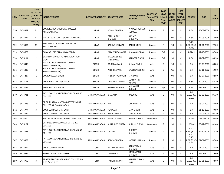| S.No. | <b>ONID</b> | <b>Merit</b><br><b>No.(DISTRIC</b><br><b>APPLICATI   T/FACULTY/</b><br><b>SCHOOL</b><br>TYPE/(R/C)<br>WISE) | <b>INSTITUTE NAME</b>                                            | <b>DISTRICT (INSTITUTE) STUDENT NAME</b> |                                  | <b>Father's/Guardia</b><br>n's Name    | <b>LAST YEAR</b><br><b>Faculty/STR</b><br><b>EAM</b> | <b>LAST</b><br><b>YEAR</b><br><b>School</b><br><b>Type</b><br>(G/P) | IS_SPE<br><b>CILLY</b><br><b>ABLED</b> | <b>LAST</b><br><b>YEAR</b><br><b>SCHOOL</b><br>(RBSE/C<br>BSE) | <b>COURSE</b>                                     | <b>DOB</b>              | <b>LAST</b><br><b>YEAR %</b> |
|-------|-------------|-------------------------------------------------------------------------------------------------------------|------------------------------------------------------------------|------------------------------------------|----------------------------------|----------------------------------------|------------------------------------------------------|---------------------------------------------------------------------|----------------------------------------|----------------------------------------------------------------|---------------------------------------------------|-------------------------|------------------------------|
| 530   | 3474882     | 11                                                                                                          | GOVT. KAMLA MODI GIRLS COLLEGE<br>NEEMKATHANA                    | SIKAR                                    | KOMAL SHARMA                     | <b>PRADEEP KUMAR</b><br><b>SUROLIA</b> | Science                                              | P                                                                   | NO.                                    | R                                                              | B.SC.                                             | 25-09-2004              | 73.80                        |
| 531   | 3476327     | 12                                                                                                          | S.N.K.P. GOVT. COLLEGE.NEEMKATHANA                               | <b>SIKAR</b>                             | <b>TANU SHREE</b><br>SHARMA      | SANJAY<br><b>SUROLIYA</b>              | Science                                              | P                                                                   | NO.                                    | R                                                              | B.SC.                                             | 22-03-2005              | 73.00                        |
| 532   | 3476404     | 13                                                                                                          | SMT ASHA DEVI PG COLLEGE PATAN<br>NEEMKATHANA                    | <b>SIKAR</b>                             | <b>SADHYA KANWAR</b>             | <b>RANJIT SINGH</b>                    | Science                                              | P                                                                   | NO.                                    | R                                                              | <b>B.SC.-</b><br>B.ED.                            | B.ED.(B.SC.- 01-01-2003 | 72.00                        |
| 533   | 3474669     | $\mathbf{1}$                                                                                                | CAD, CASH, CET, CFDM, CLG, COBMEC                                | SIKAR                                    | PALAK SHEKHAWAT                  | <b>BHANWAR SINGH</b>                   | Science                                              | G/P                                                                 | NO.                                    | C                                                              | <b>B.TECH</b>                                     | 12-10-2003              | 87.80                        |
| 534   | 3476114     | $\overline{2}$                                                                                              | <b>BHARTIYA MAHILA PG MAHAVIDAYALYA</b><br><b>SIKAR</b>          | <b>SIKAR</b>                             | <b>BHAGYA SHREE</b><br>SHEKHAWAT | <b>RANVEER SINGH</b>                   | Science                                              | G/P                                                                 | NO.                                    | C                                                              | B.SC.                                             | 11-02-2003              | 84.20                        |
| 535   | 3476449     | $\mathbf{1}$                                                                                                | S.M.P.B.J. GOVERNMENT COLLEGE<br>SHEOGANJ (SIROHI)               | <b>SIROHI</b>                            | ANJU KANWAR                      | <b>SHYAM SINGH</b>                     | Arts                                                 | G                                                                   | NO.                                    | R                                                              | B.A.                                              | 08-09-2003              | 80.80                        |
| 536   | 3476436     | $\overline{2}$                                                                                              | S.M.P.B.J. GOVERNMENT COLLEGE<br>SHEOGANJ (SIROHI)               | <b>SIROHI</b>                            | <b>AKESH KANWR</b>               | <b>GAJENDAR SINGH</b>                  | Arts                                                 | G                                                                   | <b>YES</b>                             | R                                                              | B.A.                                              | 08-11-2002              | 69.00                        |
| 537   | 3475227     | $\mathbf{1}$                                                                                                | <b>GOVT. COLLEGE SIROHI</b>                                      | <b>SIROHI</b>                            | PRERNA RAJPUROHIT SHANKAR        |                                        | Arts                                                 | P                                                                   | NO.                                    | R                                                              | B.A.                                              | 26-07-2001              | 82.80                        |
| 538   | 3476111     | $\mathbf{1}$                                                                                                | <b>GOVT. GIRLS COLLEGE SIROHI</b>                                | <b>SIROHI</b>                            | <b>DARSHIKA TRIVEDI</b>          | <b>JAYANTI LAL</b><br>TRIVEDI          | Science                                              | G                                                                   | NO.                                    | R                                                              | B.SC.                                             | 19-01-2002              | 66.20                        |
| 539   | 3475795     | $\mathbf{1}$                                                                                                | <b>GOVT. COLLEGE SIROHI</b>                                      | <b>SIROHI</b>                            | <b>BHUMIKA RAWAL</b>             | <b>MAHAVEER</b><br><b>KUMAR</b>        | Science                                              | G/P                                                                 | NO.                                    | C                                                              | B.SC.                                             | 18-08-2002              | 89.40                        |
| 540   | 3474731     | $\mathbf{1}$                                                                                                | PATEL CO-EDUCATION TEACHER TRAINING<br><b>COLLEGE</b>            | SRI GANGANAGAR                           | <b>BHAVANA</b>                   | <b>RAJENDER</b>                        | Arts                                                 | G                                                                   | NO.                                    | R                                                              | B.A-<br>$B.ED.(B.A-$<br>B.ED.                     | 05-03-2003              | 96.20                        |
| 541   | 3475323     | $\overline{2}$                                                                                              | DR BHIM RAO AMBEDKAR GOVERNMENT<br><b>COLLEGE SRI GANGANAGAR</b> | SRI GANGANAGAR                           | <b>RENU</b>                      | <b>OM PARKESH</b>                      | Arts                                                 | G                                                                   | NO.                                    | R                                                              | B.A.                                              | 03-07-2002              | 87.60                        |
| 542   | 3476774     | 3                                                                                                           | <b>GOVT COLLEGE SURATGARH</b>                                    | SRI GANGANAGAR                           | <b>POONAM</b>                    | <b>MAN SINGH</b>                       | Arts                                                 | G                                                                   | <b>NO</b>                              | R                                                              | <b>B.A.</b>                                       | 01-12-2003              | 79.80                        |
| 543   | 3475734     | $\mathbf{1}$                                                                                                | <b>GOVT COLLEGE SURATGARH</b>                                    | SRI GANGANAGAR                           | RMAKANWAR                        | KALICHARAN                             | Arts                                                 | P                                                                   | <b>NO</b>                              | R                                                              | <b>B.A.</b>                                       | 02-09-2003              | 93.20                        |
| 544   | 3474660     | $\mathbf{1}$                                                                                                | SHRI AATM VALLABH JAIN GIRLS COLLEGE                             | SRI GANGANAGAR                           | <b>BHAVIKA PAREEK</b>            | <b>ASHOK KUMAR</b>                     | Commerce                                             | G                                                                   | NO.                                    | R                                                              | <b>BCOM</b>                                       | 09-05-2004              | 90.80                        |
| 545   | 3476127     | $\mathbf{1}$                                                                                                | CH. BALLURAM GODARA GOVT. GIRLS<br><b>COLLEGE</b>                | SRI GANGANAGAR                           | KHUSHBOO GUPTA                   | <b>SURESH KUMAR</b>                    | Commerce                                             | P                                                                   | NO.                                    | R                                                              | <b>BCOM</b>                                       | 08-12-2002              | 81.40                        |
| 546   | 3478835     | $\mathbf{1}$                                                                                                | PATEL CO-EDUCATION TEACHER TRAINING<br><b>COLLEGE</b>            | SRI GANGANAGAR                           | <b>UPASNA</b>                    | <b>BHIMSEN</b><br><b>SHARMA</b>        | Science                                              | P                                                                   | NO.                                    | R                                                              | $B.SC. -$<br><b>B.ED.(B.SC.-</b><br><b>B.ED.)</b> | 14-10-2004              | 88.20                        |
| 547   | 3478859     | $\overline{2}$                                                                                              | PATEL CO-EDUCATION TEACHER TRAINING<br><b>COLLEGE</b>            | SRI GANGANAGAR                           | SOMYA SHARMA                     | <b>JAGRUP SHARMA</b>                   | Science                                              | P                                                                   | NO.                                    | R                                                              | <b>B.SC.-</b><br><b>B.ED.)</b>                    | B.ED.(B.SC.- 01-01-2003 | 87.80                        |
| 548   | 3476412     | $\mathbf{1}$                                                                                                | <b>GOVT COLLEGE NEWAI</b>                                        | <b>TONK</b>                              | <b>ANTIMA SHARMA</b>             | RAMAVATAR<br>SHARMA                    | Arts                                                 | G                                                                   | NO.                                    | R                                                              | <b>B.A.</b>                                       | 01-07-2002              | 83.40                        |
| 549   | 3476426     | $\overline{2}$                                                                                              | PANNADHAY COLLEGE TONK                                           | <b>TONK</b>                              | TEJSHWANI                        | <b>OMPRAKASH</b><br><b>SHARMA</b>      | Arts                                                 | G                                                                   | <b>NO</b>                              | R                                                              | B.A.                                              | 15-08-2002              | 79.00                        |
| 550   | 3474799     | 3                                                                                                           | ADARSH TEACHERS TRAINING COLLEGE (B.A.<br>B.ED./B.SC. B.ED.)     | <b>TONK</b>                              | TANUPRIYA JAIN                   | <b>NIRMAL KUMAR</b><br><b>JAIN</b>     | Arts                                                 | G                                                                   | NO                                     | R                                                              | B.A-<br>$B.ED.(B.A-$<br>B.ED.)                    | 09-01-2002              | 78.60                        |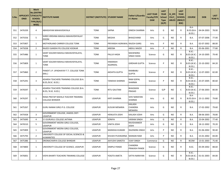| S.No. | <b>ONID</b> | <b>Merit</b><br><b>No.(DISTRIC</b><br>APPLICATI  T/FACULTY/<br><b>SCHOOL</b><br>TYPE/(R/C)<br>WISE) | <b>INSTITUTE NAME</b>                                         | DISTRICT (INSTITUTE) STUDENT NAME |                                   | Father's/Guardia<br>n's Name         | <b>LAST YEAR</b><br><b>Faculty/STR</b><br><b>EAM</b> | <b>LAST</b><br><b>YEAR</b><br><b>School</b><br><b>Type</b><br>(G/P) | IS_SPE<br><b>CILLY</b><br><b>ABLED</b> | <b>LAST</b><br><b>YEAR</b><br><b>SCHOOL</b><br>(RBSE/C<br>BSE) | <b>COURSE</b>                                         | <b>DOB</b>              | <b>LAST</b><br><b>YEAR</b> % |
|-------|-------------|-----------------------------------------------------------------------------------------------------|---------------------------------------------------------------|-----------------------------------|-----------------------------------|--------------------------------------|------------------------------------------------------|---------------------------------------------------------------------|----------------------------------------|----------------------------------------------------------------|-------------------------------------------------------|-------------------------|------------------------------|
| 551   | 3476339     | 4                                                                                                   | ABHIGHYAN MAHAVIDAYALA                                        | <b>TONK</b>                       | <b>SAPNA</b>                      | <b>DINESH SHARMA</b>                 | Arts                                                 | G                                                                   | <b>NO</b>                              | R                                                              | $B.A-$<br><b>B.ED.(B.A-</b><br>B.ED.                  | 04-04-2003              | 78.00                        |
| 552   | 3475556     | 5                                                                                                   | SHREE KRISHNA MAHILA MAHAVIDHYALAY<br><b>DOONI</b>            | <b>TONK</b>                       | MEGHA                             | <b>BHAGCHAND</b>                     | Arts                                                 | G                                                                   | <b>NO</b>                              | R                                                              | B.A.                                                  | 07-07-2006              | 77.00                        |
| 553   | 3475907     | $\mathbf{1}$                                                                                        | MOTHERLAND CARRIER COLLEGE TONK                               | <b>TONK</b>                       | PRIYANSHI AGRAWAL RAJESH GARG     |                                      | Arts                                                 | P                                                                   | NO.                                    | R                                                              | B.A.                                                  | 02-07-2002              | 88.00                        |
| 554   | 3475038     | $\overline{2}$                                                                                      | RAJEEV GANDHI PG COLLEGE KOOKAR                               | <b>TONK</b>                       | AREEBA                            | ABDUL MAZID                          | Arts                                                 | P                                                                   | <b>NO</b>                              | $\mathsf{R}$                                                   | B.A.                                                  | 05-06-2001              | 77.80                        |
| 555   | 3475486     | $\mathbf{1}$                                                                                        | SAINT SOLDIER MAHILA MAHAVIDYALAYA,<br>TONK                   | <b>TONK</b>                       | PALLVI HADA                       | MAHENDRA<br>SINGH HADA               | Science                                              | G                                                                   | <b>NO</b>                              | R                                                              | $B.SC$ -<br><b>B.ED.)</b>                             | B.ED.(B.SC.- 14-10-2005 | 79.40                        |
| 556   | 3475809     | $\mathbf{1}$                                                                                        | SAINT SOLDIER MAHILA MAHAVIDYALAYA,<br>TONK                   | <b>TONK</b>                       | <b>HIMANSHI</b><br><b>AGARWAL</b> | <b>GIRDHAR GUPTA</b>                 | Science                                              | P                                                                   | <b>NO</b>                              | R                                                              | <b>B.SC.-</b><br><b>B.ED.(B.SC.-</b><br><b>B.ED.)</b> | 23-10-2002              | 84.20                        |
| 557   | 3475860     | $\overline{2}$                                                                                      | PANDIT J.P. UPADHAYAY T.T. COLLEGE TONK<br>(RAJ.)             | <b>TONK</b>                       | <b>AKSHITA GUPTA</b>              | RAMBABU<br><b>GUPTA</b>              | Science                                              | P                                                                   | <b>NO</b>                              | R                                                              | <b>B.SC.-</b><br>B.ED.(B.SC.-<br><b>B.ED.)</b>        | 12-07-2003              | 82.00                        |
| 558   | 3475291     | 3                                                                                                   | ADARSH TEACHERS TRAINING COLLEGE (B.A.<br>B.ED./B.SC. B.ED.)  | <b>TONK</b>                       | <b>TANISHA SHARMA</b>             | RAM GOPAL<br>SHARMA                  | Science                                              | P                                                                   | <b>NO</b>                              | R                                                              | $B.SC.-$<br><b>B.ED.(B.SC.-</b><br>B.ED.)             | 25-07-2005              | 80.60                        |
| 559   | 3476597     | $\mathbf{1}$                                                                                        | ADARSH TEACHERS TRAINING COLLEGE (B.A.<br>B.ED./ B.SC. B.ED.) | TONK                              | <b>RITU GAUTAM</b>                | <b>BHAGWAN</b><br>PRASAD             | Science                                              | G/P                                                                 | <b>NO</b>                              | C                                                              | <b>B.SC.-</b><br>B.ED.(B.SC.-<br>B.ED.)               | 27-06-2003              | 80.00                        |
| 560   | 3476297     | $\mathbf{1}$                                                                                        | RANA PRATAP MAHILA TEACHER TRAINING<br><b>COLLEGE BHINDER</b> | <b>UDAIPUR</b>                    | KIRTI SHARMA                      | <b>SHIV NARAYAN</b><br>SHARMA        | Arts                                                 | G                                                                   | <b>NO</b>                              | R                                                              | $B.A-$<br><b>B.ED.(B.A-</b><br><b>B.ED.)</b>          | 23-11-2002              | 79.80                        |
| 561   | 3475267     | $\overline{2}$                                                                                      | <b>GURU NANAK GIRLS P.G. COLLEGE</b>                          | <b>UDAIPUR</b>                    | KUSUM MENARIA                     | <b>KAILASH</b><br>CHANDRA<br>MENARIA | Arts                                                 | G                                                                   | <b>NO</b>                              | R                                                              | B.A.                                                  | 17-02-2002              | 79.60                        |
| 562   | 3475928     | 3                                                                                                   | GOVERNMENT COLLEGE, JHADOL DIST-<br><b>UDAIPUR</b>            | <b>UDAIPUR</b>                    | <b>HEMLATA JOSHI</b>              | KAILASH JOSHI                        | Arts                                                 | G                                                                   | <b>NO</b>                              | R                                                              | <b>B.A.</b>                                           | 08-06-2003              | 78.80                        |
| 563   | 3475690     | $\overline{4}$                                                                                      | S S GURUKUL COLLEGE JAITANA                                   | <b>UDAIPUR</b>                    | SONIYA                            | <b>VIKRAM SINGH</b>                  | Arts                                                 | G                                                                   | <b>NO</b>                              | $\mathsf{R}$                                                   | B.A.                                                  | 23-04-2002              | 77.40                        |
| 564   | 3476510     | 5                                                                                                   | <b>GOVERNMENT MEERA GIRLS COLLEGE,</b><br><b>UDAIPUR</b>      | <b>UDAIPUR</b>                    | VINITA JOSHI                      | RAVISHANKER<br>JOSHI                 | Arts                                                 | G                                                                   | <b>NO</b>                              | R                                                              | B.A.                                                  | 18-12-2002              | 70.20                        |
| 565   | 3475909     | $\mathbf{1}$                                                                                        | GOVERNMENT MEERA GIRLS COLLEGE,<br><b>UDAIPUR</b>             | <b>UDAIPUR</b>                    | <b>MANISHA KUMARI</b>             | RAJENDRA SINGH                       | Arts                                                 | P                                                                   | NO.                                    | R                                                              | B.A.                                                  | 01-06-2002              | 90.40                        |
| 566   | 3475793     | 2                                                                                                   | UNIVERSITY COLLEGE OF SOCIAL SCIENCES &<br><b>HUMANITIES</b>  | <b>UDAIPUR</b>                    | KHUSHI PUSHKARNA MANGNI RAM       |                                      | Arts                                                 | P                                                                   | NO                                     | R                                                              | B.A.                                                  | 15-01-2002              | 84.00                        |
| 567   | 3475386     | $\mathbf{1}$                                                                                        | DRONACHARYA COLLEGE BHINDAR                                   | <b>UDAIPUR</b>                    | AAYUSHI SAMOTA                    | <b>VIJAY SINGH</b>                   | Commerce                                             | G                                                                   | <b>NO</b>                              | $\mathsf{R}$                                                   | <b>BCOM</b>                                           | 13-01-2003              | 75.40                        |
| 568   | 3474800     | $\mathbf{1}$                                                                                        | UNIVERSITY COLLEGE OF SCIENCE, UDAIPUR                        | <b>UDAIPUR</b>                    | <b>DIMPLE PANDE</b>               | CHANDRA<br>PRAKASH PANDE             | Science                                              | G                                                                   | <b>NO</b>                              | R                                                              | B.SC.                                                 | 05-09-2002              | 88.60                        |
| 569   | 3476001     | $\overline{2}$                                                                                      | VIDYA BHARTI TEACHERS TRAINING COLLEGE                        | <b>UDAIPUR</b>                    | YOGITA AMETA                      | SATYA NARAYAN                        | Science                                              | G                                                                   | NO                                     | R                                                              | <b>B.SC.-</b><br><b>B.ED.)</b>                        | B.ED.(B.SC.- 01-01-2003 | 84.00                        |